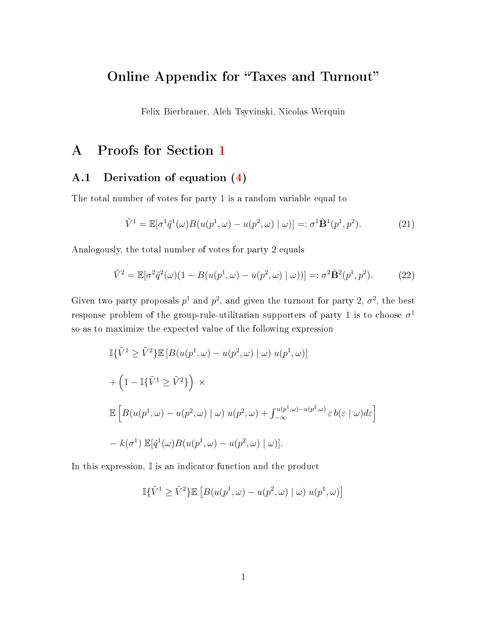# Online Appendix for "Taxes and Turnout"

Felix Bierbrauer, Aleh Tsyvinski, Nicolas Werquin

# A Proofs for Section [1](#page--1-0)

# A.1 Derivation of equation [\(4\)](#page--1-1)

The total number of votes for party 1 is a random variable equal to

<span id="page-0-0"></span>
$$
\tilde{V}^1 = \mathbb{E}[\sigma^1 \tilde{q}^1(\omega) B(u(p^1, \omega) - u(p^2, \omega) | \omega)] =: \sigma^1 \tilde{\mathbf{B}}^1(p^1, p^2). \tag{21}
$$

Analogously, the total number of votes for party 2 equals

<span id="page-0-1"></span>
$$
\tilde{V}^2 = \mathbb{E}[\sigma^2 \tilde{q}^2(\omega)(1 - B(u(p^1, \omega) - u(p^2, \omega) | \omega))] =: \sigma^2 \tilde{\mathbf{B}}^2(p^1, p^2). \tag{22}
$$

Given two party proposals  $p^1$  and  $p^2$ , and given the turnout for party 2,  $\sigma^2$ , the best response problem of the group-rule-utilitarian supporters of party 1 is to choose  $\sigma^1$ so as to maximize the expected value of the following expression

$$
\begin{aligned}\n\mathbb{I}\{\tilde{V}^1 \geq \tilde{V}^2\} &\mathbb{E}\left[B(u(p^1,\omega) - u(p^2,\omega) \mid \omega\right)u(p^1,\omega)\right] \\
&+ \left(1 - \mathbb{I}\{\tilde{V}^1 \geq \tilde{V}^2\}\right) \times \\
&\mathbb{E}\left[B(u(p^1,\omega) - u(p^2,\omega) \mid \omega\right)u(p^2,\omega) + \int_{-\infty}^{u(p^1,\omega) - u(p^2,\omega)} \varepsilon b(\varepsilon \mid \omega)d\varepsilon\right] \\
&- k(\sigma^1) \mathbb{E}[\tilde{q}^1(\omega)B(u(p^1,\omega) - u(p^2,\omega) \mid \omega)].\n\end{aligned}
$$

In this expression, I is an indicator function and the product

$$
\mathbb{I}\{\tilde{V}^1 \geq \tilde{V}^2\} \mathbb{E}\left[B(u(p^1,\omega)-u(p^2,\omega)\mid\omega)\;u(p^1,\omega)\right]
$$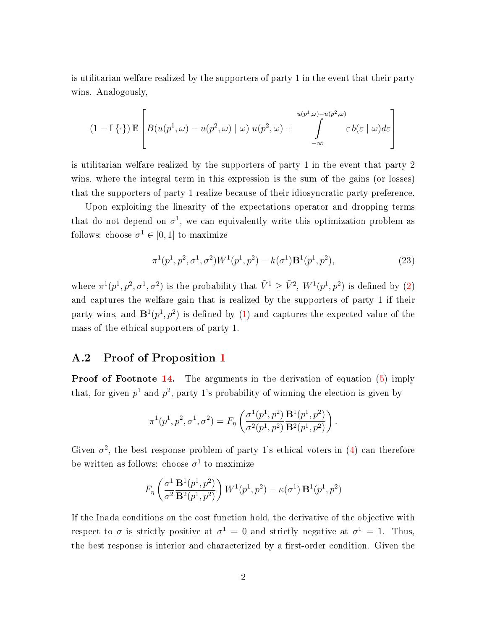is utilitarian welfare realized by the supporters of party 1 in the event that their party wins. Analogously,

$$
(1 - \mathbb{I}\{\cdot\}) \mathbb{E}\left[B(u(p^1, \omega) - u(p^2, \omega) \mid \omega) u(p^2, \omega) + \int\limits_{-\infty}^{u(p^1, \omega) - u(p^2, \omega)} \varepsilon b(\varepsilon \mid \omega) d\varepsilon\right]
$$

is utilitarian welfare realized by the supporters of party 1 in the event that party 2 wins, where the integral term in this expression is the sum of the gains (or losses) that the supporters of party 1 realize because of their idiosyncratic party preference.

Upon exploiting the linearity of the expectations operator and dropping terms that do not depend on  $\sigma^1$ , we can equivalently write this optimization problem as follows: choose  $\sigma^1 \in [0,1]$  to maximize

$$
\pi^1(p^1, p^2, \sigma^1, \sigma^2)W^1(p^1, p^2) - k(\sigma^1)\mathbf{B}^1(p^1, p^2),\tag{23}
$$

where  $\pi^1(p^1, p^2, \sigma^1, \sigma^2)$  is the probability that  $\tilde{V}^1 \geq \tilde{V}^2$ ,  $W^1(p^1, p^2)$  is defined by [\(2\)](#page--1-2) and captures the welfare gain that is realized by the supporters of party 1 if their party wins, and  $\mathbf{B}^1(p^1, p^2)$  is defined by [\(1\)](#page--1-3) and captures the expected value of the mass of the ethical supporters of party 1.

# A.2 Proof of Proposition [1](#page--1-4)

**Proof of Footnote [14.](#page--1-1)** The arguments in the derivation of equation [\(5\)](#page--1-5) imply that, for given  $p^1$  and  $p^2$ , party 1's probability of winning the election is given by

$$
\pi^1(p^1, p^2, \sigma^1, \sigma^2) = F_{\eta} \left( \frac{\sigma^1(p^1, p^2)}{\sigma^2(p^1, p^2)} \frac{\mathbf{B}^1(p^1, p^2)}{\mathbf{B}^2(p^1, p^2)} \right).
$$

Given  $\sigma^2$ , the best response problem of party 1's ethical voters in [\(4\)](#page--1-1) can therefore be written as follows: choose  $\sigma^1$  to maximize

$$
F_{\eta}\left(\frac{\sigma^1}{\sigma^2}\frac{\mathbf{B}^1(p^1,p^2)}{\mathbf{B}^2(p^1,p^2)}\right)W^1(p^1,p^2) - \kappa(\sigma^1)\,\mathbf{B}^1(p^1,p^2)
$$

If the Inada conditions on the cost function hold, the derivative of the objective with respect to  $\sigma$  is strictly positive at  $\sigma^1 = 0$  and strictly negative at  $\sigma^1 = 1$ . Thus, the best response is interior and characterized by a first-order condition. Given the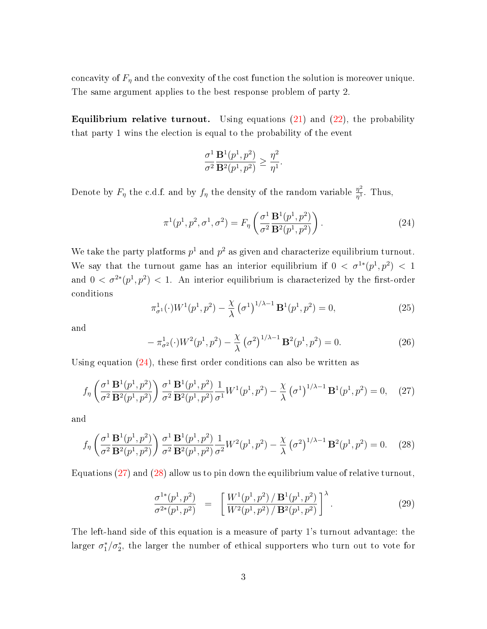concavity of  $F_{\eta}$  and the convexity of the cost function the solution is moreover unique. The same argument applies to the best response problem of party 2.

**Equilibrium relative turnout.** Using equations  $(21)$  and  $(22)$ , the probability that party 1 wins the election is equal to the probability of the event

$$
\frac{\sigma^1}{\sigma^2}\frac{\mathbf{B}^1(p^1,p^2)}{\mathbf{B}^2(p^1,p^2)}\geq \frac{\eta^2}{\eta^1}.
$$

Denote by  $F_{\eta}$  the c.d.f. and by  $f_{\eta}$  the density of the random variable  $\frac{\eta^2}{n^1}$  $\frac{\eta^2}{\eta^1}$ . Thus,

<span id="page-2-0"></span>
$$
\pi^1(p^1, p^2, \sigma^1, \sigma^2) = F_{\eta} \left( \frac{\sigma^1}{\sigma^2} \frac{\mathbf{B}^1(p^1, p^2)}{\mathbf{B}^2(p^1, p^2)} \right). \tag{24}
$$

We take the party platforms  $p^1$  and  $p^2$  as given and characterize equilibrium turnout. We say that the turnout game has an interior equilibrium if  $0 < \sigma^{1*}(p^1, p^2) < 1$ and  $0 < \sigma^{2*}(p^1, p^2) < 1$ . An interior equilibrium is characterized by the first-order conditions

$$
\pi_{\sigma^1}^1(\cdot)W^1(p^1, p^2) - \frac{\chi}{\lambda} \left(\sigma^1\right)^{1/\lambda - 1} \mathbf{B}^1(p^1, p^2) = 0,\tag{25}
$$

and

$$
-\pi_{\sigma^2}^1(\cdot)W^2(p^1,p^2) - \frac{\chi}{\lambda}(\sigma^2)^{1/\lambda - 1} \mathbf{B}^2(p^1,p^2) = 0.
$$
 (26)

Using equation  $(24)$ , these first order conditions can also be written as

<span id="page-2-1"></span>
$$
f_{\eta} \left( \frac{\sigma^1}{\sigma^2} \frac{\mathbf{B}^1(p^1, p^2)}{\mathbf{B}^2(p^1, p^2)} \right) \frac{\sigma^1}{\sigma^2} \frac{\mathbf{B}^1(p^1, p^2)}{\mathbf{B}^2(p^1, p^2)} \frac{1}{\sigma^1} W^1(p^1, p^2) - \frac{\chi}{\lambda} \left( \sigma^1 \right)^{1/\lambda - 1} \mathbf{B}^1(p^1, p^2) = 0, \quad (27)
$$

and

<span id="page-2-2"></span>
$$
f_{\eta} \left( \frac{\sigma^1}{\sigma^2} \frac{\mathbf{B}^1(p^1, p^2)}{\mathbf{B}^2(p^1, p^2)} \right) \frac{\sigma^1}{\sigma^2} \frac{\mathbf{B}^1(p^1, p^2)}{\mathbf{B}^2(p^1, p^2)} \frac{1}{\sigma^2} W^2(p^1, p^2) - \frac{\chi}{\lambda} \left( \sigma^2 \right)^{1/\lambda - 1} \mathbf{B}^2(p^1, p^2) = 0. \tag{28}
$$

Equations [\(27\)](#page-2-1) and [\(28\)](#page-2-2) allow us to pin down the equilibrium value of relative turnout,

<span id="page-2-3"></span>
$$
\frac{\sigma^{1*}(p^1, p^2)}{\sigma^{2*}(p^1, p^2)} = \left[ \frac{W^1(p^1, p^2) / \mathbf{B}^1(p^1, p^2)}{W^2(p^1, p^2) / \mathbf{B}^2(p^1, p^2)} \right]^\lambda.
$$
\n(29)

The left-hand side of this equation is a measure of party 1's turnout advantage: the larger  $\sigma_1^*/\sigma_2^*$ , the larger the number of ethical supporters who turn out to vote for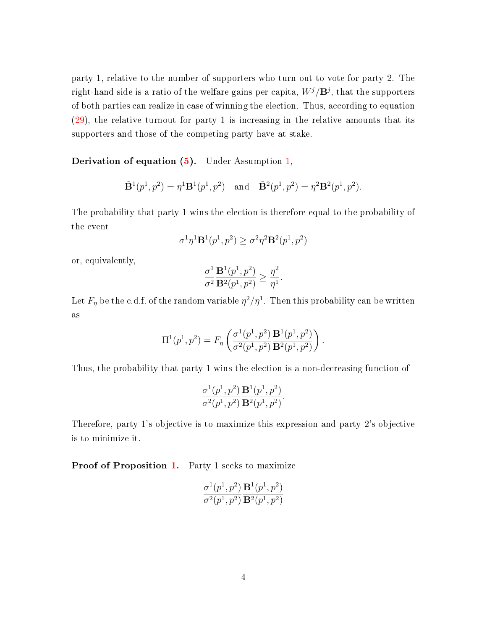party 1, relative to the number of supporters who turn out to vote for party 2. The right-hand side is a ratio of the welfare gains per capita,  $W^j/{\bf B}^j,$  that the supporters of both parties can realize in case of winning the election. Thus, according to equation [\(29\)](#page-2-3), the relative turnout for party 1 is increasing in the relative amounts that its supporters and those of the competing party have at stake.

**Derivation of equation [\(5\)](#page--1-5).** Under Assumption  $1$ ,

$$
\tilde{\mathbf{B}}^1(p^1, p^2) = \eta^1 \mathbf{B}^1(p^1, p^2)
$$
 and  $\tilde{\mathbf{B}}^2(p^1, p^2) = \eta^2 \mathbf{B}^2(p^1, p^2)$ .

The probability that party 1 wins the election is therefore equal to the probability of the event

$$
\sigma^1\eta^1\mathbf{B}^1(p^1,p^2)\geq\sigma^2\eta^2\mathbf{B}^2(p^1,p^2)
$$

or, equivalently,

$$
\frac{\sigma^1}{\sigma^2} \frac{\mathbf{B}^1(p^1, p^2)}{\mathbf{B}^2(p^1, p^2)} \ge \frac{\eta^2}{\eta^1}.
$$

Let  $F_\eta$  be the c.d.f. of the random variable  $\eta^2/\eta^1$ . Then this probability can be written as

$$
\Pi^{1}(p^{1}, p^{2}) = F_{\eta} \left( \frac{\sigma^{1}(p^{1}, p^{2})}{\sigma^{2}(p^{1}, p^{2})} \frac{\mathbf{B}^{1}(p^{1}, p^{2})}{\mathbf{B}^{2}(p^{1}, p^{2})} \right).
$$

Thus, the probability that party 1 wins the election is a non-decreasing function of

$$
\frac{\sigma^1(p^1, p^2)}{\sigma^2(p^1, p^2)} \frac{\mathbf{B}^1(p^1, p^2)}{\mathbf{B}^2(p^1, p^2)}.
$$

Therefore, party 1's objective is to maximize this expression and party 2's objective is to minimize it.

Proof of Proposition [1.](#page--1-4) Party 1 seeks to maximize

$$
\frac{\sigma^1(p^1,p^2)}{\sigma^2(p^1,p^2)}\frac{\mathbf{B}^1(p^1,p^2)}{\mathbf{B}^2(p^1,p^2)}
$$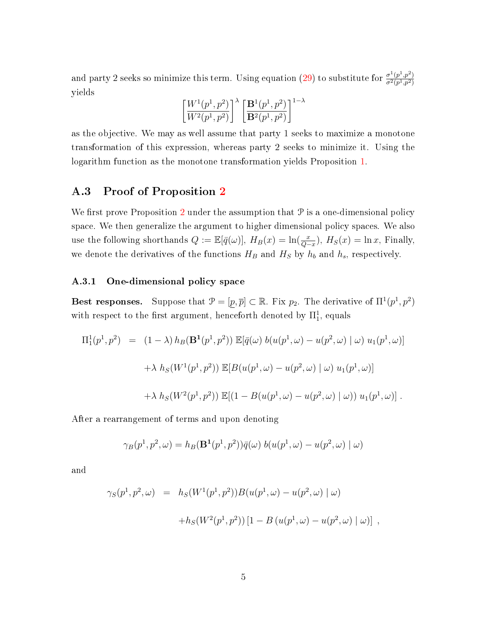and party 2 seeks so minimize this term. Using equation [\(29\)](#page-2-3) to substitute for  $\frac{\sigma^1(p^1,p^2)}{\sigma^2(n^1,p^2)}$  $\overline{\sigma^2(p^1,p^2)}$ yields

$$
\left[ \frac{W^1(p^1,p^2)}{W^2(p^1,p^2)} \right]^\lambda \left[ \frac{{\bf B}^1(p^1,p^2)}{{\bf B}^2(p^1,p^2)} \right]^{1-\lambda}
$$

as the objective. We may as well assume that party 1 seeks to maximize a monotone transformation of this expression, whereas party 2 seeks to minimize it. Using the logarithm function as the monotone transformation yields Proposition [1.](#page--1-4)

# A.3 Proof of Proposition [2](#page--1-7)

We first prove Proposition [2](#page--1-7) under the assumption that  $P$  is a one-dimensional policy space. We then generalize the argument to higher dimensional policy spaces. We also use the following shorthands  $Q := \mathbb{E}[\bar{q}(\omega)], H_B(x) = \ln(\frac{x}{Q-x}), H_S(x) = \ln x$ , Finally, we denote the derivatives of the functions  $H_B$  and  $H_S$  by  $h_b$  and  $h_s$ , respectively.

## A.3.1 One-dimensional policy space

Best responses. Suppose that  $\mathcal{P} = [p, \overline{p}] \subset \mathbb{R}$ . Fix  $p_2$ . The derivative of  $\Pi^1(p^1, p^2)$ with respect to the first argument, henceforth denoted by  $\Pi^1_1$ , equals

$$
\Pi_1^1(p^1, p^2) = (1 - \lambda) h_B(\mathbf{B}^1(p^1, p^2)) \mathbb{E}[\bar{q}(\omega) b(u(p^1, \omega) - u(p^2, \omega) | \omega) u_1(p^1, \omega)]
$$
  
+  $\lambda h_S(W^1(p^1, p^2)) \mathbb{E}[B(u(p^1, \omega) - u(p^2, \omega) | \omega) u_1(p^1, \omega)]$   
+  $\lambda h_S(W^2(p^1, p^2)) \mathbb{E}[(1 - B(u(p^1, \omega) - u(p^2, \omega) | \omega)) u_1(p^1, \omega)].$ 

After a rearrangement of terms and upon denoting

$$
\gamma_B(p^1, p^2, \omega) = h_B(\mathbf{B}^1(p^1, p^2))\overline{q}(\omega) b(u(p^1, \omega) - u(p^2, \omega) | \omega)
$$

and

$$
\gamma_S(p^1, p^2, \omega) = h_S(W^1(p^1, p^2)) B(u(p^1, \omega) - u(p^2, \omega) | \omega)
$$
  
+
$$
h_S(W^2(p^1, p^2)) [1 - B(u(p^1, \omega) - u(p^2, \omega) | \omega)],
$$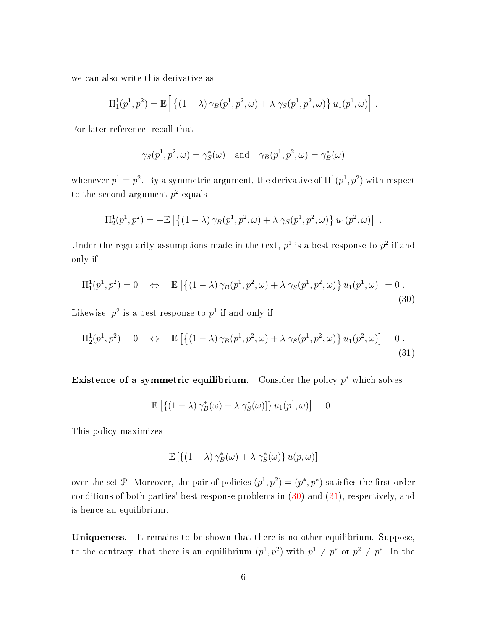we can also write this derivative as

$$
\Pi_1^1(p^1, p^2) = \mathbb{E}\left[ \left\{ (1 - \lambda) \gamma_B(p^1, p^2, \omega) + \lambda \gamma_S(p^1, p^2, \omega) \right\} u_1(p^1, \omega) \right].
$$

For later reference, recall that

$$
\gamma_S(p^1, p^2, \omega) = \gamma_S^*(\omega)
$$
 and  $\gamma_B(p^1, p^2, \omega) = \gamma_B^*(\omega)$ 

whenever  $p^1 = p^2$ . By a symmetric argument, the derivative of  $\Pi^1(p^1, p^2)$  with respect to the second argument  $p^2$  equals

$$
\Pi_2^1(p^1, p^2) = -\mathbb{E}\left[\left\{(1-\lambda)\gamma_B(p^1, p^2, \omega) + \lambda \gamma_S(p^1, p^2, \omega)\right\} u_1(p^2, \omega)\right].
$$

Under the regularity assumptions made in the text,  $p^1$  is a best response to  $p^2$  if and only if

<span id="page-5-0"></span>
$$
\Pi_1^1(p^1, p^2) = 0 \quad \Leftrightarrow \quad \mathbb{E}\left[\left\{(1-\lambda)\gamma_B(p^1, p^2, \omega) + \lambda\gamma_S(p^1, p^2, \omega)\right\}u_1(p^1, \omega)\right] = 0.
$$
\n(30)

Likewise,  $p^2$  is a best response to  $p^1$  if and only if

<span id="page-5-1"></span>
$$
\Pi_2^1(p^1, p^2) = 0 \quad \Leftrightarrow \quad \mathbb{E}\left[\left\{(1-\lambda)\gamma_B(p^1, p^2, \omega) + \lambda \gamma_S(p^1, p^2, \omega)\right\} u_1(p^2, \omega)\right] = 0. \tag{31}
$$

Existence of a symmetric equilibrium. Consider the policy  $p^*$  which solves

$$
\mathbb{E}\left[\left\{(1-\lambda)\gamma_B^*(\omega)+\lambda\gamma_S^*(\omega)\right\}u_1(p^1,\omega)\right]=0.
$$

This policy maximizes

$$
\mathbb{E}\left[\left\{(1-\lambda)\gamma_B^*(\omega)+\lambda\gamma_S^*(\omega)\right\}u(p,\omega)\right]
$$

over the set P. Moreover, the pair of policies  $(p^{1}, p^{2}) = (p^{*}, p^{*})$  satisfies the first order conditions of both parties' best response problems in  $(30)$  and  $(31)$ , respectively, and is hence an equilibrium.

Uniqueness. It remains to be shown that there is no other equilibrium. Suppose, to the contrary, that there is an equilibrium  $(p^1, p^2)$  with  $p^1 \neq p^*$  or  $p^2 \neq p^*$ . In the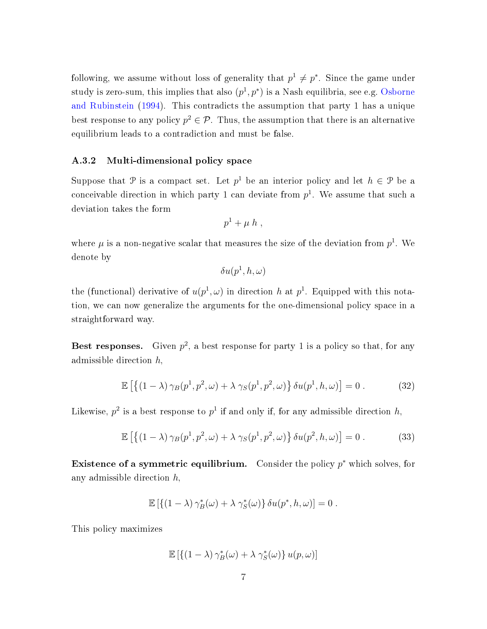following, we assume without loss of generality that  $p^1 \neq p^*$ . Since the game under study is zero-sum, this implies that also  $(p^{1}, p^{*})$  is a Nash equilibria, see e.g. [Osborne](#page--1-8) [and Rubinstein](#page--1-8) [\(1994\)](#page--1-8). This contradicts the assumption that party 1 has a unique best response to any policy  $p^2 \in \mathcal{P}$ . Thus, the assumption that there is an alternative equilibrium leads to a contradiction and must be false.

#### A.3.2 Multi-dimensional policy space

Suppose that P is a compact set. Let  $p^1$  be an interior policy and let  $h \in \mathcal{P}$  be a conceivable direction in which party 1 can deviate from  $p^1$ . We assume that such a deviation takes the form

$$
p^1 + \mu h,
$$

where  $\mu$  is a non-negative scalar that measures the size of the deviation from  $p^1$ . We denote by

$$
\delta u(p^1,h,\omega)
$$

the (functional) derivative of  $u(p^1, \omega)$  in direction h at  $p^1$ . Equipped with this notation, we can now generalize the arguments for the one-dimensional policy space in a straightforward way.

Best responses. Given  $p^2$ , a best response for party 1 is a policy so that, for any admissible direction h,

<span id="page-6-0"></span>
$$
\mathbb{E}\left[\left\{(1-\lambda)\gamma_B(p^1,p^2,\omega)+\lambda\gamma_S(p^1,p^2,\omega)\right\}\delta u(p^1,h,\omega)\right]=0\,. \tag{32}
$$

Likewise,  $p^2$  is a best response to  $p^1$  if and only if, for any admissible direction  $h$ ,

<span id="page-6-1"></span>
$$
\mathbb{E}\left[\left\{(1-\lambda)\gamma_B(p^1,p^2,\omega)+\lambda\gamma_S(p^1,p^2,\omega)\right\}\delta u(p^2,h,\omega)\right]=0\ .\tag{33}
$$

Existence of a symmetric equilibrium. Consider the policy  $p^*$  which solves, for any admissible direction  $h$ ,

$$
\mathbb{E}\left[\{(1-\lambda)\gamma_B^*(\omega)+\lambda\gamma_S^*(\omega)\}\,\delta u(p^*,h,\omega)\right]=0\;.
$$

This policy maximizes

$$
\mathbb{E}\left[\left\{(1-\lambda)\gamma_B^*(\omega)+\lambda\gamma_S^*(\omega)\right\}u(p,\omega)\right]
$$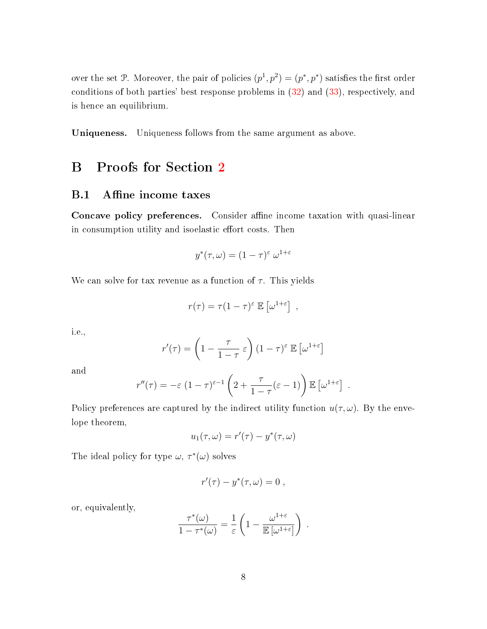over the set P. Moreover, the pair of policies  $(p^{1}, p^{2}) = (p^{*}, p^{*})$  satisfies the first order conditions of both parties' best response problems in [\(32\)](#page-6-0) and [\(33\)](#page-6-1), respectively, and is hence an equilibrium.

Uniqueness. Uniqueness follows from the same argument as above.

# B Proofs for Section [2](#page--1-9)

# B.1 Affine income taxes

Concave policy preferences. Consider affine income taxation with quasi-linear in consumption utility and isoelastic effort costs. Then

$$
y^*(\tau,\omega) = (1-\tau)^{\varepsilon} \, \omega^{1+\varepsilon}
$$

We can solve for tax revenue as a function of  $\tau$ . This yields

$$
r(\tau) = \tau (1 - \tau)^{\varepsilon} \mathbb{E} \left[ \omega^{1 + \varepsilon} \right],
$$

i.e.,

$$
r'(\tau) = \left(1 - \frac{\tau}{1 - \tau} \varepsilon\right) (1 - \tau)^{\varepsilon} \mathbb{E}\left[\omega^{1 + \varepsilon}\right]
$$

and

$$
r''(\tau) = -\varepsilon \left(1 - \tau\right)^{\varepsilon - 1} \left(2 + \frac{\tau}{1 - \tau}(\varepsilon - 1)\right) \mathbb{E}\left[\omega^{1 + \varepsilon}\right] .
$$

Policy preferences are captured by the indirect utility function  $u(\tau,\omega)$ . By the envelope theorem,

$$
u_1(\tau,\omega) = r'(\tau) - y^*(\tau,\omega)
$$

The ideal policy for type  $\omega, \tau^*(\omega)$  solves

$$
r'(\tau)-y^*(\tau,\omega)=0\;,
$$

or, equivalently,

$$
\frac{\tau^*(\omega)}{1-\tau^*(\omega)} = \frac{1}{\varepsilon} \left(1 - \frac{\omega^{1+\varepsilon}}{\mathbb{E}[\omega^{1+\varepsilon}]} \right) .
$$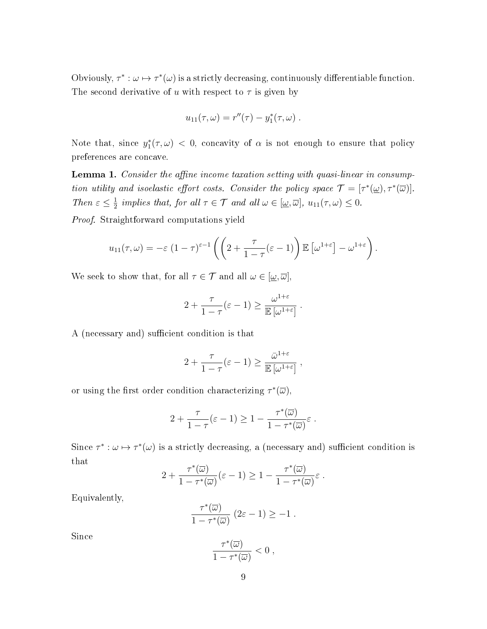Obviously,  $\tau^* : \omega \mapsto \tau^*(\omega)$  is a strictly decreasing, continuously differentiable function. The second derivative of u with respect to  $\tau$  is given by

$$
u_{11}(\tau, \omega) = r''(\tau) - y_1^*(\tau, \omega)
$$
.

Note that, since  $y_1^*(\tau,\omega) < 0$ , concavity of  $\alpha$  is not enough to ensure that policy preferences are concave.

**Lemma 1.** Consider the affine income taxation setting with quasi-linear in consumption utility and isoelastic effort costs. Consider the policy space  $\mathcal{T} = [\tau^*(\underline{\omega}), \tau^*(\overline{\omega})].$ Then  $\varepsilon \leq \frac{1}{2}$  $\frac{1}{2}$  implies that, for all  $\tau \in \mathcal{T}$  and all  $\omega \in [\underline{\omega}, \overline{\omega}], u_{11}(\tau, \omega) \leq 0$ .

Proof. Straightforward computations yield

$$
u_{11}(\tau,\omega) = -\varepsilon \left(1-\tau\right)^{\varepsilon-1} \left( \left(2+\frac{\tau}{1-\tau}(\varepsilon-1)\right) \mathbb{E}\left[\omega^{1+\varepsilon}\right] - \omega^{1+\varepsilon}\right).
$$

We seek to show that, for all  $\tau \in \mathcal{T}$  and all  $\omega \in [\underline{\omega}, \overline{\omega}]$ ,

$$
2 + \frac{\tau}{1-\tau}(\varepsilon - 1) \ge \frac{\omega^{1+\varepsilon}}{\mathbb{E}[\omega^{1+\varepsilon}]}.
$$

A (necessary and) sufficient condition is that

$$
2 + \frac{\tau}{1 - \tau} (\varepsilon - 1) \ge \frac{\bar{\omega}^{1+\varepsilon}}{\mathbb{E} [\omega^{1+\varepsilon}]} ,
$$

or using the first order condition characterizing  $\tau^*(\overline{\omega})$ ,

$$
2 + \frac{\tau}{1 - \tau} (\varepsilon - 1) \geq 1 - \frac{\tau^*(\overline{\omega})}{1 - \tau^*(\overline{\omega})} \varepsilon.
$$

Since  $\tau^*: \omega \mapsto \tau^*(\omega)$  is a strictly decreasing, a (necessary and) sufficient condition is that

$$
2 + \frac{\tau^*(\overline{\omega})}{1 - \tau^*(\overline{\omega})} (\varepsilon - 1) \ge 1 - \frac{\tau^*(\overline{\omega})}{1 - \tau^*(\overline{\omega})} \varepsilon.
$$

Equivalently,

$$
\frac{\tau^*(\overline{\omega})}{1-\tau^*(\overline{\omega})}\ (2\varepsilon-1)\geq -1\ .
$$

Since

$$
\frac{\tau^*(\overline{\omega})}{1-\tau^*(\overline{\omega})}<0,
$$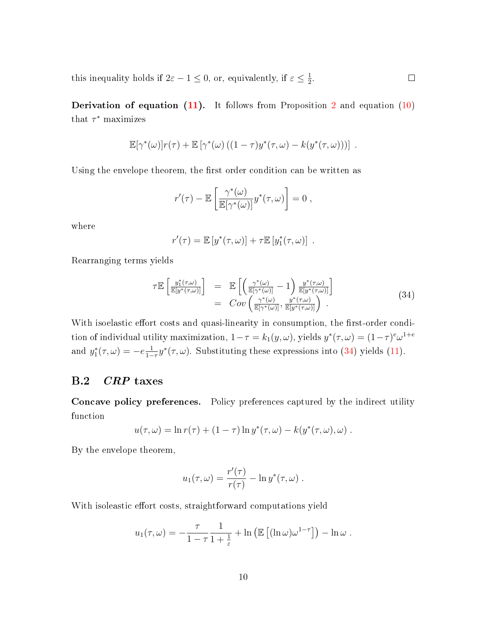this inequality holds if  $2\varepsilon - 1 \le 0$ , or, equivalently, if  $\varepsilon \le \frac{1}{2}$  $\frac{1}{2}$ .  $\Box$ 

**Derivation of equation [\(11\)](#page--1-10).** It follows from Proposition [2](#page--1-7) and equation [\(10\)](#page--1-11) that  $\tau^*$  maximizes

$$
\mathbb{E}[\gamma^*(\omega)]r(\tau) + \mathbb{E}[\gamma^*(\omega)((1-\tau)y^*(\tau,\omega)-k(y^*(\tau,\omega)))] .
$$

Using the envelope theorem, the first order condition can be written as

$$
r'(\tau) - \mathbb{E}\left[\frac{\gamma^*(\omega)}{\mathbb{E}[\gamma^*(\omega)]}y^*(\tau,\omega)\right] = 0,
$$

where

$$
r'(\tau) = \mathbb{E}\left[y^*(\tau,\omega)\right] + \tau \mathbb{E}\left[y_1^*(\tau,\omega)\right].
$$

Rearranging terms yields

<span id="page-9-0"></span>
$$
\mathcal{T}\mathbb{E}\left[\frac{y_1^*(\tau,\omega)}{\mathbb{E}[y^*(\tau,\omega)]}\right] = \mathbb{E}\left[\left(\frac{\gamma^*(\omega)}{\mathbb{E}[\gamma^*(\omega)]}-1\right)\frac{y^*(\tau,\omega)}{\mathbb{E}[y^*(\tau,\omega)]}\right] \n= Cov\left(\frac{\gamma^*(\omega)}{\mathbb{E}[\gamma^*(\omega)]}, \frac{y^*(\tau,\omega)}{\mathbb{E}[y^*(\tau,\omega)]}\right).
$$
\n(34)

With isoelastic effort costs and quasi-linearity in consumption, the first-order condition of individual utility maximization,  $1-\tau = k_1(y,\omega)$ , yields  $y^*(\tau,\omega) = (1-\tau)^e \omega^{1+e}$ and  $y_1^*(\tau, \omega) = -e \frac{1}{1-\omega^2}$  $\frac{1}{1-\tau}y^*(\tau,\omega)$ . Substituting these expressions into [\(34\)](#page-9-0) yields [\(11\)](#page--1-10).

# B.2 CRP taxes

Concave policy preferences. Policy preferences captured by the indirect utility function

$$
u(\tau,\omega) = \ln r(\tau) + (1-\tau)\ln y^*(\tau,\omega) - k(y^*(\tau,\omega),\omega) .
$$

By the envelope theorem,

$$
u_1(\tau,\omega) = \frac{r'(\tau)}{r(\tau)} - \ln y^*(\tau,\omega) .
$$

With isoleastic effort costs, straightforward computations yield

$$
u_1(\tau,\omega) = -\frac{\tau}{1-\tau} \frac{1}{1+\frac{1}{\varepsilon}} + \ln \left( \mathbb{E} \left[ (\ln \omega) \omega^{1-\tau} \right] \right) - \ln \omega.
$$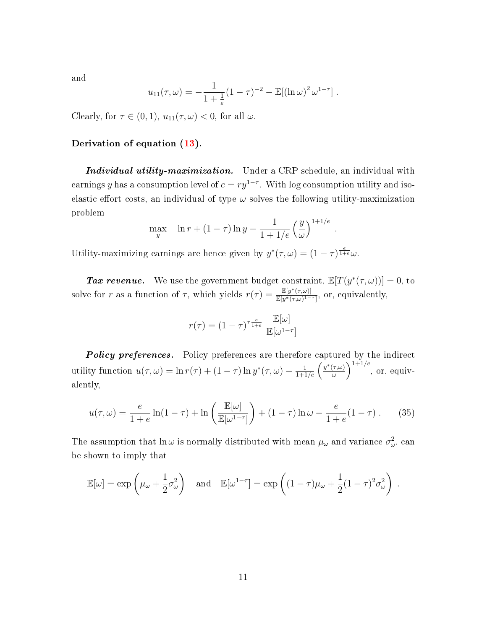and

$$
u_{11}(\tau,\omega) = -\frac{1}{1+\frac{1}{\varepsilon}}(1-\tau)^{-2} - \mathbb{E}[(\ln \omega)^2 \omega^{1-\tau}].
$$

Clearly, for  $\tau \in (0,1)$ ,  $u_{11}(\tau,\omega) < 0$ , for all  $\omega$ .

### Derivation of equation [\(13\)](#page--1-12).

Individual utility-maximization. Under a CRP schedule, an individual with earnings y has a consumption level of  $c = ry^{1-\tau}$ . With log consumption utility and isoelastic effort costs, an individual of type  $\omega$  solves the following utility-maximization problem

$$
\max_{y} \quad \ln r + (1 - \tau) \ln y - \frac{1}{1 + 1/e} \left(\frac{y}{\omega}\right)^{1 + 1/e}
$$

.

Utility-maximizing earnings are hence given by  $y^*(\tau, \omega) = (1 - \tau)^{\frac{e}{1 + e}} \omega$ .

**Tax revenue.** We use the government budget constraint,  $\mathbb{E}[T(y^*(\tau,\omega))] = 0$ , to solve for r as a function of  $\tau$ , which yields  $r(\tau) = \frac{\mathbb{E}[y^*(\tau,\omega)]}{\mathbb{E}[y^*(\tau,\omega)]-1}$  $\frac{\mathbb{E}[y](\tau,\omega)]}{\mathbb{E}[y^*(\tau,\omega)^{1-\tau}]},$  or, equivalently,

$$
r(\tau) = (1 - \tau)^{\tau \frac{e}{1 + e}} \frac{\mathbb{E}[\omega]}{\mathbb{E}[\omega^{1 - \tau}]}
$$

Policy preferences. Policy preferences are therefore captured by the indirect utility function  $u(\tau,\omega) = \ln r(\tau) + (1-\tau) \ln y^*(\tau,\omega) - \frac{1}{1+1/e} \left( \frac{y^*(\tau,\omega)}{\omega} \right)$  $\left(\frac{\tau,\omega)}{\omega}\right)^{1+1/e}, \text{ or, equiv-}$ alently,

$$
u(\tau,\omega) = \frac{e}{1+e} \ln(1-\tau) + \ln\left(\frac{\mathbb{E}[\omega]}{\mathbb{E}[\omega^{1-\tau}]} \right) + (1-\tau)\ln\omega - \frac{e}{1+e}(1-\tau). \tag{35}
$$

The assumption that  $\ln \omega$  is normally distributed with mean  $\mu_\omega$  and variance  $\sigma_\omega^2$ , can be shown to imply that

$$
\mathbb{E}[\omega] = \exp\left(\mu_\omega + \frac{1}{2}\sigma_\omega^2\right) \quad \text{and} \quad \mathbb{E}[\omega^{1-\tau}] = \exp\left((1-\tau)\mu_\omega + \frac{1}{2}(1-\tau)^2\sigma_\omega^2\right) \; .
$$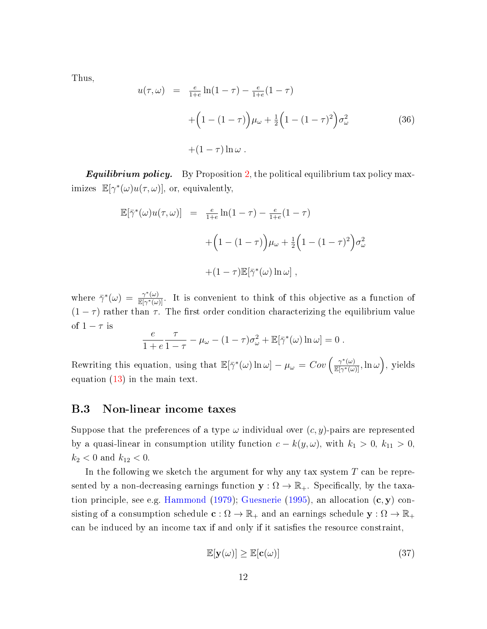Thus,

$$
u(\tau, \omega) = \frac{e}{1+e} \ln(1-\tau) - \frac{e}{1+e} (1-\tau)
$$
  
 
$$
+ \left(1 - (1-\tau)\right) \mu_{\omega} + \frac{1}{2} \left(1 - (1-\tau)^2\right) \sigma_{\omega}^2
$$
 (36)  
 
$$
+ (1-\tau) \ln \omega.
$$

**Equilibrium policy.** By Proposition [2,](#page--1-7) the political equilibrium tax policy maximizes  $\mathbb{E}[\gamma^*(\omega)u(\tau,\omega)],$  or, equivalently,

$$
\mathbb{E}[\bar{\gamma}^*(\omega)u(\tau,\omega)] = \frac{e}{1+e}\ln(1-\tau) - \frac{e}{1+e}(1-\tau)
$$

$$
+ \left(1 - (1-\tau)\right)\mu_{\omega} + \frac{1}{2}\left(1 - (1-\tau)^2\right)\sigma_{\omega}^2
$$

$$
+ (1-\tau)\mathbb{E}[\bar{\gamma}^*(\omega)\ln\omega],
$$

where  $\bar{\gamma}^*(\omega) = \frac{\gamma^*(\omega)}{\mathbb{E}[\gamma^*(\omega)]}$  $\frac{\gamma(\omega)}{\mathbb{E}[\gamma^*(\omega)]}$ . It is convenient to think of this objective as a function of  $(1 - \tau)$  rather than  $\tau$ . The first order condition characterizing the equilibrium value of  $1 - \tau$  is

$$
\frac{e}{1+e}\frac{\tau}{1-\tau}-\mu_{\omega}-(1-\tau)\sigma_{\omega}^2+\mathbb{E}[\bar{\gamma}^*(\omega)\ln\omega]=0.
$$

Rewriting this equation, using that  $\mathbb{E}[\bar{\gamma}^*(\omega) \ln \omega] - \mu_{\omega} = Cov \left( \frac{\gamma^*(\omega)}{\mathbb{E}[\gamma^*(\omega)]} \right)$  $\frac{\gamma^*(\omega)}{\mathbb{E}[\gamma^*(\omega)]}, \ln \omega$ , yields equation [\(13\)](#page--1-12) in the main text.

## <span id="page-11-0"></span>B.3 Non-linear income taxes

Suppose that the preferences of a type  $\omega$  individual over  $(c, y)$ -pairs are represented by a quasi-linear in consumption utility function  $c - k(y, \omega)$ , with  $k_1 > 0$ ,  $k_{11} > 0$ ,  $k_2 < 0$  and  $k_{12} < 0$ .

In the following we sketch the argument for why any tax system  $T$  can be represented by a non-decreasing earnings function  $\mathbf{y} : \Omega \to \mathbb{R}_+$ . Specifically, by the taxa-tion principle, see e.g. [Hammond](#page--1-13) [\(1979\)](#page--1-13); [Guesnerie](#page--1-14) [\(1995\)](#page--1-14), an allocation  $(c, y)$  consisting of a consumption schedule  $\mathbf{c} : \Omega \to \mathbb{R}_+$  and an earnings schedule  $\mathbf{y} : \Omega \to \mathbb{R}_+$ can be induced by an income tax if and only if it satisfies the resource constraint,

$$
\mathbb{E}[\mathbf{y}(\omega)] \ge \mathbb{E}[\mathbf{c}(\omega)] \tag{37}
$$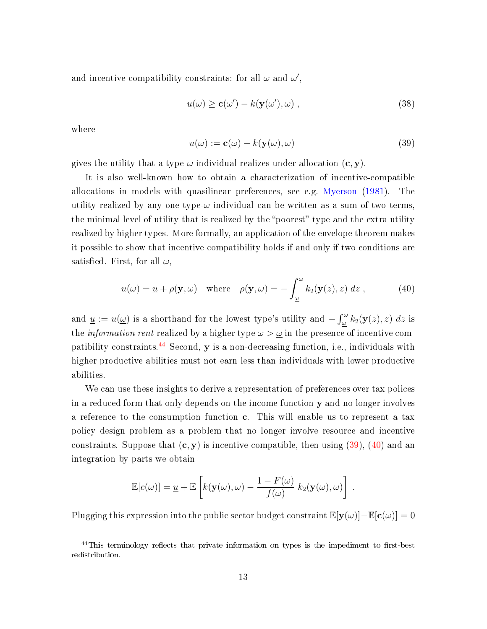and incentive compatibility constraints: for all  $\omega$  and  $\omega'$ ,

$$
u(\omega) \ge \mathbf{c}(\omega') - k(\mathbf{y}(\omega'), \omega) , \qquad (38)
$$

where

<span id="page-12-0"></span>
$$
u(\omega) := \mathbf{c}(\omega) - k(\mathbf{y}(\omega), \omega) \tag{39}
$$

gives the utility that a type  $\omega$  individual realizes under allocation  $(c, y)$ .

It is also well-known how to obtain a characterization of incentive-compatible allocations in models with quasilinear preferences, see e.g. [Myerson](#page--1-15) [\(1981\)](#page--1-15). The utility realized by any one type- $\omega$  individual can be written as a sum of two terms, the minimal level of utility that is realized by the "poorest" type and the extra utility realized by higher types. More formally, an application of the envelope theorem makes it possible to show that incentive compatibility holds if and only if two conditions are satisfied. First, for all  $\omega$ ,

<span id="page-12-1"></span>
$$
u(\omega) = \underline{u} + \rho(\mathbf{y}, \omega) \quad \text{where} \quad \rho(\mathbf{y}, \omega) = -\int_{\underline{\omega}}^{\omega} k_2(\mathbf{y}(z), z) \, dz \,, \tag{40}
$$

and  $\underline{u} := u(\underline{\omega})$  is a shorthand for the lowest type's utility and  $-\int_{\underline{\omega}}^{\omega} k_2(\mathbf{y}(z), z) dz$  is the *information rent* realized by a higher type  $\omega > \omega$  in the presence of incentive com-patibility constraints.<sup>[44](#page--1-16)</sup> Second,  $y$  is a non-decreasing function, i.e., individuals with higher productive abilities must not earn less than individuals with lower productive abilities.

We can use these insights to derive a representation of preferences over tax polices in a reduced form that only depends on the income function y and no longer involves a reference to the consumption function c. This will enable us to represent a tax policy design problem as a problem that no longer involve resource and incentive constraints. Suppose that  $(c, y)$  is incentive compatible, then using  $(39)$ ,  $(40)$  and an integration by parts we obtain

$$
\mathbb{E}[c(\omega)] = \underline{u} + \mathbb{E}\left[k(\mathbf{y}(\omega), \omega) - \frac{1 - F(\omega)}{f(\omega)} k_2(\mathbf{y}(\omega), \omega)\right].
$$

Plugging this expression into the public sector budget constraint  $\mathbb{E}[\mathbf{y}(\omega)]-\mathbb{E}[\mathbf{c}(\omega)] = 0$ 

 $44$ This terminology reflects that private information on types is the impediment to first-best redistribution.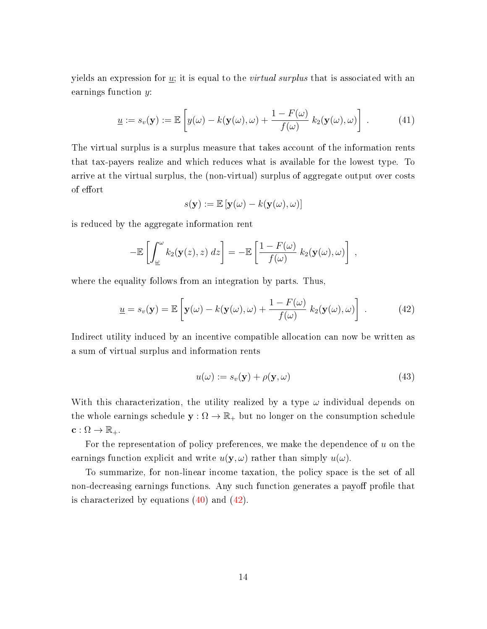yields an expression for  $\underline{u}$ ; it is equal to the *virtual surplus* that is associated with an earnings function y:

$$
\underline{u} := s_v(\mathbf{y}) := \mathbb{E}\left[y(\omega) - k(\mathbf{y}(\omega), \omega) + \frac{1 - F(\omega)}{f(\omega)} k_2(\mathbf{y}(\omega), \omega)\right]. \tag{41}
$$

The virtual surplus is a surplus measure that takes account of the information rents that tax-payers realize and which reduces what is available for the lowest type. To arrive at the virtual surplus, the (non-virtual) surplus of aggregate output over costs of effort

$$
s(\mathbf{y}) := \mathbb{E}\left[\mathbf{y}(\omega) - k(\mathbf{y}(\omega), \omega)\right]
$$

is reduced by the aggregate information rent

$$
-\mathbb{E}\left[\int_{\underline{\omega}}^{\omega} k_2(\mathbf{y}(z),z) dz\right] = -\mathbb{E}\left[\frac{1-F(\omega)}{f(\omega)} k_2(\mathbf{y}(\omega),\omega)\right],
$$

where the equality follows from an integration by parts. Thus,

<span id="page-13-0"></span>
$$
\underline{u} = s_v(\mathbf{y}) = \mathbb{E}\left[\mathbf{y}(\omega) - k(\mathbf{y}(\omega), \omega) + \frac{1 - F(\omega)}{f(\omega)} k_2(\mathbf{y}(\omega), \omega)\right].
$$
 (42)

Indirect utility induced by an incentive compatible allocation can now be written as a sum of virtual surplus and information rents

$$
u(\omega) := s_v(\mathbf{y}) + \rho(\mathbf{y}, \omega) \tag{43}
$$

With this characterization, the utility realized by a type  $\omega$  individual depends on the whole earnings schedule  $y: \Omega \to \mathbb{R}_+$  but no longer on the consumption schedule  $\mathbf{c}: \Omega \to \mathbb{R}_+.$ 

For the representation of policy preferences, we make the dependence of  $u$  on the earnings function explicit and write  $u(\mathbf{y}, \omega)$  rather than simply  $u(\omega)$ .

To summarize, for non-linear income taxation, the policy space is the set of all non-decreasing earnings functions. Any such function generates a payoff profile that is characterized by equations  $(40)$  and  $(42)$ .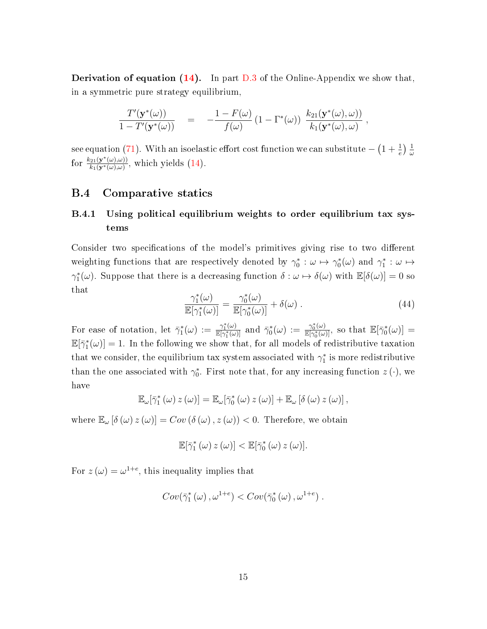**Derivation of equation [\(14\)](#page--1-17).** In part  $D.3$  of the Online-Appendix we show that, in a symmetric pure strategy equilibrium,

$$
\frac{T'(\mathbf{y}^*(\omega))}{1-T'(\mathbf{y}^*(\omega))} = -\frac{1-F(\omega)}{f(\omega)}\left(1-\Gamma^*(\omega)\right)\frac{k_{21}(\mathbf{y}^*(\omega),\omega)}{k_1(\mathbf{y}^*(\omega),\omega)},
$$

see equation [\(71\)](#page-34-1). With an isoelastic effort cost function we can substitute  $-\left(1+\frac{1}{e}\right)\frac{1}{\omega}$ ω for  $\frac{k_{21}(\mathbf{y}^*(\omega),\omega)}{k_1(\mathbf{y}^*(\omega),\omega)}$  $\frac{\partial^2 \Omega(\mathbf{y}^{\pi}(\omega),\omega)}{k_1(\mathbf{y}^{\ast}(\omega),\omega)},$  which yields  $(14)$ .

## B.4 Comparative statics

# B.4.1 Using political equilibrium weights to order equilibrium tax systems

Consider two specifications of the model's primitives giving rise to two different weighting functions that are respectively denoted by  $\gamma_0^*:\omega\mapsto\gamma_0^*(\omega)$  and  $\gamma_1^*:\omega\mapsto$  $\gamma_1^*(\omega)$ . Suppose that there is a decreasing function  $\delta : \omega \mapsto \delta(\omega)$  with  $\mathbb{E}[\delta(\omega)] = 0$  so that

$$
\frac{\gamma_1^*(\omega)}{\mathbb{E}[\gamma_1^*(\omega)]} = \frac{\gamma_0^*(\omega)}{\mathbb{E}[\gamma_0^*(\omega)]} + \delta(\omega) . \tag{44}
$$

For ease of notation, let  $\bar{\gamma}_1^*(\omega) := \frac{\gamma_1^*(\omega)}{\mathbb{E}[\gamma_1^*(\omega)]}$  $\frac{\gamma_1^*(\omega)}{{\mathbb E}[\gamma_1^*(\omega)]}$  and  $\bar{\gamma}_0^*(\omega) := \frac{\gamma_0^*(\omega)}{{\mathbb E}[\gamma_0^*(\omega)]}$  $\frac{\gamma_0^*(\omega)}{{\mathbb E}[\gamma_0^*(\omega)]}$ , so that  ${\mathbb E}[\bar{\gamma}_0^*(\omega)] =$  $\mathbb{E}[\bar{\gamma}_1^*(\omega)] = 1$ . In the following we show that, for all models of redistributive taxation that we consider, the equilibrium tax system associated with  $\gamma_1^*$  is more redistributive than the one associated with  $\gamma_0^*$ . First note that, for any increasing function  $z(\cdot)$ , we have

$$
\mathbb{E}_{\omega}[\bar{\gamma}_1^*(\omega) z(\omega)] = \mathbb{E}_{\omega}[\bar{\gamma}_0^*(\omega) z(\omega)] + \mathbb{E}_{\omega}[\delta(\omega) z(\omega)],
$$

where  $\mathbb{E}_{\omega} [\delta(\omega) z(\omega)] = Cov(\delta(\omega), z(\omega)) < 0$ . Therefore, we obtain

$$
\mathbb{E}[\bar{\gamma}_1^*(\omega) \, z(\omega)] < \mathbb{E}[\bar{\gamma}_0^*(\omega) \, z(\omega)].
$$

For  $z(\omega) = \omega^{1+e}$ , this inequality implies that

$$
Cov(\bar{\gamma}_1^*(\omega), \omega^{1+e}) < Cov(\bar{\gamma}_0^*(\omega), \omega^{1+e}).
$$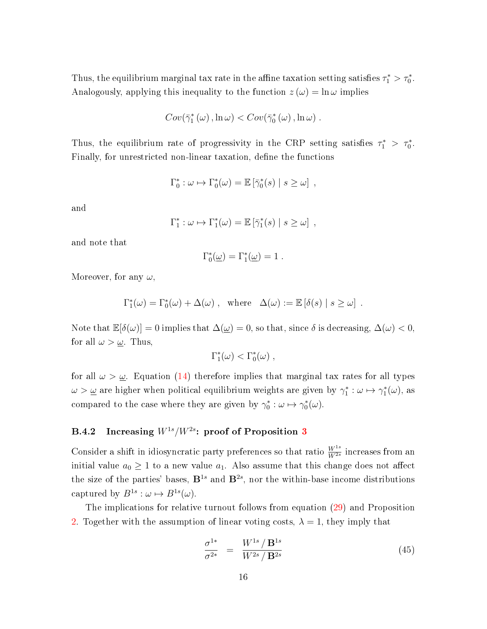Thus, the equilibrium marginal tax rate in the affine taxation setting satisfies  $\tau_1^* > \tau_0^*$ . Analogously, applying this inequality to the function  $z(\omega) = \ln \omega$  implies

$$
Cov(\bar{\gamma}_1^*(\omega), \ln \omega) < Cov(\bar{\gamma}_0^*(\omega), \ln \omega) .
$$

Thus, the equilibrium rate of progressivity in the CRP setting satisfies  $\tau_1^*$  >  $\tau_0^*$ . Finally, for unrestricted non-linear taxation, define the functions

$$
\Gamma_0^* : \omega \mapsto \Gamma_0^*(\omega) = \mathbb{E} \left[ \bar{\gamma}_0^*(s) \mid s \geq \omega \right],
$$

and

$$
\Gamma_1^* : \omega \mapsto \Gamma_1^*(\omega) = \mathbb{E} \left[ \bar{\gamma}_1^*(s) \mid s \geq \omega \right],
$$

and note that

$$
\Gamma_0^*(\underline{\omega}) = \Gamma_1^*(\underline{\omega}) = 1.
$$

Moreover, for any  $\omega$ ,

$$
\Gamma_1^*(\omega) = \Gamma_0^*(\omega) + \Delta(\omega) , \text{ where } \Delta(\omega) := \mathbb{E} [\delta(s) | s \ge \omega] .
$$

Note that  $\mathbb{E}[\delta(\omega)] = 0$  implies that  $\Delta(\omega) = 0$ , so that, since  $\delta$  is decreasing,  $\Delta(\omega) < 0$ , for all  $\omega > \underline{\omega}$ . Thus,

$$
\Gamma_1^*(\omega) < \Gamma_0^*(\omega) ,
$$

for all  $\omega > \underline{\omega}$ . Equation [\(14\)](#page--1-17) therefore implies that marginal tax rates for all types  $\omega > \underline{\omega}$  are higher when political equilibrium weights are given by  $\gamma_1^* : \omega \mapsto \gamma_1^*(\omega)$ , as compared to the case where they are given by  $\gamma_0^* : \omega \mapsto \gamma_0^*(\omega)$ .

# <span id="page-15-0"></span>B.4.2 Increasing  $W^{1s}/W^{2s}$ : proof of Proposition [3](#page--1-18)

Consider a shift in idiosyncratic party preferences so that ratio  $\frac{W^{1s}}{W^{2s}}$  increases from an initial value  $a_0 \geq 1$  to a new value  $a_1$ . Also assume that this change does not affect the size of the parties' bases,  $B^{1s}$  and  $B^{2s}$ , nor the within-base income distributions captured by  $B^{1s}: \omega \mapsto B^{1s}(\omega)$ .

The implications for relative turnout follows from equation [\(29\)](#page-2-3) and Proposition [2.](#page--1-7) Together with the assumption of linear voting costs,  $\lambda = 1$ , they imply that

$$
\frac{\sigma^{1*}}{\sigma^{2*}} = \frac{W^{1s}/\mathbf{B}^{1s}}{W^{2s}/\mathbf{B}^{2s}}
$$
\n(45)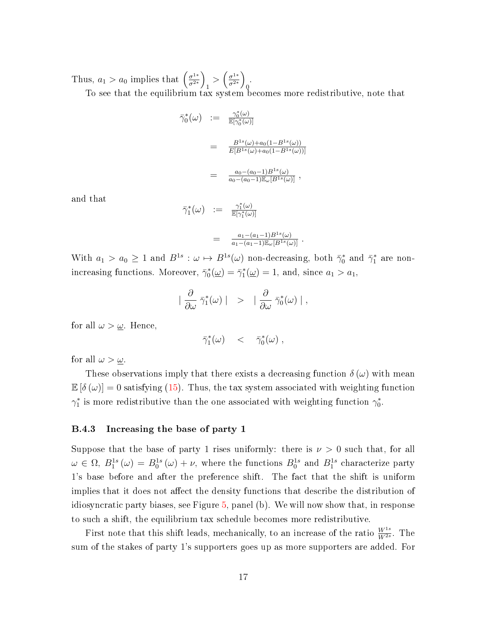Thus,  $a_1 > a_0$  implies that  $\left(\frac{\sigma^{1*}}{\sigma^{2*}}\right)$  $\frac{\sigma^{1*}}{\sigma^{2*}}$  $\frac{1}{1} > \left(\frac{\sigma^{1*}}{\sigma^{2*}}\right)$  $\frac{\sigma^{1*}}{\sigma^{2*}}$  $\overline{0}$ . To see that the equilibrium tax system becomes more redistributive, note that

$$
\begin{array}{rcl}\n\bar{\gamma}_0^*(\omega) & := & \frac{\gamma_0^*(\omega)}{\mathbb{E}[\gamma_0^*(\omega)]} \\
& = & \frac{B^{1s}(\omega) + a_0(1 - B^{1s}(\omega))}{E[B^{1s}(\omega) + a_0(1 - B^{1s}(\omega))]} \\
& = & \frac{a_0 - (a_0 - 1)B^{1s}(\omega)}{a_0 - (a_0 - 1)\mathbb{E}_{\omega}[B^{1s}(\omega)]}\n\end{array}
$$

and that

$$
\begin{array}{rcl}\n\bar{\gamma}_1^*(\omega) & := & \frac{\gamma_1^*(\omega)}{\mathbb{E}[\gamma_1^*(\omega)]} \\
& = & \frac{a_1 - (a_1 - 1)B^{1s}(\omega)}{a_1 - (a_1 - 1)\mathbb{E}_{\omega}[B^{1s}(\omega)]}\n\end{array}.
$$

With  $a_1 > a_0 \ge 1$  and  $B^{1s} : \omega \mapsto B^{1s}(\omega)$  non-decreasing, both  $\bar{\gamma}_0^*$  and  $\bar{\gamma}_1^*$  are nonincreasing functions. Moreover,  $\bar{\gamma}_0^*(\underline{\omega}) = \bar{\gamma}_1^*(\underline{\omega}) = 1$ , and, since  $a_1 > a_1$ ,

$$
\mid \frac{\partial}{\partial \omega} \; \bar{\gamma}^*_1(\omega) \mid \;\; > \;\; \mid \frac{\partial}{\partial \omega} \; \bar{\gamma}^*_0(\omega) \mid \; ,
$$

for all  $\omega > \underline{\omega}$ . Hence,

$$
\bar{\gamma}_1^*(\omega) \quad < \quad \bar{\gamma}_0^*(\omega) \; ,
$$

for all  $\omega > \underline{\omega}$ .

These observations imply that there exists a decreasing function  $\delta(\omega)$  with mean  $\mathbb{E}[\delta(\omega)]=0$  satisfying [\(15\)](#page--1-19). Thus, the tax system associated with weighting function  $\gamma_1^*$  is more redistributive than the one associated with weighting function  $\gamma_0^*$ .

### B.4.3 Increasing the base of party 1

Suppose that the base of party 1 rises uniformly: there is  $\nu > 0$  such that, for all  $\omega \in \Omega$ ,  $B_1^{1s}(\omega) = B_0^{1s}(\omega) + \nu$ , where the functions  $B_0^{1s}$  and  $B_1^{1s}$  characterize party 1's base before and after the preference shift. The fact that the shift is uniform implies that it does not affect the density functions that describe the distribution of idiosyncratic party biases, see Figure [5,](#page-17-0) panel (b). We will now show that, in response to such a shift, the equilibrium tax schedule becomes more redistributive.

First note that this shift leads, mechanically, to an increase of the ratio  $\frac{W^{1s}}{W^{2s}}$ . The sum of the stakes of party 1's supporters goes up as more supporters are added. For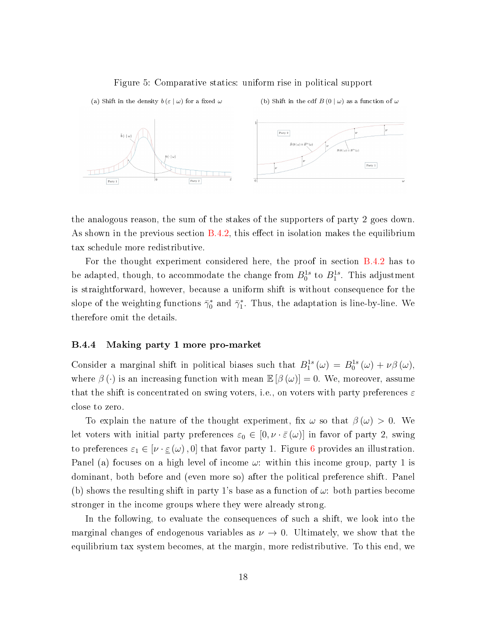#### <span id="page-17-0"></span>Figure 5: Comparative statics: uniform rise in political support



the analogous reason, the sum of the stakes of the supporters of party 2 goes down. As shown in the previous section  $B.4.2$ , this effect in isolation makes the equilibrium tax schedule more redistributive.

For the thought experiment considered here, the proof in section [B.4.2](#page-15-0) has to be adapted, though, to accommodate the change from  $B_0^{1s}$  to  $B_1^{1s}$ . This adjustment is straightforward, however, because a uniform shift is without consequence for the slope of the weighting functions  $\bar{\gamma}_0^*$  and  $\bar{\gamma}_1^*$ . Thus, the adaptation is line-by-line. We therefore omit the details.

#### B.4.4 Making party 1 more pro-market

Consider a marginal shift in political biases such that  $B_1^{1s}(\omega) = B_0^{1s}(\omega) + \nu \beta(\omega)$ , where  $\beta(\cdot)$  is an increasing function with mean  $\mathbb{E}[\beta(\omega)]=0$ . We, moreover, assume that the shift is concentrated on swing voters, i.e., on voters with party preferences  $\varepsilon$ close to zero.

To explain the nature of the thought experiment, fix  $\omega$  so that  $\beta(\omega) > 0$ . We let voters with initial party preferences  $\varepsilon_0 \in [0, \nu \cdot \bar{\varepsilon}(\omega)]$  in favor of party 2, swing to preferences  $\varepsilon_1 \in [\nu \cdot \underline{\varepsilon}(\omega), 0]$  that favor party 1. Figure [6](#page-18-0) provides an illustration. Panel (a) focuses on a high level of income  $\omega$ : within this income group, party 1 is dominant, both before and (even more so) after the political preference shift. Panel (b) shows the resulting shift in party 1's base as a function of  $\omega$ : both parties become stronger in the income groups where they were already strong.

In the following, to evaluate the consequences of such a shift, we look into the marginal changes of endogenous variables as  $\nu \rightarrow 0$ . Ultimately, we show that the equilibrium tax system becomes, at the margin, more redistributive. To this end, we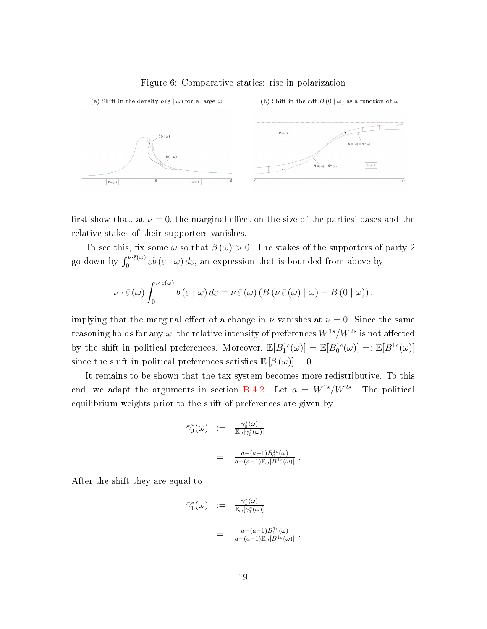#### <span id="page-18-0"></span>Figure 6: Comparative statics: rise in polarization



first show that, at  $\nu = 0$ , the marginal effect on the size of the parties' bases and the relative stakes of their supporters vanishes.

To see this, fix some  $\omega$  so that  $\beta(\omega) > 0$ . The stakes of the supporters of party 2 go down by  $\int_0^{\nu \cdot \bar{\varepsilon}(\omega)} \varepsilon b(\varepsilon \mid \omega) d\varepsilon$ , an expression that is bounded from above by

$$
\nu \cdot \bar{\varepsilon}(\omega) \int_0^{\nu \cdot \bar{\varepsilon}(\omega)} b(\varepsilon \mid \omega) d\varepsilon = \nu \, \bar{\varepsilon}(\omega) \left( B(\nu \, \bar{\varepsilon}(\omega) \mid \omega) - B(0 \mid \omega) \right),
$$

implying that the marginal effect of a change in  $\nu$  vanishes at  $\nu = 0$ . Since the same reasoning holds for any  $\omega,$  the relative intensity of preferences  $W^{1s}/W^{2s}$  is not affected by the shift in political preferences. Moreover,  $\mathbb{E}[B_1^{1s}(\omega)] = \mathbb{E}[B_0^{1s}(\omega)] =: \mathbb{E}[B^{1s}(\omega)]$ since the shift in political preferences satisfies  $\mathbb{E}[\beta(\omega)] = 0$ .

It remains to be shown that the tax system becomes more redistributive. To this end, we adapt the arguments in section [B.4.2.](#page-15-0) Let  $a = W^{1s}/W^{2s}$ . The political equilibrium weights prior to the shift of preferences are given by

$$
\begin{array}{rcl}\n\bar{\gamma}_0^*(\omega) & := & \frac{\gamma_0^*(\omega)}{\mathbb{E}_{\omega}[\gamma_0^*(\omega)]} \\
& = & \frac{a - (a - 1)B_0^{1s}(\omega)}{a - (a - 1)\mathbb{E}_{\omega}[B^{1s}(\omega)]}\n\end{array}.
$$

After the shift they are equal to

$$
\begin{array}{rcl}\n\bar{\gamma}_1^*(\omega) & := & \frac{\gamma_1^*(\omega)}{\mathbb{E}_{\omega}[\gamma_1^*(\omega)]} \\
& = & \frac{a - (a - 1)B_1^{1s}(\omega)}{a - (a - 1)\mathbb{E}_{\omega}[B^{1s}(\omega)]}\n\end{array}.
$$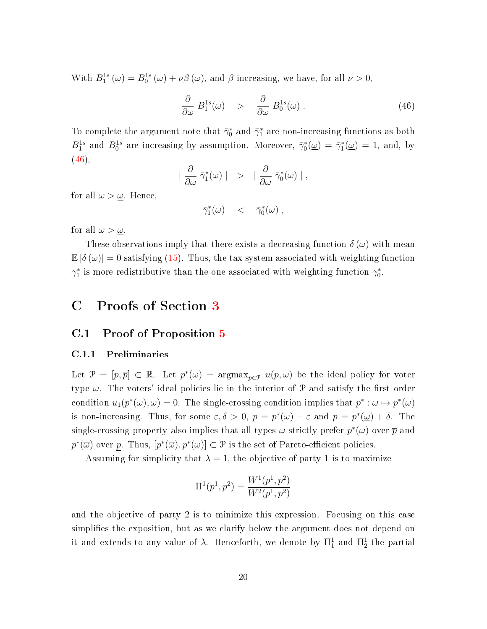With  $B_1^{1s}(\omega) = B_0^{1s}(\omega) + \nu \beta(\omega)$ , and  $\beta$  increasing, we have, for all  $\nu > 0$ ,

<span id="page-19-0"></span>
$$
\frac{\partial}{\partial \omega} B_1^{1s}(\omega) \quad > \quad \frac{\partial}{\partial \omega} B_0^{1s}(\omega) \tag{46}
$$

To complete the argument note that  $\bar{\gamma}_0^*$  and  $\bar{\gamma}_1^*$  are non-increasing functions as both  $B_1^{1s}$  and  $B_0^{1s}$  are increasing by assumption. Moreover,  $\bar{\gamma}_0^*(\underline{\omega}) = \bar{\gamma}_1^*(\underline{\omega}) = 1$ , and, by  $(46)$ ,

$$
\mid \frac{\partial}{\partial \omega} \bar{\gamma}^*_1(\omega) \mid \quad > \quad \mid \frac{\partial}{\partial \omega} \bar{\gamma}^*_0(\omega) \mid,
$$

for all  $\omega > \underline{\omega}$ . Hence,

$$
\bar{\gamma}_1^*(\omega) \quad < \quad \bar{\gamma}_0^*(\omega) \; ,
$$

for all  $\omega > \underline{\omega}$ .

These observations imply that there exists a decreasing function  $\delta(\omega)$  with mean  $\mathbb{E}[\delta(\omega)] = 0$  satisfying [\(15\)](#page--1-19). Thus, the tax system associated with weighting function  $\gamma_1^*$  is more redistributive than the one associated with weighting function  $\gamma_0^*$ .

# C Proofs of Section [3](#page--1-20)

### C.1 Proof of Proposition [5](#page--1-21)

#### C.1.1 Preliminaries

Let  $\mathcal{P} = [\underline{p}, \overline{p}] \subset \mathbb{R}$ . Let  $p^*(\omega) = \operatorname{argmax}_{p \in \mathcal{P}} u(p, \omega)$  be the ideal policy for voter type  $\omega$ . The voters' ideal policies lie in the interior of  $\mathcal P$  and satisfy the first order condition  $u_1(p^*(\omega), \omega) = 0$ . The single-crossing condition implies that  $p^* : \omega \mapsto p^*(\omega)$ is non-increasing. Thus, for some  $\varepsilon, \delta > 0$ ,  $p = p^*(\overline{\omega}) - \varepsilon$  and  $\overline{p} = p^*(\underline{\omega}) + \delta$ . The single-crossing property also implies that all types  $\omega$  strictly prefer  $p^*(\underline{\omega})$  over  $\overline{p}$  and  $p^*(\overline{\omega})$  over p. Thus,  $[p^*(\overline{\omega}), p^*(\underline{\omega})] \subset \mathcal{P}$  is the set of Pareto-efficient policies.

Assuming for simplicity that  $\lambda = 1$ , the objective of party 1 is to maximize

$$
\Pi^{1}(p^{1},p^{2}) = \frac{W^{1}(p^{1},p^{2})}{W^{2}(p^{1},p^{2})}
$$

and the objective of party 2 is to minimize this expression. Focusing on this case simplifies the exposition, but as we clarify below the argument does not depend on it and extends to any value of  $\lambda$ . Henceforth, we denote by  $\Pi^1_1$  and  $\Pi^1_2$  the partial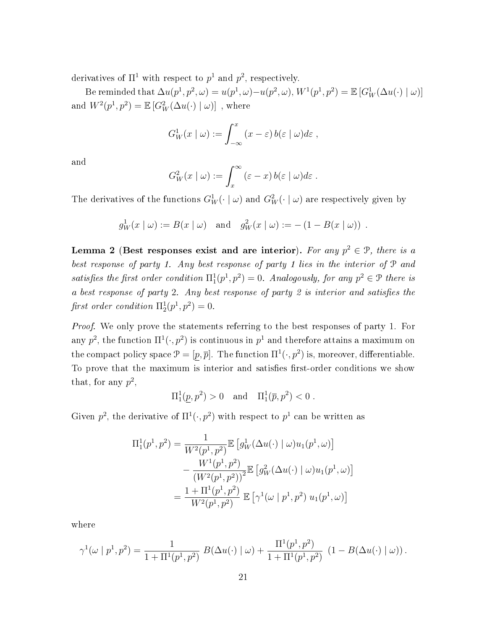derivatives of  $\Pi^1$  with respect to  $p^1$  and  $p^2$ , respectively.

Be reminded that  $\Delta u(p^1, p^2, \omega) = u(p^1, \omega) - u(p^2, \omega), W^1(p^1, p^2) = \mathbb{E} [G_W^1(\Delta u(\cdot) \mid \omega)]$ and  $W^2(p^1, p^2) = \mathbb{E} [G_W^2(\Delta u(\cdot) \mid \omega)]$  , where

$$
G_W^1(x \mid \omega) := \int_{-\infty}^x (x - \varepsilon) b(\varepsilon \mid \omega) d\varepsilon,
$$

and

$$
G_W^2(x \mid \omega) := \int_x^\infty (\varepsilon - x) b(\varepsilon \mid \omega) d\varepsilon.
$$

The derivatives of the functions  $G_W^1(\cdot \mid \omega)$  and  $G_W^2(\cdot \mid \omega)$  are respectively given by

$$
g_W^1(x \mid \omega) := B(x \mid \omega)
$$
 and  $g_W^2(x \mid \omega) := -(1 - B(x \mid \omega))$ .

<span id="page-20-0"></span>Lemma 2 (Best responses exist and are interior). For any  $p^2 \in \mathcal{P}$ , there is a best response of party 1. Any best response of party 1 lies in the interior of P and satisfies the first order condition  $\Pi_1^1(p^1, p^2) = 0$ . Analogously, for any  $p^2 \in \mathcal{P}$  there is a best response of party 2. Any best response of party 2 is interior and satisfies the first order condition  $\Pi_2^1(p^1, p^2) = 0$ .

Proof. We only prove the statements referring to the best responses of party 1. For any  $p^2$ , the function  $\Pi^1(\cdot,p^2)$  is continuous in  $p^1$  and therefore attains a maximum on the compact policy space  $\mathcal{P} = [p, \overline{p}]$ . The function  $\Pi^1(\cdot, p^2)$  is, moreover, differentiable. To prove that the maximum is interior and satisfies first-order conditions we show that, for any  $p^2$ ,

$$
\Pi_1^1(\underline{p}, p^2) > 0
$$
 and  $\Pi_1^1(\overline{p}, p^2) < 0$ .

Given  $p^2$ , the derivative of  $\Pi^1(\cdot, p^2)$  with respect to  $p^1$  can be written as

$$
\Pi_1^1(p^1, p^2) = \frac{1}{W^2(p^1, p^2)} \mathbb{E} \left[ g_W^1(\Delta u(\cdot) \mid \omega) u_1(p^1, \omega) \right] \n- \frac{W^1(p^1, p^2)}{(W^2(p^1, p^2))^2} \mathbb{E} \left[ g_W^2(\Delta u(\cdot) \mid \omega) u_1(p^1, \omega) \right] \n= \frac{1 + \Pi^1(p^1, p^2)}{W^2(p^1, p^2)} \mathbb{E} \left[ \gamma^1(\omega \mid p^1, p^2) u_1(p^1, \omega) \right]
$$

where

$$
\gamma^1(\omega \mid p^1, p^2) = \frac{1}{1 + \Pi^1(p^1, p^2)} B(\Delta u(\cdot) \mid \omega) + \frac{\Pi^1(p^1, p^2)}{1 + \Pi^1(p^1, p^2)} (1 - B(\Delta u(\cdot) \mid \omega)).
$$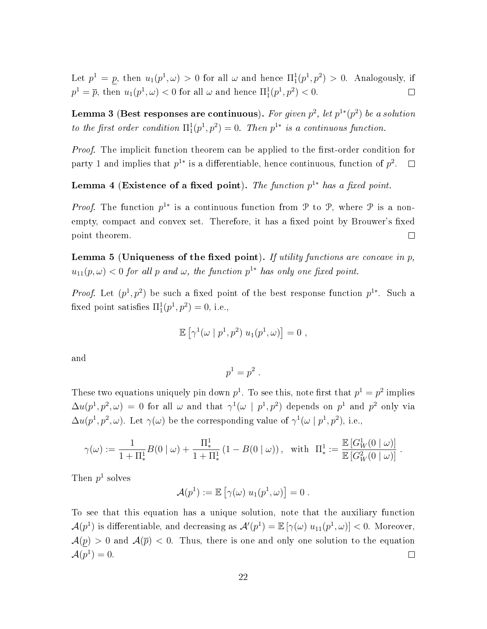Let  $p^1 = p$ , then  $u_1(p^1, \omega) > 0$  for all  $\omega$  and hence  $\Pi_1^1(p^1, p^2) > 0$ . Analogously, if  $p^1 = \overline{p}$ , then  $u_1(p^1, \omega) < 0$  for all  $\omega$  and hence  $\Pi_1^1(p^1, p^2) < 0$ .  $\Box$ 

Lemma 3 (Best responses are continuous). For given  $p^2$ , let  $p^{1*}(p^2)$  be a solution to the first order condition  $\Pi_1^1(p^1, p^2) = 0$ . Then  $p^{1*}$  is a continuous function.

*Proof.* The implicit function theorem can be applied to the first-order condition for party 1 and implies that  $p^{1*}$  is a differentiable, hence continuous, function of  $p^2$ .  $\Box$ 

<span id="page-21-1"></span>Lemma 4 (Existence of a fixed point). The function  $p^{1*}$  has a fixed point.

*Proof.* The function  $p^{1*}$  is a continuous function from P to P, where P is a nonempty, compact and convex set. Therefore, it has a fixed point by Brouwer's fixed point theorem.  $\Box$ 

<span id="page-21-0"></span>**Lemma 5** (Uniqueness of the fixed point). If utility functions are concave in  $p$ ,  $u_{11}(p,\omega) < 0$  for all p and  $\omega$ , the function  $p^{1*}$  has only one fixed point.

*Proof.* Let  $(p^1, p^2)$  be such a fixed point of the best response function  $p^{1*}$ . Such a fixed point satisfies  $\Pi_1^1(p^1, p^2) = 0$ , i.e.,

$$
\mathbb{E}\left[\gamma^1(\omega \mid p^1, p^2) u_1(p^1, \omega)\right] = 0,
$$

and

$$
p^1=p^2.
$$

These two equations uniquely pin down  $p^1$ . To see this, note first that  $p^1 = p^2$  implies  $\Delta u(p^1,p^2,\omega) = 0$  for all  $\omega$  and that  $\gamma^1(\omega | p^1,p^2)$  depends on  $p^1$  and  $p^2$  only via  $\Delta u(p^1, p^2, \omega)$ . Let  $\gamma(\omega)$  be the corresponding value of  $\gamma^1(\omega | p^1, p^2)$ , i.e.,

$$
\gamma(\omega) := \frac{1}{1 + \Pi_*^1} B(0 \mid \omega) + \frac{\Pi_*^1}{1 + \Pi_*^1} (1 - B(0 \mid \omega)), \text{ with } \Pi_*^1 := \frac{\mathbb{E} [G_W^1(0 \mid \omega)]}{\mathbb{E} [G_W^2(0 \mid \omega)]} .
$$

Then  $p^1$  solves

$$
\mathcal{A}(p^1) := \mathbb{E}\left[\gamma(\omega) u_1(p^1,\omega)\right] = 0.
$$

To see that this equation has a unique solution, note that the auxiliary function  $\mathcal{A}(p^1)$  is differentiable, and decreasing as  $\mathcal{A}'(p^1)=\mathbb{E}\left[\gamma(\omega)\;u_{11}(p^1,\omega)\right]<0.$  Moreover,  $\mathcal{A}(p) > 0$  and  $\mathcal{A}(\overline{p}) < 0$ . Thus, there is one and only one solution to the equation  $\mathcal{A}(p^1)=0.$  $\Box$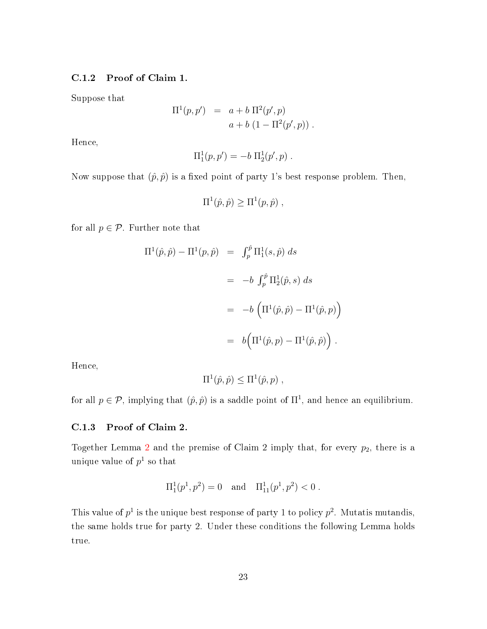### C.1.2 Proof of Claim 1.

Suppose that

$$
\Pi^{1}(p, p') = a + b \Pi^{2}(p', p)
$$
  
 
$$
a + b (1 - \Pi^{2}(p', p)).
$$

Hence,

$$
\Pi_1^1(p,p') = -b \Pi_2^1(p',p) .
$$

Now suppose that  $(\hat{p}, \hat{p})$  is a fixed point of party 1's best response problem. Then,

$$
\Pi^{1}(\hat{p}, \hat{p}) \geq \Pi^{1}(p, \hat{p}),
$$

for all  $p \in \mathcal{P}$ . Further note that

$$
\Pi^{1}(\hat{p}, \hat{p}) - \Pi^{1}(p, \hat{p}) = \int_{p}^{\hat{p}} \Pi_{1}^{1}(s, \hat{p}) ds
$$
  

$$
= -b \int_{p}^{\hat{p}} \Pi_{2}^{1}(\hat{p}, s) ds
$$
  

$$
= -b \left( \Pi^{1}(\hat{p}, \hat{p}) - \Pi^{1}(\hat{p}, p) \right)
$$
  

$$
= b \left( \Pi^{1}(\hat{p}, p) - \Pi^{1}(\hat{p}, \hat{p}) \right).
$$

Hence,

$$
\Pi^{1}(\hat{p},\hat{p}) \leq \Pi^{1}(\hat{p},p) ,
$$

for all  $p \in \mathcal{P}$ , implying that  $(\hat{p}, \hat{p})$  is a saddle point of  $\Pi^1$ , and hence an equilibrium.

#### C.1.3 Proof of Claim 2.

Together Lemma [2](#page-20-0) and the premise of Claim 2 imply that, for every  $p_2$ , there is a unique value of  $p^1$  so that

$$
\Pi_1^1(p^1, p^2) = 0
$$
 and  $\Pi_{11}^1(p^1, p^2) < 0$ .

This value of  $p<sup>1</sup>$  is the unique best response of party 1 to policy  $p<sup>2</sup>$ . Mutatis mutandis, the same holds true for party 2. Under these conditions the following Lemma holds true.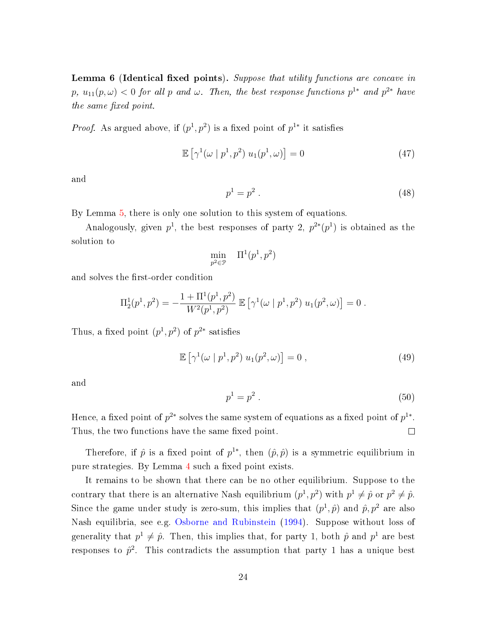**Lemma 6 (Identical fixed points).** Suppose that utility functions are concave in  $p, u_{11}(p, \omega) < 0$  for all  $p$  and  $\omega$ . Then, the best response functions  $p^{1*}$  and  $p^{2*}$  have the same fixed point.

*Proof.* As argued above, if  $(p^1, p^2)$  is a fixed point of  $p^{1*}$  it satisfies

$$
\mathbb{E}\left[\gamma^1(\omega \mid p^1, p^2) u_1(p^1, \omega)\right] = 0 \tag{47}
$$

and

$$
p^1 = p^2 \tag{48}
$$

By Lemma [5,](#page-21-0) there is only one solution to this system of equations.

Analogously, given  $p^1$ , the best responses of party 2,  $p^{2*}(p^1)$  is obtained as the solution to

$$
\min_{p^2 \in \mathcal{P}} \quad \Pi^1(p^1, p^2)
$$

and solves the first-order condition

$$
\Pi_2^1(p^1, p^2) = -\frac{1 + \Pi^1(p^1, p^2)}{W^2(p^1, p^2)} \mathbb{E} \left[ \gamma^1(\omega \mid p^1, p^2) u_1(p^2, \omega) \right] = 0.
$$

Thus, a fixed point  $(p^1, p^2)$  of  $p^{2*}$  satisfies

$$
\mathbb{E}\left[\gamma^1(\omega \mid p^1, p^2) u_1(p^2, \omega)\right] = 0 , \qquad (49)
$$

and

$$
p^1 = p^2 \tag{50}
$$

Hence, a fixed point of  $p^{2*}$  solves the same system of equations as a fixed point of  $p^{1*}$ . Thus, the two functions have the same fixed point.  $\Box$ 

Therefore, if  $\hat{p}$  is a fixed point of  $p^{1*}$ , then  $(\hat{p}, \hat{p})$  is a symmetric equilibrium in pure strategies. By Lemma [4](#page-21-1) such a fixed point exists.

It remains to be shown that there can be no other equilibrium. Suppose to the contrary that there is an alternative Nash equilibrium  $(p^1, p^2)$  with  $p^1 \neq \hat{p}$  or  $p^2 \neq \hat{p}$ . Since the game under study is zero-sum, this implies that  $(p^1, \hat{p})$  and  $\hat{p}, p^2$  are also Nash equilibria, see e.g. [Osborne and Rubinstein](#page--1-8) [\(1994\)](#page--1-8). Suppose without loss of generality that  $p^1 \neq \hat{p}$ . Then, this implies that, for party 1, both  $\hat{p}$  and  $p^1$  are best responses to  $\hat{p}^2$ . This contradicts the assumption that party 1 has a unique best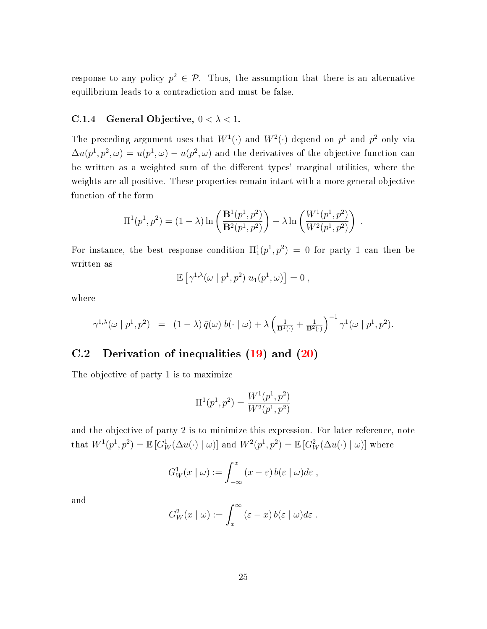response to any policy  $p^2 \in \mathcal{P}$ . Thus, the assumption that there is an alternative equilibrium leads to a contradiction and must be false.

### C.1.4 General Objective,  $0 < \lambda < 1$ .

The preceding argument uses that  $W^1(\cdot)$  and  $W^2(\cdot)$  depend on  $p^1$  and  $p^2$  only via  $\Delta u(p^1,p^2,\omega) = u(p^1,\omega) - u(p^2,\omega)$  and the derivatives of the objective function can be written as a weighted sum of the different types' marginal utilities, where the weights are all positive. These properties remain intact with a more general objective function of the form

$$
\Pi^{1}(p^{1}, p^{2}) = (1 - \lambda) \ln \left( \frac{\mathbf{B}^{1}(p^{1}, p^{2})}{\mathbf{B}^{2}(p^{1}, p^{2})} \right) + \lambda \ln \left( \frac{W^{1}(p^{1}, p^{2})}{W^{2}(p^{1}, p^{2})} \right).
$$

For instance, the best response condition  $\Pi_1^1(p^1,p^2) = 0$  for party 1 can then be written as

$$
\mathbb{E}\left[\gamma^{1,\lambda}(\omega \mid p^1, p^2) u_1(p^1, \omega)\right] = 0,
$$

where

$$
\gamma^{1,\lambda}(\omega \mid p^1, p^2) = (1-\lambda) \bar{q}(\omega) b(\cdot \mid \omega) + \lambda \left(\frac{1}{\mathbf{B}^1(\cdot)} + \frac{1}{\mathbf{B}^2(\cdot)}\right)^{-1} \gamma^1(\omega \mid p^1, p^2).
$$

# C.2 Derivation of inequalities [\(19\)](#page--1-22) and [\(20\)](#page--1-23)

The objective of party 1 is to maximize

$$
\Pi^{1}(p^{1},p^{2}) = \frac{W^{1}(p^{1},p^{2})}{W^{2}(p^{1},p^{2})}
$$

and the objective of party 2 is to minimize this expression. For later reference, note that  $W^1(p^1, p^2) = \mathbb{E} [G_W^1(\Delta u(\cdot) \mid \omega)]$  and  $W^2(p^1, p^2) = \mathbb{E} [G_W^2(\Delta u(\cdot) \mid \omega)]$  where

$$
G_W^1(x \mid \omega) := \int_{-\infty}^x (x - \varepsilon) b(\varepsilon \mid \omega) d\varepsilon,
$$

and

$$
G_W^2(x \mid \omega) := \int_x^\infty (\varepsilon - x) b(\varepsilon \mid \omega) d\varepsilon.
$$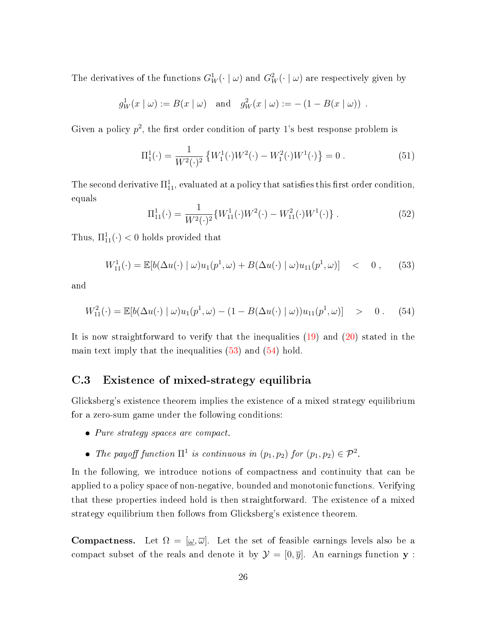The derivatives of the functions  $G_W^1(\cdot \mid \omega)$  and  $G_W^2(\cdot \mid \omega)$  are respectively given by

$$
g_W^1(x \mid \omega) := B(x \mid \omega)
$$
 and  $g_W^2(x \mid \omega) := -(1 - B(x \mid \omega))$ .

Given a policy  $p^2$ , the first order condition of party 1's best response problem is

$$
\Pi_1^1(\cdot) = \frac{1}{W^2(\cdot)^2} \left\{ W_1^1(\cdot) W^2(\cdot) - W_1^2(\cdot) W^1(\cdot) \right\} = 0.
$$
 (51)

The second derivative  $\Pi^1_{11}$ , evaluated at a policy that satisfies this first order condition, equals

$$
\Pi_{11}^1(\cdot) = \frac{1}{W^2(\cdot)^2} \{ W_{11}^1(\cdot) W^2(\cdot) - W_{11}^2(\cdot) W^1(\cdot) \} . \tag{52}
$$

Thus,  $\Pi_{11}^1(\cdot) < 0$  holds provided that

<span id="page-25-0"></span>
$$
W_{11}^1(\cdot) = \mathbb{E}[b(\Delta u(\cdot) \mid \omega)u_1(p^1, \omega) + B(\Delta u(\cdot) \mid \omega)u_{11}(p^1, \omega)] < 0, \quad (53)
$$

and

<span id="page-25-1"></span>
$$
W_{11}^2(\cdot) = \mathbb{E}[b(\Delta u(\cdot) \mid \omega)u_1(p^1, \omega) - (1 - B(\Delta u(\cdot) \mid \omega))u_{11}(p^1, \omega)] > 0. \quad (54)
$$

It is now straightforward to verify that the inequalities [\(19\)](#page--1-22) and [\(20\)](#page--1-23) stated in the main text imply that the inequalities  $(53)$  and  $(54)$  hold.

# C.3 Existence of mixed-strategy equilibria

Glicksberg's existence theorem implies the existence of a mixed strategy equilibrium for a zero-sum game under the following conditions:

- Pure strategy spaces are compact.
- The payoff function  $\Pi^1$  is continuous in  $(p_1, p_2)$  for  $(p_1, p_2) \in \mathcal{P}^2$ .

In the following, we introduce notions of compactness and continuity that can be applied to a policy space of non-negative, bounded and monotonic functions. Verifying that these properties indeed hold is then straightforward. The existence of a mixed strategy equilibrium then follows from Glicksberg's existence theorem.

**Compactness.** Let  $\Omega = [\underline{\omega}, \overline{\omega}]$ . Let the set of feasible earnings levels also be a compact subset of the reals and denote it by  $\mathcal{Y} = [0, \overline{y}]$ . An earnings function **y** :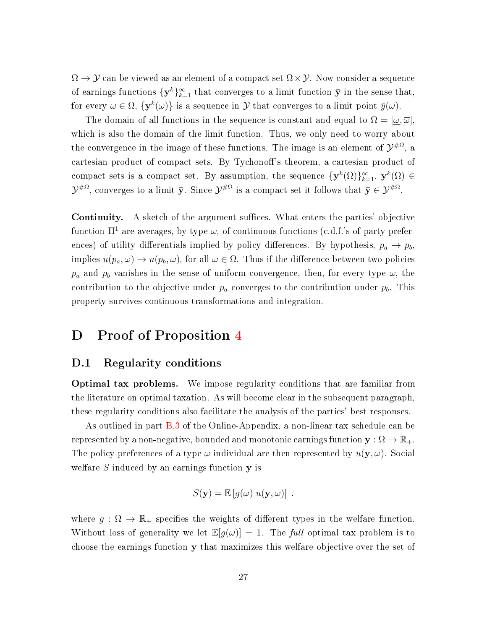$\Omega \to \mathcal{Y}$  can be viewed as an element of a compact set  $\Omega \times \mathcal{Y}$ . Now consider a sequence of earnings functions  $\{y^k\}_{k=1}^{\infty}$  that converges to a limit function  $\bar{y}$  in the sense that, for every  $\omega \in \Omega$ ,  $\{y^k(\omega)\}\$ is a sequence in  $\mathcal Y$  that converges to a limit point  $\bar{y}(\omega)$ .

The domain of all functions in the sequence is constant and equal to  $\Omega = [\omega, \overline{\omega}]$ . which is also the domain of the limit function. Thus, we only need to worry about the convergence in the image of these functions. The image is an element of  $\mathcal{Y}^{\# \Omega},$  a cartesian product of compact sets. By Tychonoff's theorem, a cartesian product of compact sets is a compact set. By assumption, the sequence  $\{y^k(\Omega)\}_{k=1}^{\infty}$ ,  $y^k(\Omega) \in$  $\mathcal{Y}^{\# \Omega},$  converges to a limit  $\bar{\mathbf{y}}$ . Since  $\mathcal{Y}^{\# \Omega}$  is a compact set it follows that  $\bar{\mathbf{y}} \in \mathcal{Y}^{\# \Omega}.$ 

**Continuity.** A sketch of the argument suffices. What enters the parties' objective function  $\Pi^1$  are averages, by type  $\omega$ , of continuous functions (c.d.f.'s of party preferences) of utility differentials implied by policy differences. By hypothesis,  $p_a \rightarrow p_b$ implies  $u(p_a, \omega) \to u(p_b, \omega)$ , for all  $\omega \in \Omega$ . Thus if the difference between two policies  $p_a$  and  $p_b$  vanishes in the sense of uniform convergence, then, for every type  $\omega$ , the contribution to the objective under  $p_a$  converges to the contribution under  $p_b$ . This property survives continuous transformations and integration.

# D Proof of Proposition [4](#page--1-24)

## D.1 Regularity conditions

Optimal tax problems. We impose regularity conditions that are familiar from the literature on optimal taxation. As will become clear in the subsequent paragraph, these regularity conditions also facilitate the analysis of the parties' best responses.

As outlined in part [B.3](#page-11-0) of the Online-Appendix, a non-linear tax schedule can be represented by a non-negative, bounded and monotonic earnings function  $\mathbf{y} : \Omega \to \mathbb{R}_+$ . The policy preferences of a type  $\omega$  individual are then represented by  $u(\mathbf{y}, \omega)$ . Social welfare  $S$  induced by an earnings function  $y$  is

$$
S(\mathbf{y}) = \mathbb{E}\left[g(\omega) \, u(\mathbf{y}, \omega)\right] \, .
$$

where  $g : \Omega \to \mathbb{R}_+$  specifies the weights of different types in the welfare function. Without loss of generality we let  $\mathbb{E}[g(\omega)] = 1$ . The full optimal tax problem is to choose the earnings function y that maximizes this welfare objective over the set of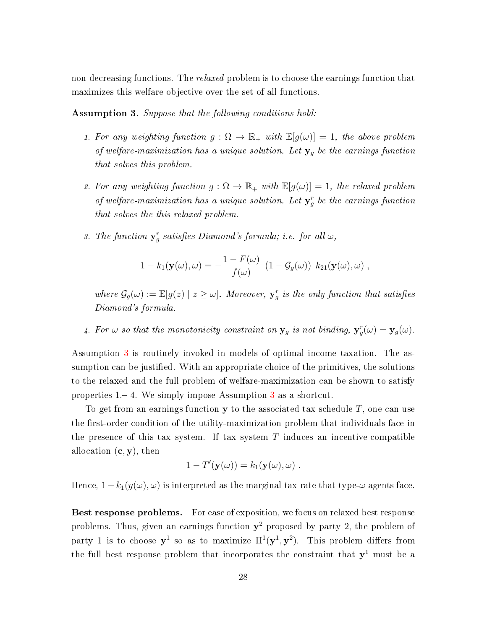non-decreasing functions. The *relaxed* problem is to choose the earnings function that maximizes this welfare objective over the set of all functions.

<span id="page-27-0"></span>Assumption 3. Suppose that the following conditions hold:

- 1. For any weighting function  $g : \Omega \to \mathbb{R}_+$  with  $\mathbb{E}[g(\omega)] = 1$ , the above problem of welfare-maximization has a unique solution. Let  $y_g$  be the earnings function that solves this problem.
- 2. For any weighting function  $g: \Omega \to \mathbb{R}_+$  with  $\mathbb{E}[g(\omega)] = 1$ , the relaxed problem of welfare-maximization has a unique solution. Let  $y_g^r$  be the earnings function that solves the this relaxed problem.
- 3. The function  $y_g^r$  satisfies Diamond's formula; i.e. for all  $\omega$ ,

$$
1 - k_1(\mathbf{y}(\omega), \omega) = -\frac{1 - F(\omega)}{f(\omega)} (1 - \mathcal{G}_g(\omega)) k_{21}(\mathbf{y}(\omega), \omega) ,
$$

where  $\mathcal{G}_g(\omega) := \mathbb{E}[g(z) | z \geq \omega]$ . Moreover,  $\mathbf{y}_g^r$  is the only function that satisfies Diamond's formula.

4. For  $\omega$  so that the monotonicity constraint on  $y_g$  is not binding,  $y_g^r(\omega) = y_g(\omega)$ .

Assumption [3](#page-27-0) is routinely invoked in models of optimal income taxation. The assumption can be justified. With an appropriate choice of the primitives, the solutions to the relaxed and the full problem of welfare-maximization can be shown to satisfy properties  $1 - 4$ . We simply impose Assumption [3](#page-27-0) as a shortcut.

To get from an earnings function  $y$  to the associated tax schedule  $T$ , one can use the first-order condition of the utility-maximization problem that individuals face in the presence of this tax system. If tax system  $T$  induces an incentive-compatible allocation  $(c, y)$ , then

$$
1-T'(\mathbf{y}(\omega))=k_1(\mathbf{y}(\omega),\omega).
$$

Hence,  $1-k_1(y(\omega), \omega)$  is interpreted as the marginal tax rate that type- $\omega$  agents face.

Best response problems. For ease of exposition, we focus on relaxed best response problems. Thus, given an earnings function  $y^2$  proposed by party 2, the problem of party 1 is to choose  $y^1$  so as to maximize  $\Pi^1(y^1, y^2)$ . This problem differs from the full best response problem that incorporates the constraint that  $y^1$  must be a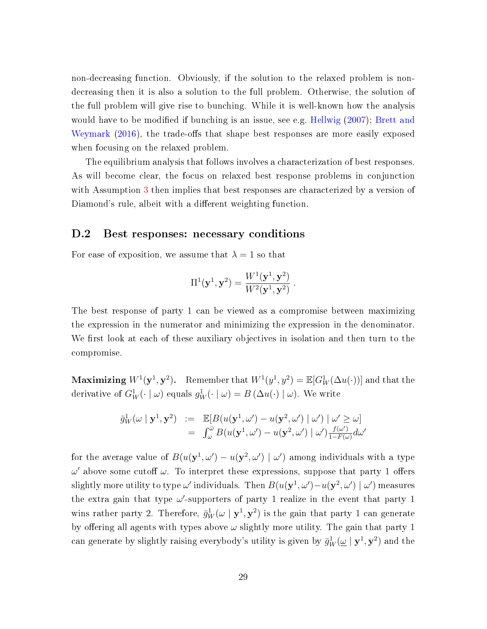non-decreasing function. Obviously, if the solution to the relaxed problem is nondecreasing then it is also a solution to the full problem. Otherwise, the solution of the full problem will give rise to bunching. While it is well-known how the analysis would have to be modified if bunching is an issue, see e.g. [Hellwig](#page--1-25)  $(2007)$ ; [Brett and](#page--1-26) [Weymark](#page--1-26) [\(2016\)](#page--1-26), the trade-offs that shape best responses are more easily exposed when focusing on the relaxed problem.

The equilibrium analysis that follows involves a characterization of best responses. As will become clear, the focus on relaxed best response problems in conjunction with Assumption [3](#page-27-0) then implies that best responses are characterized by a version of Diamond's rule, albeit with a different weighting function.

## D.2 Best responses: necessary conditions

For ease of exposition, we assume that  $\lambda = 1$  so that

$$
\Pi^{1}(\mathbf{y}^{1}, \mathbf{y}^{2}) = \frac{W^{1}(\mathbf{y}^{1}, \mathbf{y}^{2})}{W^{2}(\mathbf{y}^{1}, \mathbf{y}^{2})}.
$$

The best response of party 1 can be viewed as a compromise between maximizing the expression in the numerator and minimizing the expression in the denominator. We first look at each of these auxiliary objectives in isolation and then turn to the compromise.

Maximizing  $W^1(\mathbf{y}^1, \mathbf{y}^2)$ . Remember that  $W^1(y^1, y^2) = \mathbb{E}[G^1_W(\Delta u(\cdot))]$  and that the derivative of  $G_W^1(\cdot \mid \omega)$  equals  $g_W^1(\cdot \mid \omega) = B(\Delta u(\cdot) \mid \omega)$ . We write

$$
\bar{g}_W^1(\omega \mid \mathbf{y}^1, \mathbf{y}^2) := \mathbb{E}[B(u(\mathbf{y}^1, \omega') - u(\mathbf{y}^2, \omega') \mid \omega') \mid \omega' \geq \omega] \n= \int_{\omega}^{\bar{\omega}} B(u(\mathbf{y}^1, \omega') - u(\mathbf{y}^2, \omega') \mid \omega') \frac{f(\omega')}{1 - F(\omega)} d\omega'
$$

for the average value of  $B(u(\mathbf{y}^1, \omega') - u(\mathbf{y}^2, \omega') | \omega')$  among individuals with a type  $ω'$  above some cutoff  $ω$ . To interpret these expressions, suppose that party 1 offers slightly more utility to type  $\omega'$  individuals. Then  $B(u(\mathbf{y}^1, \omega') - u(\mathbf{y}^2, \omega') \mid \omega')$  measures the extra gain that type  $\omega'$ -supporters of party 1 realize in the event that party 1 wins rather party 2. Therefore,  $\bar{g}_W^1(\omega \mid \mathbf{y}^1, \mathbf{y}^2)$  is the gain that party 1 can generate by offering all agents with types above  $\omega$  slightly more utility. The gain that party 1 can generate by slightly raising everybody's utility is given by  $\bar{g}^1_W(\underline{\omega} \mid {\bf y}^1, {\bf y}^2)$  and the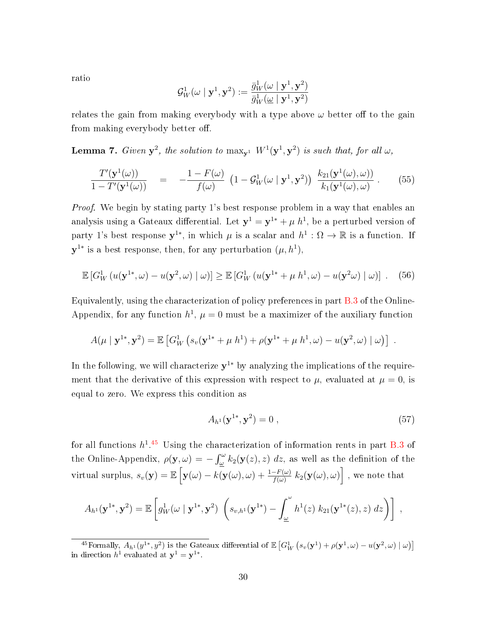ratio

$$
\mathcal{G}^1_W(\omega \mid \mathbf{y}^1, \mathbf{y}^2) := \frac{\bar{g}^1_W(\omega \mid \mathbf{y}^1, \mathbf{y}^2)}{\bar{g}^1_W(\underline{\omega} \mid \mathbf{y}^1, \mathbf{y}^2)}
$$

relates the gain from making everybody with a type above  $\omega$  better off to the gain from making everybody better off.

<span id="page-29-1"></span>**Lemma 7.** Given  $y^2$ , the solution to  $\max_{y^1} W^1(y^1, y^2)$  is such that, for all  $\omega$ ,

$$
\frac{T'(\mathbf{y}^1(\omega))}{1-T'(\mathbf{y}^1(\omega))} = -\frac{1-F(\omega)}{f(\omega)} \left(1-\mathcal{G}_W^1(\omega \mid \mathbf{y}^1, \mathbf{y}^2)\right) \frac{k_{21}(\mathbf{y}^1(\omega), \omega)}{k_1(\mathbf{y}^1(\omega), \omega)}.
$$
(55)

Proof. We begin by stating party 1's best response problem in a way that enables an analysis using a Gateaux differential. Let  $\mathbf{y}^1 = \mathbf{y}^{1*} + \mu\ h^1$ , be a perturbed version of party 1's best response  $y^{1*}$ , in which  $\mu$  is a scalar and  $h^1: \Omega \to \mathbb{R}$  is a function. If  $y^{1*}$  is a best response, then, for any perturbation  $(\mu, h^1)$ ,

$$
\mathbb{E}\left[G_W^1\left(u(\mathbf{y}^{1*},\omega)-u(\mathbf{y}^2,\omega)\mid\omega\right)\right]\geq \mathbb{E}\left[G_W^1\left(u(\mathbf{y}^{1*}+\mu h^1,\omega)-u(\mathbf{y}^2\omega)\mid\omega\right)\right].
$$
 (56)

Equivalently, using the characterization of policy preferences in part [B.3](#page-11-0) of the Online-Appendix, for any function  $h^1$ ,  $\mu = 0$  must be a maximizer of the auxiliary function

$$
A(\mu | \mathbf{y}^{1*}, \mathbf{y}^2) = \mathbb{E} [ G_W^1 (s_v(\mathbf{y}^{1*} + \mu h^1) + \rho(\mathbf{y}^{1*} + \mu h^1, \omega) - u(\mathbf{y}^2, \omega) | \omega ) ].
$$

In the following, we will characterize  $y^{1*}$  by analyzing the implications of the requirement that the derivative of this expression with respect to  $\mu$ , evaluated at  $\mu = 0$ , is equal to zero. We express this condition as

<span id="page-29-0"></span>
$$
A_{h^1}(\mathbf{y}^{1*}, \mathbf{y}^2) = 0 , \qquad (57)
$$

for all functions  $h^{1.45}$  $h^{1.45}$  $h^{1.45}$  Using the characterization of information rents in part [B.3](#page-11-0) of the Online-Appendix,  $\rho(\mathbf{y}, \omega) = -\int_{\omega}^{\omega} k_2(\mathbf{y}(z), z) dz$ , as well as the definition of the virtual surplus,  $s_v(\mathbf{y}) = \mathbb{E}\left[\mathbf{y}(\omega) - k(\mathbf{y}(\omega), \omega) + \frac{1-F(\omega)}{f(\omega)} \; k_2(\mathbf{y}(\omega), \omega)\right]$  , we note that

$$
A_{h^{1}}(\mathbf{y}^{1*}, \mathbf{y}^{2}) = \mathbb{E}\left[g_{W}^{1}(\omega \mid \mathbf{y}^{1*}, \mathbf{y}^{2}) \left(s_{v,h^{1}}(\mathbf{y}^{1*}) - \int_{\underline{\omega}}^{\omega} h^{1}(z) k_{21}(\mathbf{y}^{1*}(z), z) dz\right)\right],
$$

<sup>&</sup>lt;sup>45</sup>Formally,  $A_{h_1}(y^{1*},y^2)$  is the Gateaux differential of  $\mathbb{E}\left[G_W^1(s_v(\mathbf{y}^1)+\rho(\mathbf{y}^1,\omega)-u(\mathbf{y}^2,\omega)\mid\omega)\right]$ in direction  $h^1$  evaluated at  $\mathbf{y}^1 = \mathbf{y}^{1*}$ .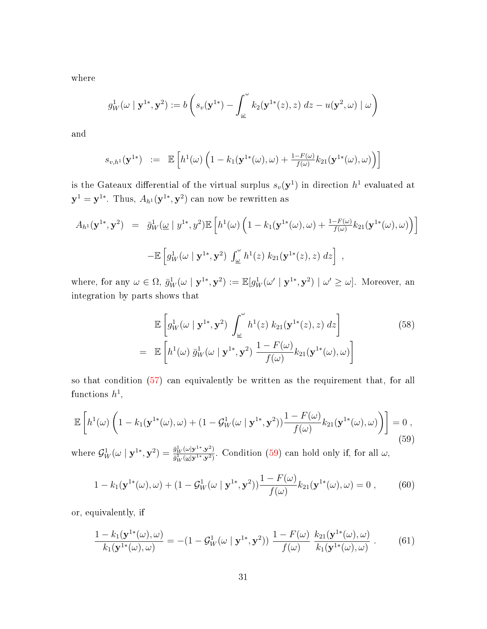where

$$
g_W^1(\omega \mid \mathbf{y}^{1*}, \mathbf{y}^2) := b\left(s_v(\mathbf{y}^{1*}) - \int_{\underline{\omega}}^{\omega} k_2(\mathbf{y}^{1*}(z), z) dz - u(\mathbf{y}^2, \omega) \mid \omega\right)
$$

and

$$
s_{v,h^1}(\mathbf{y}^{1*}) \ := \ \mathbb{E}\left[h^1(\omega)\left(1 - k_1(\mathbf{y}^{1*}(\omega), \omega) + \frac{1 - F(\omega)}{f(\omega)}k_{21}(\mathbf{y}^{1*}(\omega), \omega)\right)\right]
$$

is the Gateaux differential of the virtual surplus  $s_v(\mathbf{y}^1)$  in direction  $h^1$  evaluated at  $\mathbf{y}^1 = \mathbf{y}^{1*}.$  Thus,  $A_{h^1}(\mathbf{y}^{1*}, \mathbf{y}^2)$  can now be rewritten as

$$
A_{h^{1}}(\mathbf{y}^{1*}, \mathbf{y}^{2}) = \bar{g}_{W}^{1}(\underline{\omega} \mid y^{1*}, y^{2}) \mathbb{E}\left[h^{1}(\omega) \left(1 - k_{1}(\mathbf{y}^{1*}(\omega), \omega) + \frac{1 - F(\omega)}{f(\omega)} k_{21}(\mathbf{y}^{1*}(\omega), \omega)\right)\right] \\
-\mathbb{E}\left[g_{W}^{1}(\omega \mid \mathbf{y}^{1*}, \mathbf{y}^{2}) \int_{\underline{\omega}}^{\omega} h^{1}(z) k_{21}(\mathbf{y}^{1*}(z), z) dz\right],
$$

where, for any  $\omega \in \Omega$ ,  $\bar{g}_W^1(\omega \mid \mathbf{y}^{1*}, \mathbf{y}^2) := \mathbb{E}[g_W^1(\omega' \mid \mathbf{y}^{1*}, \mathbf{y}^2) \mid \omega' \geq \omega]$ . Moreover, an integration by parts shows that

$$
\mathbb{E}\left[g_W^1(\omega \mid \mathbf{y}^{1*}, \mathbf{y}^2) \int_{\omega}^{\omega} h^1(z) k_{21}(\mathbf{y}^{1*}(z), z) dz\right]
$$
\n
$$
= \mathbb{E}\left[h^1(\omega) \bar{g}_W^1(\omega \mid \mathbf{y}^{1*}, \mathbf{y}^2) \frac{1 - F(\omega)}{f(\omega)} k_{21}(\mathbf{y}^{1*}(\omega), \omega)\right]
$$
\n(58)

so that condition [\(57\)](#page-29-0) can equivalently be written as the requirement that, for all  $\text{functions } h^1,$ 

<span id="page-30-0"></span>
$$
\mathbb{E}\left[h^{1}(\omega)\left(1-k_{1}(\mathbf{y}^{1*}(\omega),\omega)+(1-\mathcal{G}_{W}^{1}(\omega\mid\mathbf{y}^{1*},\mathbf{y}^{2}))\frac{1-F(\omega)}{f(\omega)}k_{21}(\mathbf{y}^{1*}(\omega),\omega)\right)\right]=0,
$$
\n(59)

where  $\mathcal{G}_W^1(\omega \mid \mathbf{y}^{1*}, \mathbf{y}^2) = \frac{\bar{g}_W^1(\omega | \mathbf{y}^{1*}, \mathbf{y}^2)}{\bar{g}_W^1(\omega | \mathbf{y}^{1*}, \mathbf{y}^2)}$  $\frac{g_W^-(\omega|\mathbf{y}^-, \mathbf{y}^-)}{g_W^1(\omega|\mathbf{y}^{1*}, \mathbf{y}^2)}$ . Condition [\(59\)](#page-30-0) can hold only if, for all  $\omega$ ,

$$
1 - k_1(\mathbf{y}^{1*}(\omega), \omega) + (1 - \mathcal{G}_W^1(\omega \mid \mathbf{y}^{1*}, \mathbf{y}^2)) \frac{1 - F(\omega)}{f(\omega)} k_{21}(\mathbf{y}^{1*}(\omega), \omega) = 0 , \qquad (60)
$$

or, equivalently, if

$$
\frac{1 - k_1(\mathbf{y}^{1*}(\omega), \omega)}{k_1(\mathbf{y}^{1*}(\omega), \omega)} = -(1 - \mathcal{G}_W^1(\omega \mid \mathbf{y}^{1*}, \mathbf{y}^2)) \frac{1 - F(\omega)}{f(\omega)} \frac{k_{21}(\mathbf{y}^{1*}(\omega), \omega)}{k_1(\mathbf{y}^{1*}(\omega), \omega)}.
$$
(61)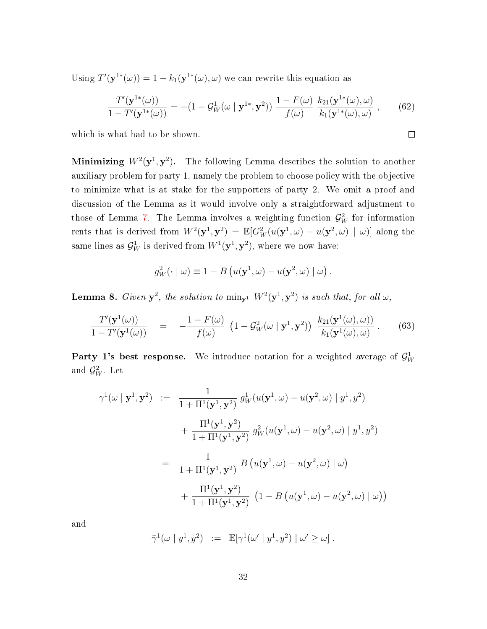Using  $T'(\mathbf{y}^{1*}(\omega)) = 1 - k_1(\mathbf{y}^{1*}(\omega), \omega)$  we can rewrite this equation as

$$
\frac{T'(\mathbf{y}^{1*}(\omega))}{1 - T'(\mathbf{y}^{1*}(\omega))} = -(1 - \mathcal{G}_W^1(\omega \mid \mathbf{y}^{1*}, \mathbf{y}^2)) \frac{1 - F(\omega)}{f(\omega)} \frac{k_{21}(\mathbf{y}^{1*}(\omega), \omega)}{k_1(\mathbf{y}^{1*}(\omega), \omega)},
$$
(62)

 $\Box$ 

which is what had to be shown.

Minimizing  $W^2(\mathbf{y}^1, \mathbf{y}^2)$ . The following Lemma describes the solution to another auxiliary problem for party 1, namely the problem to choose policy with the objective to minimize what is at stake for the supporters of party 2. We omit a proof and discussion of the Lemma as it would involve only a straightforward adjustment to those of Lemma [7.](#page-29-1) The Lemma involves a weighting function  $\mathcal{G}_W^2$  for information rents that is derived from  $W^2(\mathbf{y}^1, \mathbf{y}^2) = \mathbb{E}[G_W^2(u(\mathbf{y}^1, \omega) - u(\mathbf{y}^2, \omega) | \omega)]$  along the same lines as  $\mathcal{G}_{W}^{1}$  is derived from  $W^{1}(\mathbf{y}^{1},\mathbf{y}^{2}),$  where we now have:

$$
g_W^2(\cdot \mid \omega) \equiv 1 - B\left(u(\mathbf{y}^1, \omega) - u(\mathbf{y}^2, \omega) \mid \omega\right).
$$

**Lemma 8.** Given  $y^2$ , the solution to  $\min_{y^1} W^2(y^1, y^2)$  is such that, for all  $\omega$ ,

$$
\frac{T'(\mathbf{y}^1(\omega))}{1-T'(\mathbf{y}^1(\omega))} = -\frac{1-F(\omega)}{f(\omega)} \left(1-\mathcal{G}_W^2(\omega \mid \mathbf{y}^1, \mathbf{y}^2)\right) \frac{k_{21}(\mathbf{y}^1(\omega), \omega)}{k_1(\mathbf{y}^1(\omega), \omega)}.
$$
(63)

Party 1's best response. We introduce notation for a weighted average of  $\mathcal{G}_{W}^{1}$ and  $\mathcal{G}_{W}^{2}.$  Let

$$
\gamma^1(\omega \mid \mathbf{y}^1, \mathbf{y}^2) := \frac{1}{1 + \Pi^1(\mathbf{y}^1, \mathbf{y}^2)} g_W^1(u(\mathbf{y}^1, \omega) - u(\mathbf{y}^2, \omega) \mid y^1, y^2)
$$
  
+ 
$$
\frac{\Pi^1(\mathbf{y}^1, \mathbf{y}^2)}{1 + \Pi^1(\mathbf{y}^1, \mathbf{y}^2)} g_W^2(u(\mathbf{y}^1, \omega) - u(\mathbf{y}^2, \omega) \mid y^1, y^2)
$$
  
= 
$$
\frac{1}{1 + \Pi^1(\mathbf{y}^1, \mathbf{y}^2)} B(u(\mathbf{y}^1, \omega) - u(\mathbf{y}^2, \omega) \mid \omega)
$$
  
+ 
$$
\frac{\Pi^1(\mathbf{y}^1, \mathbf{y}^2)}{1 + \Pi^1(\mathbf{y}^1, \mathbf{y}^2)} (1 - B(u(\mathbf{y}^1, \omega) - u(\mathbf{y}^2, \omega) \mid \omega))
$$

and

$$
\bar{\gamma}^1(\omega \mid y^1, y^2) \ := \ \mathbb{E}[\gamma^1(\omega' \mid y^1, y^2) \mid \omega' \geq \omega] \ .
$$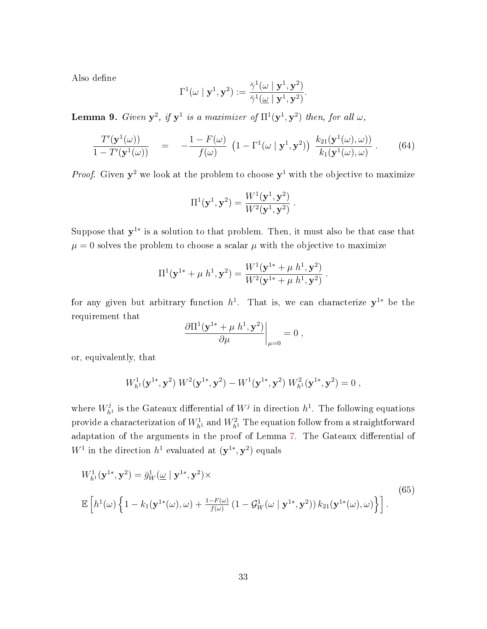Also define

$$
\Gamma^1(\omega \mid \mathbf{y}^1, \mathbf{y}^2) := \frac{\bar{\gamma}^1(\omega \mid \mathbf{y}^1, \mathbf{y}^2)}{\bar{\gamma}^1(\omega \mid \mathbf{y}^1, \mathbf{y}^2)}.
$$

<span id="page-32-1"></span>**Lemma 9.** Given  $y^2$ , if  $y^1$  is a maximizer of  $\Pi^1(y^1, y^2)$  then, for all  $\omega$ ,

$$
\frac{T'(\mathbf{y}^1(\omega))}{1 - T'(\mathbf{y}^1(\omega))} = -\frac{1 - F(\omega)}{f(\omega)} \left(1 - \Gamma^1(\omega \mid \mathbf{y}^1, \mathbf{y}^2)\right) \frac{k_{21}(\mathbf{y}^1(\omega), \omega)}{k_1(\mathbf{y}^1(\omega), \omega)}.
$$
(64)

*Proof.* Given  $y^2$  we look at the problem to choose  $y^1$  with the objective to maximize

$$
\Pi^{1}(\mathbf{y}^{1}, \mathbf{y}^{2}) = \frac{W^{1}(\mathbf{y}^{1}, \mathbf{y}^{2})}{W^{2}(\mathbf{y}^{1}, \mathbf{y}^{2})}.
$$

Suppose that  $y^{1*}$  is a solution to that problem. Then, it must also be that case that  $\mu = 0$  solves the problem to choose a scalar  $\mu$  with the objective to maximize

$$
\Pi^{1}(\mathbf{y}^{1*} + \mu h^{1}, \mathbf{y}^{2}) = \frac{W^{1}(\mathbf{y}^{1*} + \mu h^{1}, \mathbf{y}^{2})}{W^{2}(\mathbf{y}^{1*} + \mu h^{1}, \mathbf{y}^{2})}.
$$

for any given but arbitrary function  $h^1$ . That is, we can characterize  $y^{1*}$  be the requirement that

$$
\left. \frac{\partial \Pi^1(\mathbf{y}^{1*} + \mu h^1, \mathbf{y}^2)}{\partial \mu} \right|_{\mu=0} = 0 ,
$$

or, equivalently, that

$$
W_{h1}^1(\mathbf{y}^{1*}, \mathbf{y}^2) W^2(\mathbf{y}^{1*}, \mathbf{y}^2) - W^1(\mathbf{y}^{1*}, \mathbf{y}^2) W_{h1}^2(\mathbf{y}^{1*}, \mathbf{y}^2) = 0,
$$

where  $W_{h^1}^j$  is the Gateaux differential of  $W^j$  in direction  $h^1$ . The following equations provide a characterization of  $W_{h^1}^1$  and  $W_{h^1}^2$  The equation follow from a straightforward adaptation of the arguments in the proof of Lemma [7.](#page-29-1) The Gateaux differential of  $W^1$  in the direction  $h^1$  evaluated at  $(\mathbf{y}^{1*}, \mathbf{y}^2)$  equals

<span id="page-32-0"></span>
$$
W_{h1}^1(\mathbf{y}^{1*}, \mathbf{y}^2) = \bar{g}_W^1(\underline{\omega} \mid \mathbf{y}^{1*}, \mathbf{y}^2) \times
$$
  

$$
\mathbb{E}\left[h^1(\omega)\left\{1 - k_1(\mathbf{y}^{1*}(\omega), \omega) + \frac{1 - F(\omega)}{f(\omega)}\left(1 - \mathcal{G}_W^1(\omega \mid \mathbf{y}^{1*}, \mathbf{y}^2)\right)k_{21}(\mathbf{y}^{1*}(\omega), \omega)\right\}\right].
$$
 (65)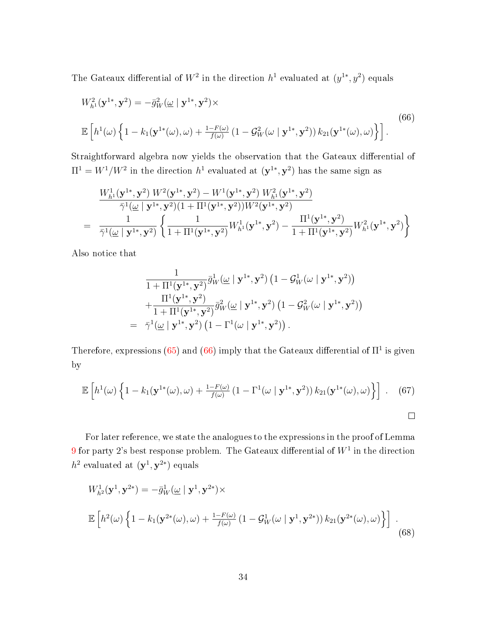The Gateaux differential of  $W^2$  in the direction  $h^1$  evaluated at  $(y^{1*}, y^2)$  equals

<span id="page-33-0"></span>
$$
W_{h1}^2(\mathbf{y}^{1*}, \mathbf{y}^2) = -\bar{g}_W^2(\omega \mid \mathbf{y}^{1*}, \mathbf{y}^2) \times
$$
  

$$
\mathbb{E}\left[h^1(\omega)\left\{1 - k_1(\mathbf{y}^{1*}(\omega), \omega) + \frac{1 - F(\omega)}{f(\omega)}\left(1 - \mathcal{G}_W^2(\omega \mid \mathbf{y}^{1*}, \mathbf{y}^2)\right)k_{21}(\mathbf{y}^{1*}(\omega), \omega)\right\}\right].
$$
 (66)

Straightforward algebra now yields the observation that the Gateaux differential of  $\Pi^1 = W^1/W^2$  in the direction  $h^1$  evaluated at  $(\mathbf{y}^{1*}, \mathbf{y}^2)$  has the same sign as

$$
\begin{array}{ll}&&W^1_{h^1}(\mathbf{y}^{1*},\mathbf{y}^2) \ W^2(\mathbf{y}^{1*},\mathbf{y}^2) - W^1(\mathbf{y}^{1*},\mathbf{y}^2) \ W^2_{h^1}(\mathbf{y}^{1*},\mathbf{y}^2) \\ \bar{\gamma}^1(\underline{\omega} \mid \mathbf{y}^{1*},\mathbf{y}^2)(1+\Pi^1(\mathbf{y}^{1*},\mathbf{y}^2))W^2(\mathbf{y}^{1*},\mathbf{y}^2) \\ = & \frac{1}{\bar{\gamma}^1(\underline{\omega} \mid \mathbf{y}^{1*},\mathbf{y}^2)} \left\{ \frac{1}{1+\Pi^1(\mathbf{y}^{1*},\mathbf{y}^2)} W^1_{h^1}(\mathbf{y}^{1*},\mathbf{y}^2) - \frac{\Pi^1(\mathbf{y}^{1*},\mathbf{y}^2)}{1+\Pi^1(\mathbf{y}^{1*},\mathbf{y}^2)} W^2_{h^1}(\mathbf{y}^{1*},\mathbf{y}^2) \right\}\end{array}
$$

Also notice that

$$
\frac{1}{1+\Pi^1(\mathbf{y}^{1*},\mathbf{y}^2)}\bar{g}_W^1(\underline{\omega} \mid \mathbf{y}^{1*},\mathbf{y}^2) \left(1-\mathcal{G}_W^1(\omega \mid \mathbf{y}^{1*},\mathbf{y}^2)\right) \n+\frac{\Pi^1(\mathbf{y}^{1*},\mathbf{y}^2)}{1+\Pi^1(\mathbf{y}^{1*},\mathbf{y}^2)}\bar{g}_W^2(\underline{\omega} \mid \mathbf{y}^{1*},\mathbf{y}^2) \left(1-\mathcal{G}_W^2(\omega \mid \mathbf{y}^{1*},\mathbf{y}^2)\right) \n= \bar{\gamma}^1(\underline{\omega} \mid \mathbf{y}^{1*},\mathbf{y}^2) \left(1-\Gamma^1(\omega \mid \mathbf{y}^{1*},\mathbf{y}^2)\right).
$$

Therefore, expressions [\(65\)](#page-32-0) and [\(66\)](#page-33-0) imply that the Gateaux differential of  $\Pi^1$  is given by

$$
\mathbb{E}\left[h^{1}(\omega)\left\{1-k_{1}(\mathbf{y}^{1*}(\omega),\omega)+\frac{1-F(\omega)}{f(\omega)}\left(1-\Gamma^{1}(\omega\mid\mathbf{y}^{1*},\mathbf{y}^{2})\right)k_{21}(\mathbf{y}^{1*}(\omega),\omega)\right\}\right].
$$
 (67)

For later reference, we state the analogues to the expressions in the proof of Lemma  $9$  for party  $2$ 's best response problem. The Gateaux differential of  $W^1$  in the direction  $h^2$  evaluated at  $(\mathbf{y}^1, \mathbf{y}^{2*})$  equals

$$
W_{h^2}^1(\mathbf{y}^1, \mathbf{y}^{2*}) = -\bar{g}_W^1(\underline{\omega} \mid \mathbf{y}^1, \mathbf{y}^{2*}) \times
$$
  

$$
\mathbb{E}\left[h^2(\omega)\left\{1 - k_1(\mathbf{y}^{2*}(\omega), \omega) + \frac{1 - F(\omega)}{f(\omega)}\left(1 - \mathcal{G}_W^1(\omega \mid \mathbf{y}^1, \mathbf{y}^{2*})\right)k_{21}(\mathbf{y}^{2*}(\omega), \omega)\right\}\right].
$$
\n(68)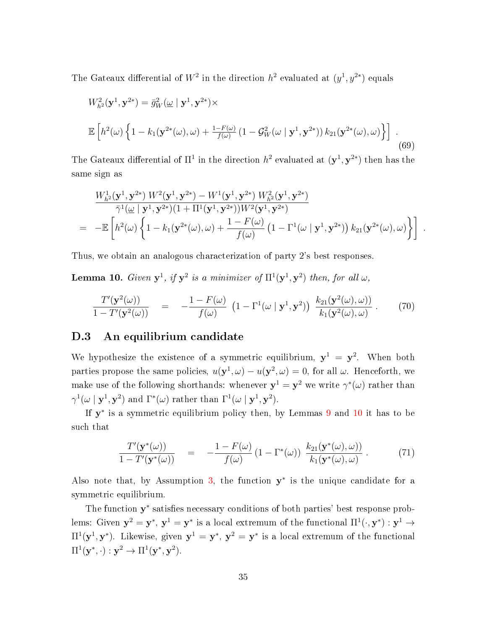The Gateaux differential of  $W^2$  in the direction  $h^2$  evaluated at  $(y^1, y^{2*})$  equals

$$
W_{h^2}^2(\mathbf{y}^1, \mathbf{y}^{2*}) = \bar{g}_W^2(\underline{\omega} \mid \mathbf{y}^1, \mathbf{y}^{2*}) \times
$$
  

$$
\mathbb{E}\left[h^2(\omega)\left\{1 - k_1(\mathbf{y}^{2*}(\omega), \omega) + \frac{1 - F(\omega)}{f(\omega)}\left(1 - \mathcal{G}_W^2(\omega \mid \mathbf{y}^1, \mathbf{y}^{2*})\right)k_{21}(\mathbf{y}^{2*}(\omega), \omega)\right\}\right].
$$
\n(69)

The Gateaux differential of  $\Pi^1$  in the direction  $h^2$  evaluated at  $(\mathbf{y}^1, \mathbf{y}^{2*})$  then has the same sign as

$$
\frac{W_{h2}^1(\mathbf{y}^1, \mathbf{y}^{2*}) W^2(\mathbf{y}^1, \mathbf{y}^{2*}) - W^1(\mathbf{y}^1, \mathbf{y}^{2*}) W_{h2}^2(\mathbf{y}^1, \mathbf{y}^{2*})}{\bar{\gamma}^1(\omega \mid \mathbf{y}^1, \mathbf{y}^{2*})(1 + \Pi^1(\mathbf{y}^1, \mathbf{y}^{2*})) W^2(\mathbf{y}^1, \mathbf{y}^{2*})}
$$
\n
$$
= -\mathbb{E}\left[h^2(\omega) \left\{1 - k_1(\mathbf{y}^{2*}(\omega), \omega) + \frac{1 - F(\omega)}{f(\omega)} \left(1 - \Gamma^1(\omega \mid \mathbf{y}^1, \mathbf{y}^{2*})\right) k_{21}(\mathbf{y}^{2*}(\omega), \omega)\right\}\right].
$$

Thus, we obtain an analogous characterization of party 2's best responses.

<span id="page-34-2"></span>**Lemma 10.** Given  $y^1$ , if  $y^2$  is a minimizer of  $\Pi^1(y^1, y^2)$  then, for all  $\omega$ ,

$$
\frac{T'(\mathbf{y}^2(\omega))}{1 - T'(\mathbf{y}^2(\omega))} = -\frac{1 - F(\omega)}{f(\omega)} \left(1 - \Gamma^1(\omega \mid \mathbf{y}^1, \mathbf{y}^2)\right) \frac{k_{21}(\mathbf{y}^2(\omega), \omega)}{k_1(\mathbf{y}^2(\omega), \omega)}.
$$
(70)

## <span id="page-34-0"></span>D.3 An equilibrium candidate

We hypothesize the existence of a symmetric equilibrium,  $y^1 = y^2$ . When both parties propose the same policies,  $u(y^1, \omega) - u(y^2, \omega) = 0$ , for all  $\omega$ . Henceforth, we make use of the following shorthands: whenever  $y^1 = y^2$  we write  $\gamma^*(\omega)$  rather than  $\gamma^1(\omega \mid \mathbf{y}^1, \mathbf{y}^2)$  and  $\Gamma^*(\omega)$  rather than  $\Gamma^1(\omega \mid \mathbf{y}^1, \mathbf{y}^2)$ .

If  $y^*$  is a symmetric equilibrium policy then, by Lemmas [9](#page-32-1) and [10](#page-34-2) it has to be such that

<span id="page-34-1"></span>
$$
\frac{T'(\mathbf{y}^*(\omega))}{1 - T'(\mathbf{y}^*(\omega))} = -\frac{1 - F(\omega)}{f(\omega)} \left(1 - \Gamma^*(\omega)\right) \frac{k_{21}(\mathbf{y}^*(\omega), \omega)}{k_1(\mathbf{y}^*(\omega), \omega)}.
$$
\n(71)

Also note that, by Assumption [3,](#page-27-0) the function  $y^*$  is the unique candidate for a symmetric equilibrium.

The function y<sup>\*</sup> satisfies necessary conditions of both parties' best response problems: Given  ${\bf y}^2={\bf y}^*,\,{\bf y}^1={\bf y}^*$  is a local extremum of the functional  $\Pi^1(\cdot,{\bf y}^*):{\bf y}^1\to$  $\Pi^1({\bf y}^1,{\bf y}^*)$ . Likewise, given  ${\bf y}^1={\bf y}^*,\,{\bf y}^2={\bf y}^*$  is a local extremum of the functional  $\Pi^1(\mathbf{y}^*,\cdot):\mathbf{y}^2\to\Pi^1(\mathbf{y}^*,\mathbf{y}^2).$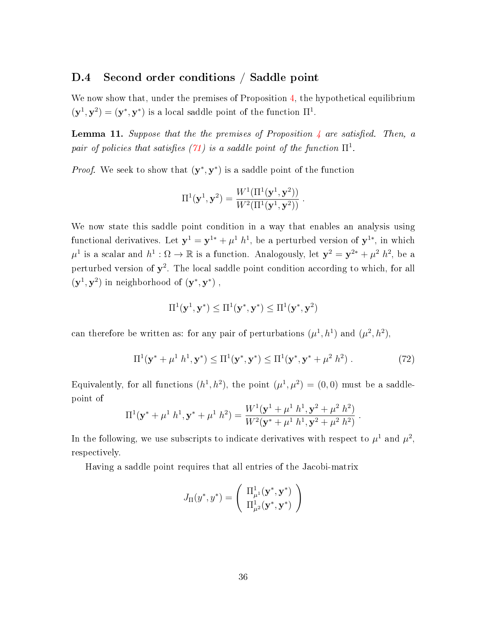# D.4 Second order conditions / Saddle point

We now show that, under the premises of Proposition [4,](#page--1-24) the hypothetical equilibrium  $(\mathbf{y}^1, \mathbf{y}^2) = (\mathbf{y}^*, \mathbf{y}^*)$  is a local saddle point of the function  $\Pi^1$ .

**Lemma 11.** Suppose that the the premises of Proposition [4](#page--1-24) are satisfied. Then, a pair of policies that satisfies [\(71\)](#page-34-1) is a saddle point of the function  $\Pi^1.$ 

*Proof.* We seek to show that  $(\mathbf{y}^*, \mathbf{y}^*)$  is a saddle point of the function

$$
\Pi^{1}(\mathbf{y}^{1}, \mathbf{y}^{2}) = \frac{W^{1}(\Pi^{1}(\mathbf{y}^{1}, \mathbf{y}^{2}))}{W^{2}(\Pi^{1}(\mathbf{y}^{1}, \mathbf{y}^{2}))}.
$$

We now state this saddle point condition in a way that enables an analysis using functional derivatives. Let  $y^1 = y^{1*} + \mu^1 h^1$ , be a perturbed version of  $y^{1*}$ , in which  $\mu^1$  is a scalar and  $h^1: \Omega \to \mathbb{R}$  is a function. Analogously, let  $\mathbf{y}^2 = \mathbf{y}^{2*} + \mu^2 h^2$ , be a perturbed version of  $y^2$ . The local saddle point condition according to which, for all  $(\mathbf{y}^1, \mathbf{y}^2)$  in neighborhood of  $(\mathbf{y}^*, \mathbf{y}^*)$ ,

$$
\Pi^1(\mathbf{y}^1,\mathbf{y}^*)\leq\Pi^1(\mathbf{y}^*,\mathbf{y}^*)\leq\Pi^1(\mathbf{y}^*,\mathbf{y}^2)
$$

can therefore be written as: for any pair of perturbations  $(\mu^1, h^1)$  and  $(\mu^2, h^2)$ ,

$$
\Pi^{1}(\mathbf{y}^{*} + \mu^{1} h^{1}, \mathbf{y}^{*}) \leq \Pi^{1}(\mathbf{y}^{*}, \mathbf{y}^{*}) \leq \Pi^{1}(\mathbf{y}^{*}, \mathbf{y}^{*} + \mu^{2} h^{2}).
$$
\n(72)

Equivalently, for all functions  $(h^1, h^2)$ , the point  $(\mu^1, \mu^2) = (0, 0)$  must be a saddlepoint of

$$
\Pi^{1}(\mathbf{y}^{*} + \mu^{1} h^{1}, \mathbf{y}^{*} + \mu^{1} h^{2}) = \frac{W^{1}(\mathbf{y}^{1} + \mu^{1} h^{1}, \mathbf{y}^{2} + \mu^{2} h^{2})}{W^{2}(\mathbf{y}^{*} + \mu^{1} h^{1}, \mathbf{y}^{2} + \mu^{2} h^{2})}.
$$

In the following, we use subscripts to indicate derivatives with respect to  $\mu^1$  and  $\mu^2$ , respectively.

Having a saddle point requires that all entries of the Jacobi-matrix

$$
J_{\Pi}(\boldsymbol{y}^*, \boldsymbol{y}^*) = \left(\begin{array}{c} \Pi^1_{\mu^1}(\mathbf{y}^*, \mathbf{y}^*) \\ \Pi^1_{\mu^2}(\mathbf{y}^*, \mathbf{y}^*) \end{array}\right)
$$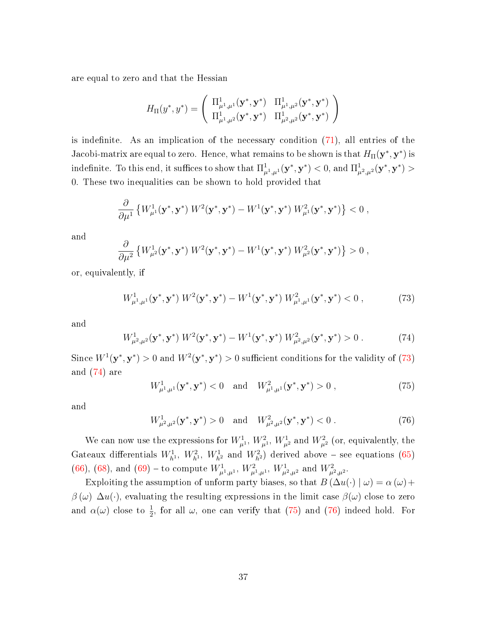are equal to zero and that the Hessian

$$
H_\Pi(y^*,y^*)=\left(\begin{array}{cc}\Pi^1_{\mu^1,\mu^1}(\mathbf{y}^*,\mathbf{y}^*) & \Pi^1_{\mu^1,\mu^2}(\mathbf{y}^*,\mathbf{y}^*) \\ \Pi^1_{\mu^1,\mu^2}(\mathbf{y}^*,\mathbf{y}^*) & \Pi^1_{\mu^2,\mu^2}(\mathbf{y}^*,\mathbf{y}^*)\end{array}\right)
$$

is indefinite. As an implication of the necessary condition  $(71)$ , all entries of the Jacobi-matrix are equal to zero. Hence, what remains to be shown is that  $H_{\Pi}(\mathbf{y}^*, \mathbf{y}^*)$  is  $\text{indefinite. To this end, it suffices to show that } \Pi^1_{\mu^1,\mu^1}(\mathbf{y}^*,\mathbf{y}^*) < 0 \text{, and } \Pi^1_{\mu^2,\mu^2}(\mathbf{y}^*,\mathbf{y}^*) > 0$ 0. These two inequalities can be shown to hold provided that

$$
\frac{\partial}{\partial \mu^{1}}\left\{W_{\mu^{1}}^{1}(\mathbf{y}^{*},\mathbf{y}^{*})\;W^{2}(\mathbf{y}^{*},\mathbf{y}^{*})-W^{1}(\mathbf{y}^{*},\mathbf{y}^{*})\;W_{\mu^{1}}^{2}(\mathbf{y}^{*},\mathbf{y}^{*})\right\}<0\;,
$$

and

$$
\frac{\partial}{\partial \mu^2} \left\{ W^1_{\mu^2}(\mathbf{y}^*, \mathbf{y}^*) W^2(\mathbf{y}^*, \mathbf{y}^*) - W^1(\mathbf{y}^*, \mathbf{y}^*) W^2_{\mu^2}(\mathbf{y}^*, \mathbf{y}^*) \right\} > 0,
$$

or, equivalently, if

<span id="page-36-0"></span>
$$
W^{1}_{\mu^{1},\mu^{1}}(\mathbf{y}^{*},\mathbf{y}^{*})\ W^{2}(\mathbf{y}^{*},\mathbf{y}^{*}) - W^{1}(\mathbf{y}^{*},\mathbf{y}^{*})\ W^{2}_{\mu^{1},\mu^{1}}(\mathbf{y}^{*},\mathbf{y}^{*}) < 0\ ,\tag{73}
$$

and

<span id="page-36-1"></span>
$$
W^1_{\mu^2,\mu^2}(\mathbf{y}^*,\mathbf{y}^*)\ W^2(\mathbf{y}^*,\mathbf{y}^*) - W^1(\mathbf{y}^*,\mathbf{y}^*)\ W^2_{\mu^2,\mu^2}(\mathbf{y}^*,\mathbf{y}^*) > 0\ .\tag{74}
$$

Since  $W^1(\mathbf{y}^*, \mathbf{y}^*) > 0$  and  $W^2(\mathbf{y}^*, \mathbf{y}^*) > 0$  sufficient conditions for the validity of [\(73\)](#page-36-0) and [\(74\)](#page-36-1) are

<span id="page-36-2"></span>
$$
W^{1}_{\mu^{1},\mu^{1}}(\mathbf{y}^{*},\mathbf{y}^{*}) < 0 \text{ and } W^{2}_{\mu^{1},\mu^{1}}(\mathbf{y}^{*},\mathbf{y}^{*}) > 0 ,
$$
 (75)

and

<span id="page-36-3"></span>
$$
W_{\mu^2,\mu^2}^1(\mathbf{y}^*,\mathbf{y}^*) > 0 \quad \text{and} \quad W_{\mu^2,\mu^2}^2(\mathbf{y}^*,\mathbf{y}^*) < 0. \tag{76}
$$

We can now use the expressions for  $W^1_{\mu^1}$ ,  $W^2_{\mu^1}$ ,  $W^1_{\mu^2}$  and  $W^2_{\mu^2}$  (or, equivalently, the Gateaux differentials  $W_{h}^1$ ,  $W_{h}^2$ ,  $W_{h}^1$  and  $W_{h}^2$ ) derived above – see equations [\(65\)](#page-32-0) [\(66\)](#page-33-0), [\(68\)](#page-33-1), and [\(69\)](#page-34-1) – to compute  $W^1_{\mu^1,\mu^1}$ ,  $W^2_{\mu^1,\mu^1}$ ,  $W^1_{\mu^2,\mu^2}$  and  $W^2_{\mu^2,\mu^2}$ .

Exploiting the assumption of unform party biases, so that  $B(\Delta u(\cdot) | \omega) = \alpha(\omega) +$  $\beta(\omega) \; \Delta u(\cdot)$ , evaluating the resulting expressions in the limit case  $\beta(\omega)$  close to zero and  $\alpha(\omega)$  close to  $\frac{1}{2}$ , for all  $\omega$ , one can verify that [\(75\)](#page-36-2) and [\(76\)](#page-36-3) indeed hold. For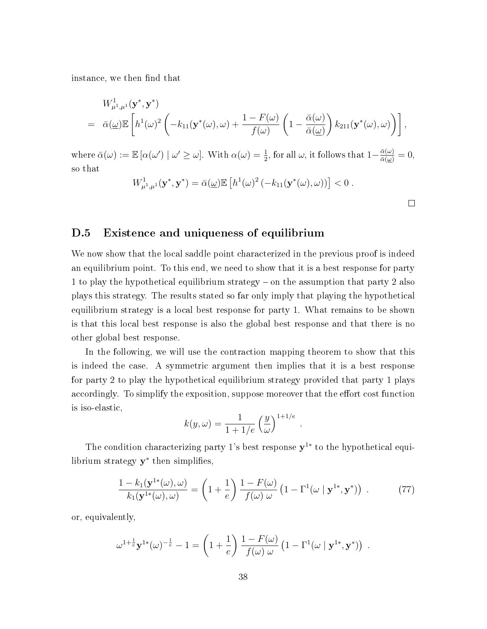instance, we then find that

$$
W^1_{\mu^1,\mu^1}(\mathbf{y}^*,\mathbf{y}^*)
$$
  
=  $\bar{\alpha}(\underline{\omega})\mathbb{E}\left[h^1(\omega)^2\left(-k_{11}(\mathbf{y}^*(\omega),\omega)+\frac{1-F(\omega)}{f(\omega)}\left(1-\frac{\bar{\alpha}(\omega)}{\bar{\alpha}(\underline{\omega})}\right)k_{211}(\mathbf{y}^*(\omega),\omega)\right)\right],$ 

where  $\bar{\alpha}(\omega) := \mathbb{E} [\alpha(\omega') | \omega' \geq \omega]$ . With  $\alpha(\omega) = \frac{1}{2}$ , for all  $\omega$ , it follows that  $1 - \frac{\bar{\alpha}(\omega)}{\bar{\alpha}(\omega)} = 0$ , so that

$$
W^1_{\mu^1,\mu^1}(\mathbf{y}^*,\mathbf{y}^*)=\bar{\alpha}(\underline{\omega})\mathbb{E}\left[h^1(\omega)^2\left(-k_{11}(\mathbf{y}^*(\omega),\omega)\right)\right]<0.
$$

 $\Box$ 

# D.5 Existence and uniqueness of equilibrium

We now show that the local saddle point characterized in the previous proof is indeed an equilibrium point. To this end, we need to show that it is a best response for party 1 to play the hypothetical equilibrium strategy – on the assumption that party 2 also plays this strategy. The results stated so far only imply that playing the hypothetical equilibrium strategy is a local best response for party 1. What remains to be shown is that this local best response is also the global best response and that there is no other global best response.

In the following, we will use the contraction mapping theorem to show that this is indeed the case. A symmetric argument then implies that it is a best response for party 2 to play the hypothetical equilibrium strategy provided that party 1 plays accordingly. To simplify the exposition, suppose moreover that the effort cost function is iso-elastic,

$$
k(y,\omega) = \frac{1}{1+1/e} \left(\frac{y}{\omega}\right)^{1+1/e} .
$$

The condition characterizing party 1's best response  $y^{1*}$  to the hypothetical equilibrium strategy  $y^*$  then simplifies,

$$
\frac{1 - k_1(\mathbf{y}^{1*}(\omega), \omega)}{k_1(\mathbf{y}^{1*}(\omega), \omega)} = \left(1 + \frac{1}{e}\right) \frac{1 - F(\omega)}{f(\omega) \omega} \left(1 - \Gamma^1(\omega \mid \mathbf{y}^{1*}, \mathbf{y}^*)\right) . \tag{77}
$$

or, equivalently,

$$
\omega^{1+\frac{1}{e}} \mathbf{y}^{1*}(\omega)^{-\frac{1}{e}} - 1 = \left(1 + \frac{1}{e}\right) \frac{1 - F(\omega)}{f(\omega) \omega} \left(1 - \Gamma^1(\omega \mid \mathbf{y}^{1*}, \mathbf{y}^*)\right) .
$$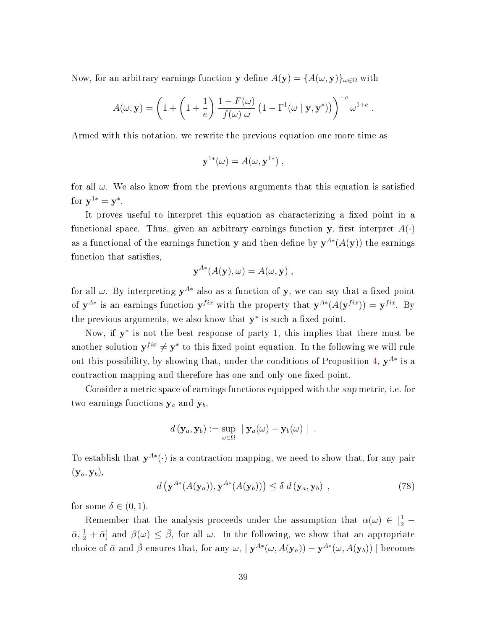Now, for an arbitrary earnings function y define  $A(y) = {A(\omega, y)}_{\omega \in \Omega}$  with

$$
A(\omega, \mathbf{y}) = \left(1 + \left(1 + \frac{1}{e}\right) \frac{1 - F(\omega)}{f(\omega) \omega} \left(1 - \Gamma^1(\omega \mid \mathbf{y}, \mathbf{y}^*)\right)\right)^{-e} \omega^{1+e}
$$

.

Armed with this notation, we rewrite the previous equation one more time as

$$
\mathbf{y}^{1*}(\omega) = A(\omega, \mathbf{y}^{1*}),
$$

for all  $\omega$ . We also know from the previous arguments that this equation is satisfied for  $y^{1*} = y^*$ .

It proves useful to interpret this equation as characterizing a fixed point in a functional space. Thus, given an arbitrary earnings function y, first interpret  $A(\cdot)$ as a functional of the earnings function y and then define by  $y^{A*}(A(y))$  the earnings function that satisfies,

$$
\mathbf{y}^{A*}(A(\mathbf{y}),\omega) = A(\omega,\mathbf{y}),
$$

for all  $\omega$ . By interpreting  $y^{A*}$  also as a function of y, we can say that a fixed point of  $y^{A*}$  is an earnings function  $y^{fix}$  with the property that  $y^{A*}(A(y^{fix})) = y^{fix}$ . By the previous arguments, we also know that  $y^*$  is such a fixed point.

Now, if  $y^*$  is not the best response of party 1, this implies that there must be another solution  $y^{fix} \neq y^*$  to this fixed point equation. In the following we will rule out this possibility, by showing that, under the conditions of Proposition [4,](#page--1-0)  $y^{A*}$  is a contraction mapping and therefore has one and only one fixed point.

Consider a metric space of earnings functions equipped with the *sup* metric, i.e. for two earnings functions  $y_a$  and  $y_b$ ,

$$
d(\mathbf{y}_a, \mathbf{y}_b) := \sup_{\omega \in \Omega} \|\mathbf{y}_a(\omega) - \mathbf{y}_b(\omega)\|.
$$

To establish that  $y^{A*}(\cdot)$  is a contraction mapping, we need to show that, for any pair  $(\mathbf{y}_a, \mathbf{y}_b),$ 

$$
d\left(\mathbf{y}^{A*}(A(\mathbf{y}_a)), \mathbf{y}^{A*}(A(\mathbf{y}_b))\right) \leq \delta \ d\left(\mathbf{y}_a, \mathbf{y}_b\right) ,\tag{78}
$$

for some  $\delta \in (0,1)$ .

Remember that the analysis proceeds under the assumption that  $\alpha(\omega) \in \left[\frac{1}{2} - \frac{1}{2}\right]$  $\bar{\alpha}, \frac{1}{2} + \bar{\alpha}$  and  $\beta(\omega) \leq \bar{\beta}$ , for all  $\omega$ . In the following, we show that an appropriate choice of  $\bar{\alpha}$  and  $\bar{\beta}$  ensures that, for any  $\omega$ ,  $|\mathbf{y}^{A*}(\omega, A(\mathbf{y}_a)) - \mathbf{y}^{A*}(\omega, A(\mathbf{y}_b))|$  becomes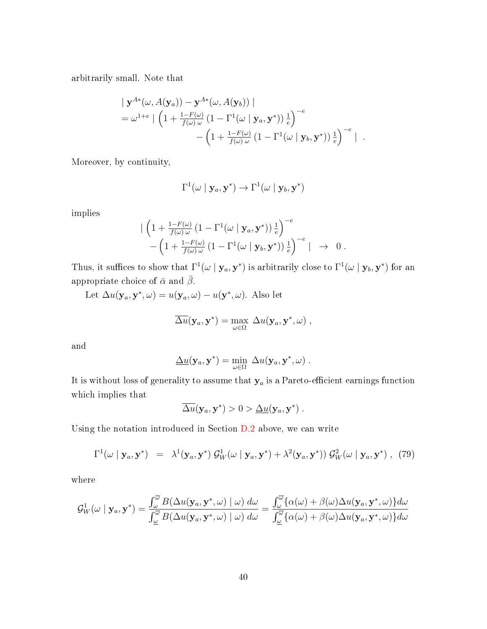arbitrarily small. Note that

$$
\begin{aligned}\n&\left|\mathbf{y}^{A*}(\omega, A(\mathbf{y}_a)) - \mathbf{y}^{A*}(\omega, A(\mathbf{y}_b))\right| \\
&= \omega^{1+e} \left| \left(1 + \frac{1 - F(\omega)}{f(\omega)\omega} \left(1 - \Gamma^1(\omega \mid \mathbf{y}_a, \mathbf{y}^*)\right) \frac{1}{e}\right)^{-e} - \left(1 + \frac{1 - F(\omega)}{f(\omega)\omega} \left(1 - \Gamma^1(\omega \mid \mathbf{y}_b, \mathbf{y}^*)\right) \frac{1}{e}\right)^{-e} \right| .\n\end{aligned}
$$

Moreover, by continuity,

$$
\Gamma^1(\omega \mid \mathbf{y}_a, \mathbf{y}^*) \to \Gamma^1(\omega \mid \mathbf{y}_b, \mathbf{y}^*)
$$

implies

$$
\begin{array}{l}\n\left(1+\frac{1-F(\omega)}{f(\omega)\omega}\left(1-\Gamma^1(\omega\mid \mathbf{y}_a,\mathbf{y}^*)\right)\frac{1}{e}\right)^{-e} \\
-\left(1+\frac{1-F(\omega)}{f(\omega)\omega}\left(1-\Gamma^1(\omega\mid \mathbf{y}_b,\mathbf{y}^*)\right)\frac{1}{e}\right)^{-e}\mid \quad \rightarrow \quad 0 \;.\n\end{array}
$$

Thus, it suffices to show that  $\Gamma^1(\omega \mid \mathbf{y}_a, \mathbf{y}^*)$  is arbitrarily close to  $\Gamma^1(\omega \mid \mathbf{y}_b, \mathbf{y}^*)$  for an appropriate choice of  $\bar{\alpha}$  and  $\bar{\beta}.$ 

Let  $\Delta u(\mathbf{y}_a, \mathbf{y}^*, \omega) = u(\mathbf{y}_a, \omega) - u(\mathbf{y}^*, \omega)$ . Also let

$$
\overline{\Delta u}(\mathbf{y}_a, \mathbf{y}^*) = \max_{\omega \in \Omega} \Delta u(\mathbf{y}_a, \mathbf{y}^*, \omega) ,
$$

and

$$
\underline{\Delta u}(\mathbf{y}_a, \mathbf{y}^*) = \min_{\omega \in \Omega} \ \Delta u(\mathbf{y}_a, \mathbf{y}^*, \omega) \ .
$$

It is without loss of generality to assume that  $y_a$  is a Pareto-efficient earnings function which implies that

$$
\overline{\Delta u}(\mathbf{y}_a, \mathbf{y}^*) > 0 > \underline{\Delta u}(\mathbf{y}_a, \mathbf{y}^*) .
$$

Using the notation introduced in Section [D.2](#page-28-0) above, we can write

<span id="page-39-0"></span>
$$
\Gamma^1(\omega \mid \mathbf{y}_a, \mathbf{y}^*) = \lambda^1(\mathbf{y}_a, \mathbf{y}^*) \mathcal{G}_W^1(\omega \mid \mathbf{y}_a, \mathbf{y}^*) + \lambda^2(\mathbf{y}_a, \mathbf{y}^*)) \mathcal{G}_W^2(\omega \mid \mathbf{y}_a, \mathbf{y}^*) , \tag{79}
$$

where

$$
\mathcal{G}_{W}^{1}(\omega \mid \mathbf{y}_{a}, \mathbf{y}^{*}) = \frac{\int_{\omega}^{\overline{\omega}} B(\Delta u(\mathbf{y}_{a}, \mathbf{y}^{*}, \omega) \mid \omega) d\omega}{\int_{\underline{\omega}}^{\overline{\omega}} B(\Delta u(\mathbf{y}_{a}, \mathbf{y}^{*}, \omega) \mid \omega) d\omega} = \frac{\int_{\omega}^{\overline{\omega}} {\{\alpha(\omega) + \beta(\omega) \Delta u(\mathbf{y}_{a}, \mathbf{y}^{*}, \omega)\}} d\omega}{\int_{\underline{\omega}}^{\overline{\omega}} {\{\alpha(\omega) + \beta(\omega) \Delta u(\mathbf{y}_{a}, \mathbf{y}^{*}, \omega)\}} d\omega}
$$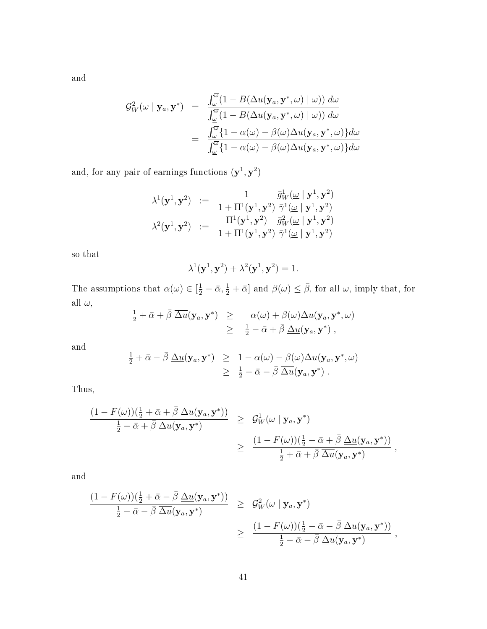and

$$
\mathcal{G}_{W}^{2}(\omega \mid \mathbf{y}_{a}, \mathbf{y}^{*}) = \frac{\int_{\omega}^{\overline{\omega}} (1 - B(\Delta u(\mathbf{y}_{a}, \mathbf{y}^{*}, \omega) \mid \omega)) d\omega}{\int_{\omega}^{\overline{\omega}} (1 - B(\Delta u(\mathbf{y}_{a}, \mathbf{y}^{*}, \omega) \mid \omega)) d\omega}
$$

$$
= \frac{\int_{\omega}^{\overline{\omega}} \{1 - \alpha(\omega) - \beta(\omega) \Delta u(\mathbf{y}_{a}, \mathbf{y}^{*}, \omega)\} d\omega}{\int_{\omega}^{\overline{\omega}} \{1 - \alpha(\omega) - \beta(\omega) \Delta u(\mathbf{y}_{a}, \mathbf{y}^{*}, \omega)\} d\omega}
$$

and, for any pair of earnings functions  $(\mathbf{y}^1, \mathbf{y}^2)$ 

$$
\begin{array}{ccc} \lambda^1(\mathbf{y}^1,\mathbf{y}^2) & := & \displaystyle \frac{1}{1+\Pi^1(\mathbf{y}^1,\mathbf{y}^2)}\frac{\bar{g}_W^1(\underline{\omega}\mid \mathbf{y}^1,\mathbf{y}^2)}{\bar{\gamma}^1(\underline{\omega}\mid \mathbf{y}^1,\mathbf{y}^2)} \\ \lambda^2(\mathbf{y}^1,\mathbf{y}^2) & := & \displaystyle \frac{\Pi^1(\mathbf{y}^1,\mathbf{y}^2)}{1+\Pi^1(\mathbf{y}^1,\mathbf{y}^2)}\frac{\bar{g}_W^2(\underline{\omega}\mid \mathbf{y}^1,\mathbf{y}^2)}{\bar{\gamma}^1(\underline{\omega}\mid \mathbf{y}^1,\mathbf{y}^2)} \end{array}
$$

so that

$$
\lambda^1(\mathbf{y}^1, \mathbf{y}^2) + \lambda^2(\mathbf{y}^1, \mathbf{y}^2) = 1.
$$

The assumptions that  $\alpha(\omega) \in [\frac{1}{2} - \bar{\alpha}, \frac{1}{2} + \bar{\alpha}]$  and  $\beta(\omega) \leq \bar{\beta}$ , for all  $\omega$ , imply that, for all  $\omega$ ,

$$
\frac{1}{2} + \bar{\alpha} + \bar{\beta} \overline{\Delta u}(\mathbf{y}_a, \mathbf{y}^*) \geq \alpha(\omega) + \beta(\omega) \Delta u(\mathbf{y}_a, \mathbf{y}^*, \omega) \geq \frac{1}{2} - \bar{\alpha} + \bar{\beta} \underline{\Delta u}(\mathbf{y}_a, \mathbf{y}^*) ,
$$

and

$$
\frac{1}{2} + \bar{\alpha} - \bar{\beta} \underline{\Delta u}(\mathbf{y}_a, \mathbf{y}^*) \geq 1 - \alpha(\omega) - \beta(\omega) \Delta u(\mathbf{y}_a, \mathbf{y}^*, \omega) \geq \frac{1}{2} - \bar{\alpha} - \bar{\beta} \overline{\Delta u}(\mathbf{y}_a, \mathbf{y}^*) .
$$

Thus,

$$
\frac{(1-F(\omega))(\frac{1}{2}+\bar{\alpha}+\bar{\beta}\,\overline{\Delta u}(\mathbf{y}_a,\mathbf{y}^*))}{\frac{1}{2}-\bar{\alpha}+\bar{\beta}\,\underline{\Delta u}(\mathbf{y}_a,\mathbf{y}^*)}\geq \frac{\mathcal{G}_W^1(\omega\mid \mathbf{y}_a,\mathbf{y}^*)}{\frac{(1-F(\omega))(\frac{1}{2}-\bar{\alpha}+\bar{\beta}\,\underline{\Delta u}(\mathbf{y}_a,\mathbf{y}^*))}{\frac{1}{2}+\bar{\alpha}+\bar{\beta}\,\overline{\Delta u}(\mathbf{y}_a,\mathbf{y}^*)}},
$$

and

$$
\frac{(1-F(\omega))(\frac{1}{2}+\bar{\alpha}-\bar{\beta}\,\Delta u(\mathbf{y}_a,\mathbf{y}^*))}{\frac{1}{2}-\bar{\alpha}-\bar{\beta}\,\Delta u(\mathbf{y}_a,\mathbf{y}^*)}\geq \frac{G_W^2(\omega\mid \mathbf{y}_a,\mathbf{y}^*)}{\omega} \\
\geq \frac{(1-F(\omega))(\frac{1}{2}-\bar{\alpha}-\bar{\beta}\,\Delta u(\mathbf{y}_a,\mathbf{y}^*))}{\frac{1}{2}-\bar{\alpha}-\bar{\beta}\,\Delta u(\mathbf{y}_a,\mathbf{y}^*)},
$$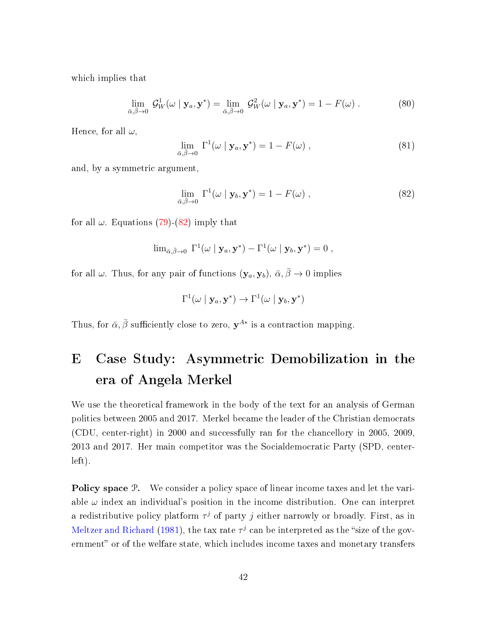which implies that

$$
\lim_{\bar{\alpha}, \bar{\beta} \to 0} \mathcal{G}_W^1(\omega \mid \mathbf{y}_a, \mathbf{y}^*) = \lim_{\bar{\alpha}, \bar{\beta} \to 0} \mathcal{G}_W^2(\omega \mid \mathbf{y}_a, \mathbf{y}^*) = 1 - F(\omega) . \tag{80}
$$

Hence, for all  $\omega$ ,

$$
\lim_{\bar{\alpha}, \bar{\beta} \to 0} \Gamma^1(\omega \mid \mathbf{y}_a, \mathbf{y}^*) = 1 - F(\omega) ,
$$
\n(81)

and, by a symmetric argument,

<span id="page-41-0"></span>
$$
\lim_{\bar{\alpha}, \bar{\beta} \to 0} \Gamma^1(\omega \mid \mathbf{y}_b, \mathbf{y}^*) = 1 - F(\omega) ,
$$
\n(82)

for all  $\omega$ . Equations [\(79\)](#page-39-0)-[\(82\)](#page-41-0) imply that

$$
\lim_{\bar{\alpha}, \bar{\beta}\to 0} \; \Gamma^1(\omega \mid \mathbf{y}_a, \mathbf{y}^*) - \Gamma^1(\omega \mid \mathbf{y}_b, \mathbf{y}^*) = 0 \; ,
$$

for all  $\omega$ . Thus, for any pair of functions  $(\mathbf{y}_a, \mathbf{y}_b), \bar{\alpha}, \bar{\beta} \to 0$  implies

$$
\Gamma^1(\omega \mid \mathbf{y}_a, \mathbf{y}^*) \to \Gamma^1(\omega \mid \mathbf{y}_b, \mathbf{y}^*)
$$

Thus, for  $\bar{\alpha}, \bar{\beta}$  sufficiently close to zero,  $\mathbf{y}^{A*}$  is a contraction mapping.

# E Case Study: Asymmetric Demobilization in the era of Angela Merkel

We use the theoretical framework in the body of the text for an analysis of German politics between 2005 and 2017. Merkel became the leader of the Christian democrats (CDU, center-right) in 2000 and successfully ran for the chancellory in 2005, 2009, 2013 and 2017. Her main competitor was the Socialdemocratic Party (SPD, centerleft).

Policy space  $\mathcal{P}$ . We consider a policy space of linear income taxes and let the variable  $\omega$  index an individual's position in the income distribution. One can interpret a redistributive policy platform  $\tau^j$  of party j either narrowly or broadly. First, as in [Meltzer and Richard](#page--1-1) [\(1981\)](#page--1-1), the tax rate  $\tau^j$  can be interpreted as the "size of the government" or of the welfare state, which includes income taxes and monetary transfers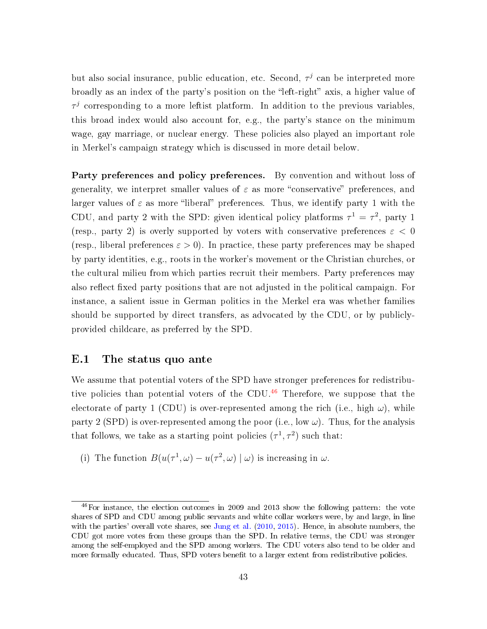but also social insurance, public education, etc. Second,  $\tau^j$  can be interpreted more broadly as an index of the party's position on the "left-right" axis, a higher value of  $\tau^j$  corresponding to a more leftist platform. In addition to the previous variables, this broad index would also account for, e.g., the party's stance on the minimum wage, gay marriage, or nuclear energy. These policies also played an important role in Merkel's campaign strategy which is discussed in more detail below.

Party preferences and policy preferences. By convention and without loss of generality, we interpret smaller values of  $\varepsilon$  as more "conservative" preferences, and larger values of  $\varepsilon$  as more "liberal" preferences. Thus, we identify party 1 with the CDU, and party 2 with the SPD: given identical policy platforms  $\tau^1 = \tau^2$ , party 1 (resp., party 2) is overly supported by voters with conservative preferences  $\varepsilon$  < 0 (resp., liberal preferences  $\varepsilon > 0$ ). In practice, these party preferences may be shaped by party identities, e.g., roots in the worker's movement or the Christian churches, or the cultural milieu from which parties recruit their members. Party preferences may also reflect fixed party positions that are not adjusted in the political campaign. For instance, a salient issue in German politics in the Merkel era was whether families should be supported by direct transfers, as advocated by the CDU, or by publiclyprovided childcare, as preferred by the SPD.

## E.1 The status quo ante

We assume that potential voters of the SPD have stronger preferences for redistribu-tive policies than potential voters of the CDU.<sup>[46](#page--1-2)</sup> Therefore, we suppose that the electorate of party 1 (CDU) is over-represented among the rich (i.e., high  $\omega$ ), while party 2 (SPD) is over-represented among the poor (i.e., low  $\omega$ ). Thus, for the analysis that follows, we take as a starting point policies  $(\tau^1, \tau^2)$  such that:

(i) The function  $B(u(\tau^1, \omega) - u(\tau^2, \omega) | \omega)$  is increasing in  $\omega$ .

 $^{46}$ For instance, the election outcomes in 2009 and 2013 show the following pattern: the vote shares of SPD and CDU among public servants and white collar workers were, by and large, in line with the parties' overall vote shares, see [Jung et al.](#page--1-3) [\(2010,](#page--1-3) [2015\)](#page--1-4). Hence, in absolute numbers, the CDU got more votes from these groups than the SPD. In relative terms, the CDU was stronger among the self-employed and the SPD among workers. The CDU voters also tend to be older and more formally educated. Thus, SPD voters benefit to a larger extent from redistributive policies.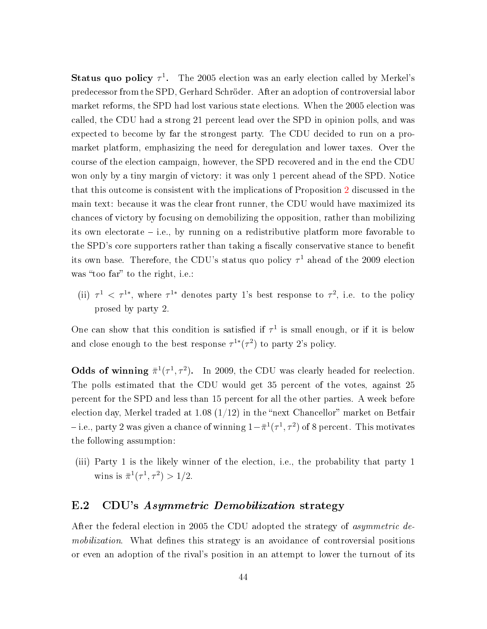Status quo policy  $\tau^1$ . The 2005 election was an early election called by Merkel's predecessor from the SPD, Gerhard Schröder. After an adoption of controversial labor market reforms, the SPD had lost various state elections. When the 2005 election was called, the CDU had a strong 21 percent lead over the SPD in opinion polls, and was expected to become by far the strongest party. The CDU decided to run on a promarket platform, emphasizing the need for deregulation and lower taxes. Over the course of the election campaign, however, the SPD recovered and in the end the CDU won only by a tiny margin of victory: it was only 1 percent ahead of the SPD. Notice that this outcome is consistent with the implications of Proposition [2](#page--1-5) discussed in the main text: because it was the clear front runner, the CDU would have maximized its chances of victory by focusing on demobilizing the opposition, rather than mobilizing its own electorate  $-$  i.e., by running on a redistributive platform more favorable to the SPD's core supporters rather than taking a fiscally conservative stance to benefit its own base. Therefore, the CDU's status quo policy  $\tau^1$  ahead of the 2009 election was "too far" to the right, i.e.:

(ii)  $\tau^1$  <  $\tau^{1*}$ , where  $\tau^{1*}$  denotes party 1's best response to  $\tau^2$ , i.e. to the policy prosed by party 2.

One can show that this condition is satisfied if  $\tau^1$  is small enough, or if it is below and close enough to the best response  $\tau^{1*}(\tau^2)$  to party 2's policy.

Odds of winning  $\bar{\pi}^1(\tau^1, \tau^2)$ . In 2009, the CDU was clearly headed for reelection. The polls estimated that the CDU would get 35 percent of the votes, against 25 percent for the SPD and less than 15 percent for all the other parties. A week before election day, Merkel traded at 1.08  $(1/12)$  in the "next Chancellor" market on Betfair – i.e., party 2 was given a chance of winning  $1-\bar{\pi}^1(\tau^1,\tau^2)$  of 8 percent. This motivates the following assumption:

(iii) Party 1 is the likely winner of the election, i.e., the probability that party 1 wins is  $\bar{\pi}^1(\tau^1, \tau^2) > 1/2$ .

### E.2 CDU's Asymmetric Demobilization strategy

After the federal election in 2005 the CDU adopted the strategy of *asymmetric de*mobilization. What defines this strategy is an avoidance of controversial positions or even an adoption of the rival's position in an attempt to lower the turnout of its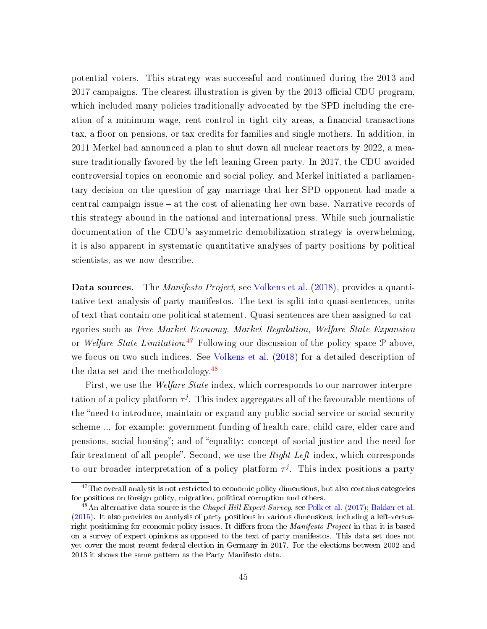potential voters. This strategy was successful and continued during the 2013 and  $2017$  campaigns. The clearest illustration is given by the  $2013$  official CDU program, which included many policies traditionally advocated by the SPD including the creation of a minimum wage, rent control in tight city areas, a financial transactions tax, a floor on pensions, or tax credits for families and single mothers. In addition, in 2011 Merkel had announced a plan to shut down all nuclear reactors by 2022, a measure traditionally favored by the left-leaning Green party. In 2017, the CDU avoided controversial topics on economic and social policy, and Merkel initiated a parliamentary decision on the question of gay marriage that her SPD opponent had made a central campaign issue  $-$  at the cost of alienating her own base. Narrative records of this strategy abound in the national and international press. While such journalistic documentation of the CDU's asymmetric demobilization strategy is overwhelming, it is also apparent in systematic quantitative analyses of party positions by political scientists, as we now describe.

**Data sources.** The *Manifesto Project*, see [Volkens et al.](#page--1-6) [\(2018\)](#page--1-6), provides a quantitative text analysis of party manifestos. The text is split into quasi-sentences, units of text that contain one political statement. Quasi-sentences are then assigned to categories such as Free Market Economy, Market Regulation, Welfare State Expansion or Welfare State Limitation.<sup>[47](#page--1-2)</sup> Following our discussion of the policy space  $P$  above, we focus on two such indices. See [Volkens et al.](#page--1-6) [\(2018\)](#page--1-6) for a detailed description of the data set and the methodology. $48$ 

First, we use the *Welfare State* index, which corresponds to our narrower interpretation of a policy platform  $\tau^{j}$ . This index aggregates all of the favourable mentions of the "need to introduce, maintain or expand any public social service or social security scheme ... for example: government funding of health care, child care, elder care and pensions, social housing"; and of "equality: concept of social justice and the need for fair treatment of all people". Second, we use the  $Right-Left$  index, which corresponds to our broader interpretation of a policy platform  $\tau^j$ . This index positions a party

 $47$ The overall analysis is not restricted to economic policy dimensions, but also contains categories for positions on foreign policy, migration, political corruption and others.

 $^{48}$ An alternative data source is the *Chapel Hill Expert Survey*, see [Polk et al.](#page--1-7) [\(2017\)](#page--1-7); [Bakker et al.](#page--1-8) [\(2015\)](#page--1-8). It also provides an analysis of party positions in various dimensions, including a left-versusright positioning for economic policy issues. It differs from the *Manifesto Project* in that it is based on a survey of expert opinions as opposed to the text of party manifestos. This data set does not yet cover the most recent federal election in Germany in 2017. For the elections between 2002 and 2013 it shows the same pattern as the Party Manifesto data.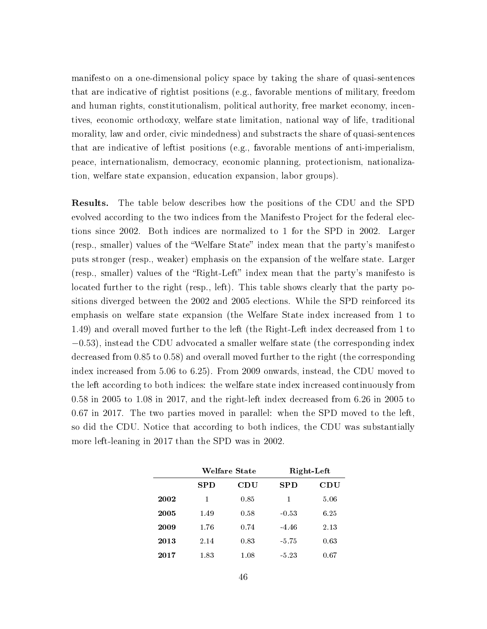manifesto on a one-dimensional policy space by taking the share of quasi-sentences that are indicative of rightist positions (e.g., favorable mentions of military, freedom and human rights, constitutionalism, political authority, free market economy, incentives, economic orthodoxy, welfare state limitation, national way of life, traditional morality, law and order, civic mindedness) and substracts the share of quasi-sentences that are indicative of leftist positions (e.g., favorable mentions of anti-imperialism, peace, internationalism, democracy, economic planning, protectionism, nationalization, welfare state expansion, education expansion, labor groups).

Results. The table below describes how the positions of the CDU and the SPD evolved according to the two indices from the Manifesto Project for the federal elections since 2002. Both indices are normalized to 1 for the SPD in 2002. Larger (resp., smaller) values of the "Welfare State" index mean that the party's manifesto puts stronger (resp., weaker) emphasis on the expansion of the welfare state. Larger (resp., smaller) values of the "Right-Left" index mean that the party's manifesto is located further to the right (resp., left). This table shows clearly that the party positions diverged between the 2002 and 2005 elections. While the SPD reinforced its emphasis on welfare state expansion (the Welfare State index increased from 1 to 1.49) and overall moved further to the left (the Right-Left index decreased from 1 to −0.53), instead the CDU advocated a smaller welfare state (the corresponding index decreased from 0.85 to 0.58) and overall moved further to the right (the corresponding index increased from 5.06 to 6.25). From 2009 onwards, instead, the CDU moved to the left according to both indices: the welfare state index increased continuously from 0.58 in 2005 to 1.08 in 2017, and the right-left index decreased from 6.26 in 2005 to 0.67 in 2017. The two parties moved in parallel: when the SPD moved to the left, so did the CDU. Notice that according to both indices, the CDU was substantially more left-leaning in 2017 than the SPD was in 2002.

|      | Welfare State |      | Right-Left |      |
|------|---------------|------|------------|------|
|      | <b>SPD</b>    | CDU  | <b>SPD</b> | CDU  |
| 2002 | 1             | 0.85 | 1          | 5.06 |
| 2005 | 1.49          | 0.58 | $-0.53$    | 6.25 |
| 2009 | 1.76          | 0.74 | -4.46      | 2.13 |
| 2013 | 2.14          | 0.83 | -5.75      | 0.63 |
| 2017 | 1.83          | 1.08 | $-5.23$    | 0.67 |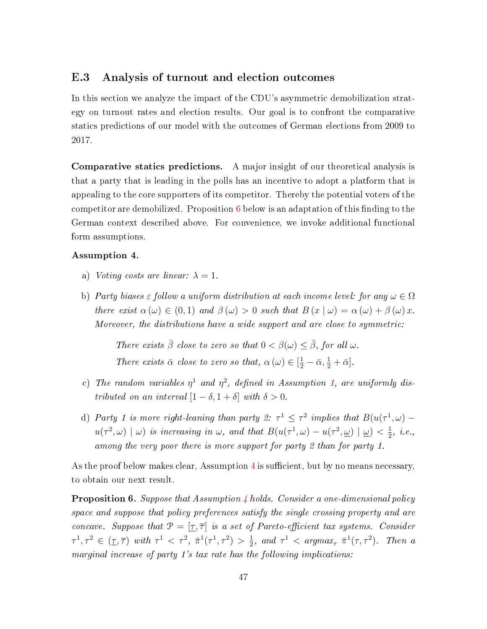#### E.3 Analysis of turnout and election outcomes

In this section we analyze the impact of the CDU's asymmetric demobilization strategy on turnout rates and election results. Our goal is to confront the comparative statics predictions of our model with the outcomes of German elections from 2009 to 2017.

Comparative statics predictions. A major insight of our theoretical analysis is that a party that is leading in the polls has an incentive to adopt a platform that is appealing to the core supporters of its competitor. Thereby the potential voters of the competitor are demobilized. Proposition  $6$  below is an adaptation of this finding to the German context described above. For convenience, we invoke additional functional form assumptions.

#### <span id="page-46-1"></span>Assumption 4.

- a) Voting costs are linear:  $\lambda = 1$ .
- b) Party biases  $\varepsilon$  follow a uniform distribution at each income level: for any  $\omega \in \Omega$ there exist  $\alpha(\omega) \in (0,1)$  and  $\beta(\omega) > 0$  such that  $B(x | \omega) = \alpha(\omega) + \beta(\omega) x$ . Moreover, the distributions have a wide support and are close to symmetric:

There exists  $\bar{\beta}$  close to zero so that  $0 < \beta(\omega) \leq \bar{\beta}$ , for all  $\omega$ .

- There exists  $\bar{\alpha}$  close to zero so that,  $\alpha(\omega) \in [\frac{1}{2} \bar{\alpha}, \frac{1}{2} + \bar{\alpha}].$ c) The random variables  $\eta^1$  and  $\eta^2$ , defined in Assumption [1,](#page--1-9) are uniformly dis-
- tributed on an interval  $[1 \delta, 1 + \delta]$  with  $\delta > 0$ .
- d) Party 1 is more right-leaning than party 2:  $\tau^1 \leq \tau^2$  implies that  $B(u(\tau^1,\omega)$  $u(\tau^2, \omega) \mid \omega$  is increasing in  $\omega$ , and that  $B(u(\tau^1, \omega) - u(\tau^2, \omega) \mid \omega) < \frac{1}{2}$  $\frac{1}{2}$ , *i.e.*, among the very poor there is more support for party 2 than for party 1.

As the proof below makes clear, Assumption  $4$  is sufficient, but by no means necessary, to obtain our next result.

<span id="page-46-0"></span>Proposition 6. Suppose that Assumption [4](#page-46-1) holds. Consider a one-dimensional policy space and suppose that policy preferences satisfy the single crossing property and are concave. Suppose that  $\mathcal{P} = [\underline{\tau}, \overline{\tau}]$  is a set of Pareto-efficient tax systems. Consider  $\tau^1, \tau^2 \in (\underline{\tau}, \overline{\tau})$  with  $\tau^1 < \tau^2$ ,  $\overline{\pi}^1(\tau^1, \tau^2) > \frac{1}{2}$  $\frac{1}{2}$ , and  $\tau^1$  < argmax<sub> $\tau$ </sub>  $\bar{\pi}^1(\tau, \tau^2)$ . Then a marginal increase of party 1's tax rate has the following implications: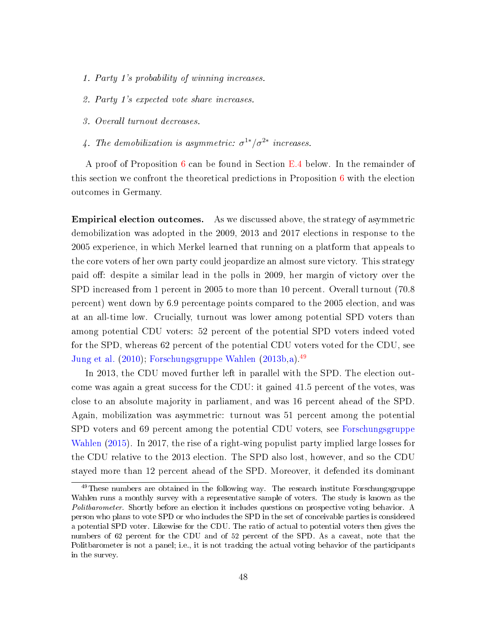- 1. Party 1's probability of winning increases.
- 2. Party 1's expected vote share increases.
- 3. Overall turnout decreases.
- 4. The demobilization is asymmetric:  $\sigma^{1*}/\sigma^{2*}$  increases.

A proof of Proposition [6](#page-46-0) can be found in Section [E.4](#page-48-0) below. In the remainder of this section we confront the theoretical predictions in Proposition [6](#page-46-0) with the election outcomes in Germany.

Empirical election outcomes. As we discussed above, the strategy of asymmetric demobilization was adopted in the 2009, 2013 and 2017 elections in response to the 2005 experience, in which Merkel learned that running on a platform that appeals to the core voters of her own party could jeopardize an almost sure victory. This strategy paid off: despite a similar lead in the polls in 2009, her margin of victory over the SPD increased from 1 percent in 2005 to more than 10 percent. Overall turnout (70.8 percent) went down by 6.9 percentage points compared to the 2005 election, and was at an all-time low. Crucially, turnout was lower among potential SPD voters than among potential CDU voters: 52 percent of the potential SPD voters indeed voted for the SPD, whereas 62 percent of the potential CDU voters voted for the CDU, see [Jung et al.](#page--1-3) [\(2010\)](#page--1-3); [Forschungsgruppe Wahlen](#page--1-10) [\(2013b,](#page--1-10)[a\)](#page--1-11).[49](#page--1-2)

In 2013, the CDU moved further left in parallel with the SPD. The election outcome was again a great success for the CDU: it gained 41.5 percent of the votes, was close to an absolute majority in parliament, and was 16 percent ahead of the SPD. Again, mobilization was asymmetric: turnout was 51 percent among the potential SPD voters and 69 percent among the potential CDU voters, see [Forschungsgruppe](#page--1-12) [Wahlen](#page--1-12) [\(2015\)](#page--1-12). In 2017, the rise of a right-wing populist party implied large losses for the CDU relative to the 2013 election. The SPD also lost, however, and so the CDU stayed more than 12 percent ahead of the SPD. Moreover, it defended its dominant

<sup>&</sup>lt;sup>49</sup>These numbers are obtained in the following way. The research institute Forschungsgruppe Wahlen runs a monthly survey with a representative sample of voters. The study is known as the Politbarometer. Shortly before an election it includes questions on prospective voting behavior. A person who plans to vote SPD or who includes the SPD in the set of conceivable parties is considered a potential SPD voter. Likewise for the CDU. The ratio of actual to potential voters then gives the numbers of 62 percent for the CDU and of 52 percent of the SPD. As a caveat, note that the Politbarometer is not a panel; i.e., it is not tracking the actual voting behavior of the participants in the survey.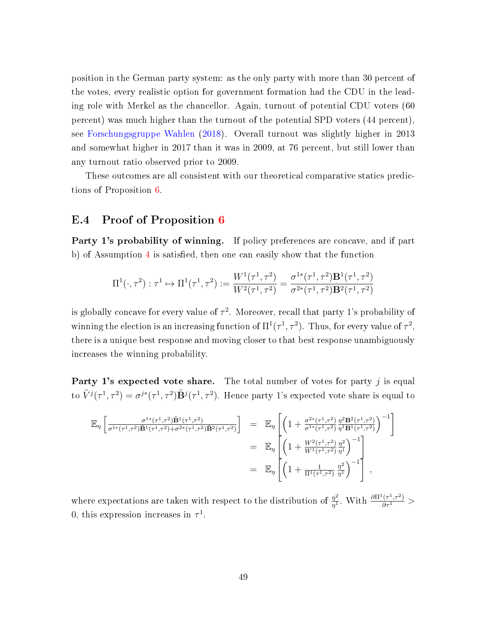position in the German party system: as the only party with more than 30 percent of the votes, every realistic option for government formation had the CDU in the leading role with Merkel as the chancellor. Again, turnout of potential CDU voters (60 percent) was much higher than the turnout of the potential SPD voters (44 percent), see [Forschungsgruppe Wahlen](#page--1-13) [\(2018\)](#page--1-13). Overall turnout was slightly higher in 2013 and somewhat higher in 2017 than it was in 2009, at 76 percent, but still lower than any turnout ratio observed prior to 2009.

These outcomes are all consistent with our theoretical comparative statics predictions of Proposition [6.](#page-46-0)

## <span id="page-48-0"></span>E.4 Proof of Proposition [6](#page-46-0)

Party 1's probability of winning. If policy preferences are concave, and if part b) of Assumption  $4$  is satisfied, then one can easily show that the function

$$
\Pi^1(\cdot,\tau^2): \tau^1 \mapsto \Pi^1(\tau^1,\tau^2) := \frac{W^1(\tau^1,\tau^2)}{W^2(\tau^1,\tau^2)} = \frac{\sigma^{1*}(\tau^1,\tau^2)\mathbf{B}^1(\tau^1,\tau^2)}{\sigma^{2*}(\tau^1,\tau^2)\mathbf{B}^2(\tau^1,\tau^2)}
$$

is globally concave for every value of  $\tau^2$ . Moreover, recall that party 1's probability of winning the election is an increasing function of  $\Pi^1(\tau^1, \tau^2)$ . Thus, for every value of  $\tau^2$ , there is a unique best response and moving closer to that best response unambiguously increases the winning probability.

**Party 1's expected vote share.** The total number of votes for party  $j$  is equal to  $\tilde{V}^j(\tau^1,\tau^2)=\sigma^{j*}(\tau^1,\tau^2)\tilde{\mathbf{B}}^j(\tau^1,\tau^2)$ . Hence party 1's expected vote share is equal to

$$
\mathbb{E}_{\eta} \left[ \frac{\sigma^{1*}(\tau^1, \tau^2) \tilde{\mathbf{B}}^1(\tau^1, \tau^2)}{\sigma^{1*}(\tau^1, \tau^2) \tilde{\mathbf{B}}^1(\tau^1, \tau^2) + \sigma^{2*}(\tau^1, \tau^2) \tilde{\mathbf{B}}^2(\tau^1, \tau^2)}} \right] = \mathbb{E}_{\eta} \left[ \left( 1 + \frac{\sigma^{2*}(\tau^1, \tau^2)}{\sigma^{1*}(\tau^1, \tau^2)} \frac{\eta^2 \mathbf{B}^2(\tau^1, \tau^2)}{\eta^1 \mathbf{B}^1(\tau^1, \tau^2)} \right)^{-1} \right]
$$
  
\n
$$
= \mathbb{E}_{\eta} \left[ \left( 1 + \frac{W^2(\tau^1, \tau^2)}{W^1(\tau^1, \tau^2)} \frac{\eta^2}{\eta^1} \right)^{-1} \right]
$$
  
\n
$$
= \mathbb{E}_{\eta} \left[ \left( 1 + \frac{W^2(\tau^1, \tau^2)}{W^1(\tau^1, \tau^2)} \frac{\eta^2}{\eta^1} \right)^{-1} \right],
$$

where expectations are taken with respect to the distribution of  $\frac{\eta^2}{n!}$  $\frac{\eta^2}{\eta^1}$ . With  $\frac{\partial \Pi^1(\tau^1,\tau^2)}{\partial \tau^1}$  > 0, this expression increases in  $\tau^1$ .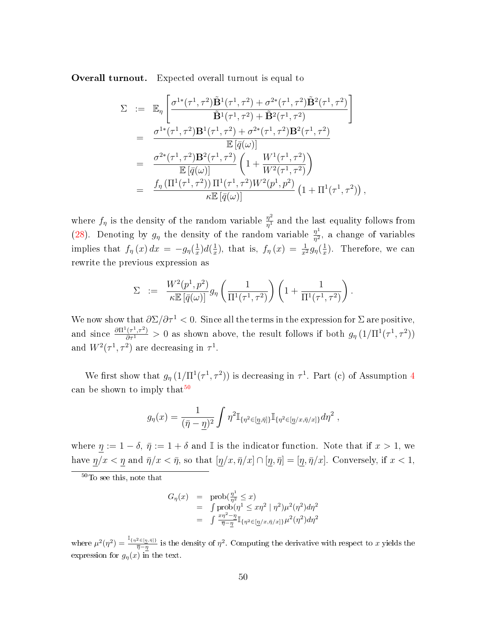Overall turnout. Expected overall turnout is equal to

$$
\Sigma := \mathbb{E}_{\eta} \left[ \frac{\sigma^{1*}(\tau^1, \tau^2) \tilde{\mathbf{B}}^1(\tau^1, \tau^2) + \sigma^{2*}(\tau^1, \tau^2) \tilde{\mathbf{B}}^2(\tau^1, \tau^2)}{\tilde{\mathbf{B}}^1(\tau^1, \tau^2) + \tilde{\mathbf{B}}^2(\tau^1, \tau^2)} \right]
$$
\n
$$
= \frac{\sigma^{1*}(\tau^1, \tau^2) \mathbf{B}^1(\tau^1, \tau^2) + \sigma^{2*}(\tau^1, \tau^2) \mathbf{B}^2(\tau^1, \tau^2)}{\mathbb{E}[\bar{q}(\omega)]}
$$
\n
$$
= \frac{\sigma^{2*}(\tau^1, \tau^2) \mathbf{B}^2(\tau^1, \tau^2)}{\mathbb{E}[\bar{q}(\omega)]} \left(1 + \frac{W^1(\tau^1, \tau^2)}{W^2(\tau^1, \tau^2)}\right)
$$
\n
$$
= \frac{f_{\eta}(\Pi^1(\tau^1, \tau^2)) \Pi^1(\tau^1, \tau^2) W^2(p^1, p^2)}{\kappa \mathbb{E}[\bar{q}(\omega)]} (1 + \Pi^1(\tau^1, \tau^2)),
$$

where  $f_{\eta}$  is the density of the random variable  $\frac{\eta^2}{n^1}$  $\frac{\eta^2}{\eta^1}$  and the last equality follows from [\(28\)](#page-2-0). Denoting by  $g_{\eta}$  the density of the random variable  $\frac{\eta^1}{n^2}$  $\frac{\eta^2}{\eta^2}$ , a change of variables implies that  $f_{\eta}(x) dx = -g_{\eta}(\frac{1}{x})$  $\frac{1}{x})d(\frac{1}{x})$  $(\frac{1}{x}), \text{ that is, } f_{\eta}(x) = \frac{1}{x^2} g_{\eta}(\frac{1}{x})$  $\frac{1}{x}$ ). Therefore, we can rewrite the previous expression as

$$
\Sigma = \frac{W^2(p^1, p^2)}{\kappa \mathbb{E}\left[\bar{q}(\omega)\right]} g_{\eta} \left(\frac{1}{\Pi^1(\tau^1, \tau^2)}\right) \left(1 + \frac{1}{\Pi^1(\tau^1, \tau^2)}\right).
$$

We now show that  $\partial \Sigma / \partial \tau^1 < 0$ . Since all the terms in the expression for  $\Sigma$  are positive, and since  $\frac{\partial \Pi^1(\tau^1,\tau^2)}{\partial \tau^1} > 0$  as shown above, the result follows if both  $g_\eta(1/\Pi^1(\tau^1,\tau^2))$ and  $W^2(\tau^1, \tau^2)$  are decreasing in  $\tau^1$ .

We first show that  $g_{\eta} (1/\Pi^1(\tau^1, \tau^2))$  is decreasing in  $\tau^1$ . Part (c) of Assumption [4](#page-46-1) can be shown to imply that<sup>[50](#page--1-2)</sup>

$$
g_{\eta}(x) = \frac{1}{(\bar{\eta} - \underline{\eta})^2} \int \eta^2 \mathbb{I}_{\{\eta^2 \in [\underline{\eta}, \bar{\eta}]\}} \mathbb{I}_{\{\eta^2 \in [\underline{\eta}/x, \bar{\eta}/x]\}} d\eta^2 ,
$$

where  $\eta := 1 - \delta$ ,  $\bar{\eta} := 1 + \delta$  and I is the indicator function. Note that if  $x > 1$ , we have  $\underline{\eta}/x < \underline{\eta}$  and  $\overline{\eta}/x < \overline{\eta}$ , so that  $[\underline{\eta}/x, \overline{\eta}/x] \cap [\underline{\eta}, \overline{\eta}] = [\underline{\eta}, \overline{\eta}/x]$ . Conversely, if  $x < 1$ ,

<sup>50</sup>To see this, note that

$$
G_{\eta}(x) = \text{prob}(\frac{\eta^{1}}{\eta^{2}} \leq x)
$$
  
=  $\int \text{prob}(\eta^{1} \leq x\eta^{2} | \eta^{2})\mu^{2}(\eta^{2})d\eta^{2}$   
=  $\int \frac{x\eta^{2} - \eta}{\overline{\eta} - \eta} \mathbb{I}_{\{\eta^{2} \in [\eta/x, \overline{\eta}/x]\}}\mu^{2}(\eta^{2})d\eta^{2}$ 

where  $\mu^2(\eta^2) = \frac{\mathbb{I}_{\{\eta^2 \in [\underline{\eta}, \bar{\eta}]\}}}{\bar{\eta} - n}$  $\frac{d^2 \in [ \eta, \bar{\eta} ] \cdot \bar{\eta} }{\bar{\eta}-\eta}$  is the density of  $\eta^2$ . Computing the derivative with respect to x yields the expression for  $g_n(x)$  in the text.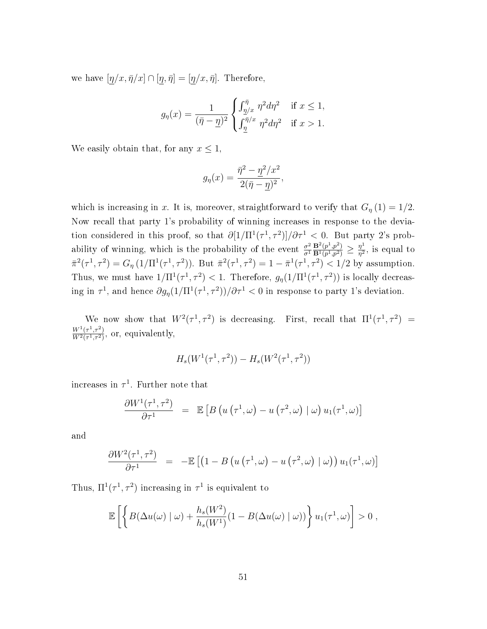we have  $[\eta/x, \bar{\eta}/x] \cap [\eta, \bar{\eta}] = [\eta/x, \bar{\eta}]$ . Therefore,

$$
g_{\eta}(x) = \frac{1}{(\bar{\eta} - \underline{\eta})^2} \begin{cases} \int_{\underline{\eta}/x}^{\bar{\eta}} \eta^2 d\eta^2 & \text{if } x \le 1, \\ \int_{\underline{\eta}}^{\bar{\eta}/x} \eta^2 d\eta^2 & \text{if } x > 1. \end{cases}
$$

We easily obtain that, for any  $x \leq 1$ ,

$$
g_{\eta}(x) = \frac{\overline{\eta}^2 - \underline{\eta}^2/x^2}{2(\overline{\eta} - \underline{\eta})^2},
$$

which is increasing in x. It is, moreover, straightforward to verify that  $G<sub>\eta</sub>(1) = 1/2$ . Now recall that party 1's probability of winning increases in response to the deviation considered in this proof, so that  $\partial [1/\Pi^1(\tau^1, \tau^2)]/\partial \tau^1 < 0$ . But party 2's probability of winning, which is the probability of the event  $\frac{\sigma^2}{\sigma^1}$  $\overline{\sigma^1}$  $\mathbf{B}^{2}(p^{1},p^{2})$  $\frac{{\bf B}^2(p^1,p^2)}{{\bf B}^1(p^1,p^2)}\geq \frac{\eta^1}{\eta^2}$  $\frac{\eta^2}{\eta^2}$ , is equal to  $\bar{\pi}^2(\tau^1, \tau^2) = G_{\eta} (1/\Pi^1(\tau^1, \tau^2))$ . But  $\bar{\pi}^2(\tau^1, \tau^2) = 1 - \bar{\pi}^1(\tau^1, \tau^2) < 1/2$  by assumption. Thus, we must have  $1/\Pi^1(\tau^1, \tau^2) < 1$ . Therefore,  $g_{\eta}(1/\Pi^1(\tau^1, \tau^2))$  is locally decreasing in  $\tau^1$ , and hence  $\partial g_\eta(1/\Pi^1(\tau^1,\tau^2))/\partial \tau^1 < 0$  in response to party 1's deviation.

We now show that  $W^2(\tau^1, \tau^2)$  is decreasing. First, recall that  $\Pi^1(\tau^1, \tau^2)$  =  $W^1(\tau^1,\tau^2)$  $\frac{W^1(\tau^1,\tau^2)}{W^2(\tau^1,\tau^2)}$ , or, equivalently,

$$
H_s(W^1(\tau^1,\tau^2)) - H_s(W^2(\tau^1,\tau^2))
$$

increases in  $\tau^1$ . Further note that

$$
\frac{\partial W^1(\tau^1,\tau^2)}{\partial \tau^1} = \mathbb{E}\left[B\left(u\left(\tau^1,\omega\right) - u\left(\tau^2,\omega\right) \mid \omega\right) u_1(\tau^1,\omega)\right]
$$

and

$$
\frac{\partial W^2(\tau^1,\tau^2)}{\partial \tau^1} = -\mathbb{E}\left[\left(1 - B\left(u\left(\tau^1,\omega\right) - u\left(\tau^2,\omega\right) \mid \omega\right)\right) u_1(\tau^1,\omega)\right]
$$

Thus,  $\Pi^1(\tau^1, \tau^2)$  increasing in  $\tau^1$  is equivalent to

$$
\mathbb{E}\left[\left\{B(\Delta u(\omega) \mid \omega) + \frac{h_s(W^2)}{h_s(W^1)}(1 - B(\Delta u(\omega) \mid \omega))\right\}u_1(\tau^1, \omega)\right] > 0,
$$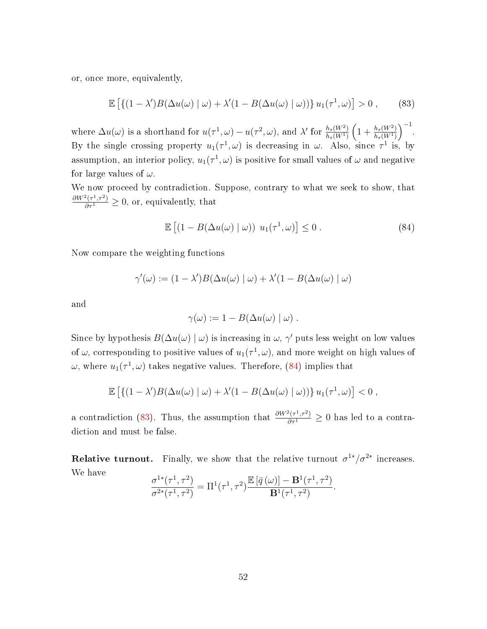or, once more, equivalently,

<span id="page-51-1"></span>
$$
\mathbb{E}\left[\left\{(1-\lambda')B(\Delta u(\omega) \mid \omega) + \lambda'(1 - B(\Delta u(\omega) \mid \omega))\right\}u_1(\tau^1, \omega)\right] > 0 ,\qquad(83)
$$

where  $\Delta u(\omega)$  is a shorthand for  $u(\tau^1, \omega) - u(\tau^2, \omega)$ , and  $\lambda'$  for  $\frac{h_s(W^2)}{h_s(W^1)}$  $\overline{h_s(W^1)}$  $\left(1+\frac{h_s(W^2)}{h(W^1)}\right)$  $\overline{h_s(W^1)}$  $\Big)^{-1}$ . By the single crossing property  $u_1(\tau^1, \omega)$  is decreasing in  $\omega$ . Also, since  $\tau^1$  is, by assumption, an interior policy,  $u_1(\tau^1, \omega)$  is positive for small values of  $\omega$  and negative for large values of  $\omega$ .

We now proceed by contradiction. Suppose, contrary to what we seek to show, that  $\frac{\partial W^2(\tau^1, \tau^2)}{\partial \tau^1} \geq 0$ , or, equivalently, that

<span id="page-51-0"></span>
$$
\mathbb{E}\left[\left(1 - B(\Delta u(\omega) \mid \omega)\right) u_1(\tau^1, \omega)\right] \le 0. \tag{84}
$$

Now compare the weighting functions

$$
\gamma'(\omega) := (1 - \lambda')B(\Delta u(\omega) | \omega) + \lambda'(1 - B(\Delta u(\omega) | \omega)
$$

and

$$
\gamma(\omega) := 1 - B(\Delta u(\omega) | \omega) .
$$

Since by hypothesis  $B(\Delta u(\omega) | \omega)$  is increasing in  $\omega, \gamma'$  puts less weight on low values of  $\omega$ , corresponding to positive values of  $u_1(\tau^1, \omega)$ , and more weight on high values of  $\omega$ , where  $u_1(\tau^1, \omega)$  takes negative values. Therefore, [\(84\)](#page-51-0) implies that

$$
\mathbb{E}\left[\left\{(1-\lambda')B(\Delta u(\omega)\mid\omega)+\lambda'(1-B(\Delta u(\omega)\mid\omega))\right\}u_1(\tau^1,\omega)\right]<0,
$$

a contradiction [\(83\)](#page-51-1). Thus, the assumption that  $\frac{\partial W^2(\tau^1,\tau^2)}{\partial \tau^1} \geq 0$  has led to a contradiction and must be false.

**Relative turnout.** Finally, we show that the relative turnout  $\sigma^{1*}/\sigma^{2*}$  increases. We have

$$
\frac{\sigma^{1*}(\tau^1, \tau^2)}{\sigma^{2*}(\tau^1, \tau^2)} = \Pi^1(\tau^1, \tau^2) \frac{\mathbb{E}\left[\bar{q}(\omega)\right] - \mathbf{B}^1(\tau^1, \tau^2)}{\mathbf{B}^1(\tau^1, \tau^2)}.
$$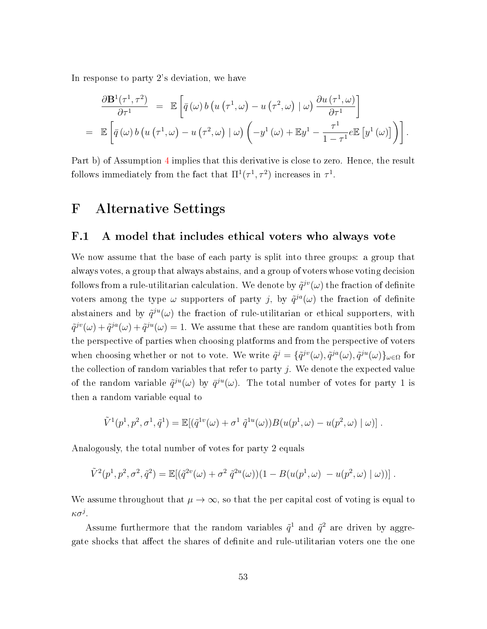In response to party 2's deviation, we have

$$
\frac{\partial \mathbf{B}^{1}(\tau^{1},\tau^{2})}{\partial \tau^{1}} = \mathbb{E}\left[\bar{q}(\omega) b\left(u\left(\tau^{1},\omega\right)-u\left(\tau^{2},\omega\right)|\omega\right) \frac{\partial u\left(\tau^{1},\omega\right)}{\partial \tau^{1}}\right]
$$
\n
$$
= \mathbb{E}\left[\bar{q}(\omega) b\left(u\left(\tau^{1},\omega\right)-u\left(\tau^{2},\omega\right)|\omega\right)\left(-y^{1}\left(\omega\right)+\mathbb{E}y^{1}-\frac{\tau^{1}}{1-\tau^{1}}e\mathbb{E}\left[y^{1}\left(\omega\right)\right]\right)\right].
$$

Part b) of Assumption [4](#page-46-1) implies that this derivative is close to zero. Hence, the result follows immediately from the fact that  $\Pi^1(\tau^1, \tau^2)$  increases in  $\tau^1$ .

# F Alternative Settings

#### F.1 A model that includes ethical voters who always vote

We now assume that the base of each party is split into three groups: a group that always votes, a group that always abstains, and a group of voters whose voting decision follows from a rule-utilitarian calculation. We denote by  $\tilde{q}^{jv}(\omega)$  the fraction of definite voters among the type  $\omega$  supporters of party j, by  $\tilde{q}^{ja}(\omega)$  the fraction of definite abstainers and by  $\tilde{q}^{ju}(\omega)$  the fraction of rule-utilitarian or ethical supporters, with  $\tilde{q}^{jv}(\omega) + \tilde{q}^{ja}(\omega) + \tilde{q}^{ju}(\omega) = 1$ . We assume that these are random quantities both from the perspective of parties when choosing platforms and from the perspective of voters when choosing whether or not to vote. We write  $\tilde{q}^j = \{\tilde{q}^{jv}(\omega), \tilde{q}^{ja}(\omega), \tilde{q}^{ju}(\omega)\}_{\omega \in \Omega}$  for the collection of random variables that refer to party  $j$ . We denote the expected value of the random variable  $\tilde{q}^{ju}(\omega)$  by  $\bar{q}^{ju}(\omega)$ . The total number of votes for party 1 is then a random variable equal to

$$
\tilde{V}^{1}(p^{1}, p^{2}, \sigma^{1}, \tilde{q}^{1}) = \mathbb{E}[(\tilde{q}^{1v}(\omega) + \sigma^{1} \tilde{q}^{1u}(\omega))B(u(p^{1}, \omega) - u(p^{2}, \omega) | \omega)].
$$

Analogously, the total number of votes for party 2 equals

$$
\tilde{V}^2(p^1, p^2, \sigma^2, \tilde{q}^2) = \mathbb{E}[(\tilde{q}^{2v}(\omega) + \sigma^2 \tilde{q}^{2u}(\omega))(1 - B(u(p^1, \omega) - u(p^2, \omega) | \omega))].
$$

We assume throughout that  $\mu \to \infty$ , so that the per capital cost of voting is equal to κσ $^j$ .

Assume furthermore that the random variables  $\tilde{q}^1$  and  $\tilde{q}^2$  are driven by aggregate shocks that affect the shares of definite and rule-utilitarian voters one the one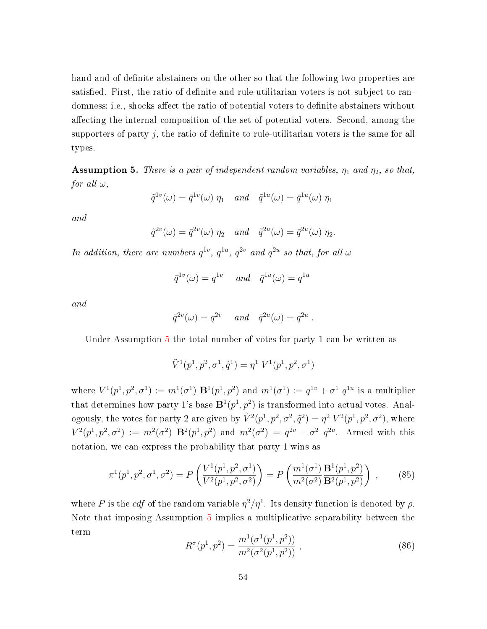hand and of definite abstainers on the other so that the following two properties are satisfied. First, the ratio of definite and rule-utilitarian voters is not subject to randomness; i.e., shocks affect the ratio of potential voters to definite abstainers without affecting the internal composition of the set of potential voters. Second, among the supporters of party j, the ratio of definite to rule-utilitarian voters is the same for all types.

<span id="page-53-0"></span>**Assumption 5.** There is a pair of independent random variables,  $\eta_1$  and  $\eta_2$ , so that, for all  $\omega$ ,

$$
\tilde{q}^{1v}(\omega) = \bar{q}^{1v}(\omega) \eta_1 \quad and \quad \tilde{q}^{1u}(\omega) = \bar{q}^{1u}(\omega) \eta_1
$$

and

$$
\tilde{q}^{2v}(\omega) = \bar{q}^{2v}(\omega) \eta_2 \quad and \quad \tilde{q}^{2u}(\omega) = \bar{q}^{2u}(\omega) \eta_2.
$$

In addition, there are numbers  $q^{1v}$ ,  $q^{1u}$ ,  $q^{2v}$  and  $q^{2u}$  so that, for all  $\omega$ 

$$
\bar{q}^{1v}(\omega) = q^{1v} \quad \text{and} \quad \bar{q}^{1u}(\omega) = q^{1u}
$$

and

$$
\bar{q}^{2v}(\omega) = q^{2v} \quad \text{and} \quad \bar{q}^{2u}(\omega) = q^{2u}
$$

Under Assumption [5](#page-53-0) the total number of votes for party 1 can be written as

$$
\tilde{V}^1(p^1, p^2, \sigma^1, \tilde{q}^1) = \eta^1 \; V^1(p^1, p^2, \sigma^1)
$$

where  $V^1(p^1, p^2, \sigma^1) := m^1(\sigma^1) \mathbf{B}^1(p^1, p^2)$  and  $m^1(\sigma^1) := q^{1v} + \sigma^1 q^{1u}$  is a multiplier that determines how party 1's base  $\mathbf{B}^1(p^1, p^2)$  is transformed into actual votes. Analogously, the votes for party 2 are given by  $\tilde{V}^2(p^1, p^2, \sigma^2, \tilde{q}^2) = \eta^2 V^2(p^1, p^2, \sigma^2)$ , where  $V^2(p^1, p^2, \sigma^2) := m^2(\sigma^2) \mathbf{B}^2(p^1, p^2)$  and  $m^2(\sigma^2) = q^{2v} + \sigma^2 q^{2u}$ . Armed with this notation, we can express the probability that party 1 wins as

$$
\pi^1(p^1, p^2, \sigma^1, \sigma^2) = P\left(\frac{V^1(p^1, p^2, \sigma^1)}{V^2(p^1, p^2, \sigma^2)}\right) = P\left(\frac{m^1(\sigma^1)}{m^2(\sigma^2)} \frac{\mathbf{B}^1(p^1, p^2)}{\mathbf{B}^2(p^1, p^2)}\right) ,\tag{85}
$$

where P is the cdf of the random variable  $\eta^2/\eta^1$ . Its density function is denoted by  $\rho$ . Note that imposing Assumption [5](#page-53-0) implies a multiplicative separability between the term

$$
R^{\sigma}(p^1, p^2) = \frac{m^1(\sigma^1(p^1, p^2))}{m^2(\sigma^2(p^1, p^2))},
$$
\n(86)

.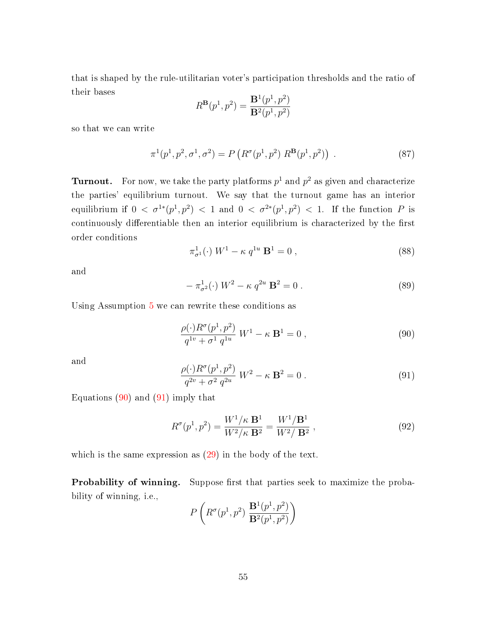that is shaped by the rule-utilitarian voter's participation thresholds and the ratio of their bases

$$
R^{\mathbf{B}}(p^1, p^2) = \frac{\mathbf{B}^1(p^1, p^2)}{\mathbf{B}^2(p^1, p^2)}
$$

so that we can write

<span id="page-54-3"></span>
$$
\pi^1(p^1, p^2, \sigma^1, \sigma^2) = P\left(R^{\sigma}(p^1, p^2) R^{\mathbf{B}}(p^1, p^2)\right).
$$
 (87)

**Turnout.** For now, we take the party platforms  $p^1$  and  $p^2$  as given and characterize the parties' equilibrium turnout. We say that the turnout game has an interior equilibrium if  $0 < \sigma^{1*}(p^1, p^2) < 1$  and  $0 < \sigma^{2*}(p^1, p^2) < 1$ . If the function P is continuously differentiable then an interior equilibrium is characterized by the first order conditions

$$
\pi_{\sigma^1}^1(\cdot) W^1 - \kappa q^{1u} \mathbf{B}^1 = 0 , \qquad (88)
$$

and

$$
-\pi_{\sigma^2}^1(\cdot) W^2 - \kappa q^{2u} \mathbf{B}^2 = 0.
$$
 (89)

Using Assumption [5](#page-53-0) we can rewrite these conditions as

<span id="page-54-0"></span>
$$
\frac{\rho(\cdot)R^{\sigma}(p^{1},p^{2})}{q^{1v} + \sigma^{1} q^{1u}} W^{1} - \kappa \mathbf{B}^{1} = 0 ,
$$
\n(90)

and

<span id="page-54-1"></span>
$$
\frac{\rho(\cdot)R^{\sigma}(p^{1},p^{2})}{q^{2v} + \sigma^{2} q^{2u}} W^{2} - \kappa \mathbf{B}^{2} = 0.
$$
\n(91)

Equations  $(90)$  and  $(91)$  imply that

<span id="page-54-2"></span>
$$
R^{\sigma}(p^{1}, p^{2}) = \frac{W^{1}/\kappa \mathbf{B}^{1}}{W^{2}/\kappa \mathbf{B}^{2}} = \frac{W^{1}/\mathbf{B}^{1}}{W^{2}/\mathbf{B}^{2}} ,
$$
\n(92)

which is the same expression as  $(29)$  in the body of the text.

**Probability of winning.** Suppose first that parties seek to maximize the probability of winning, i.e.,

$$
P\left(R^{\sigma}(p^1, p^2) \frac{\mathbf{B}^1(p^1, p^2)}{\mathbf{B}^2(p^1, p^2)}\right)
$$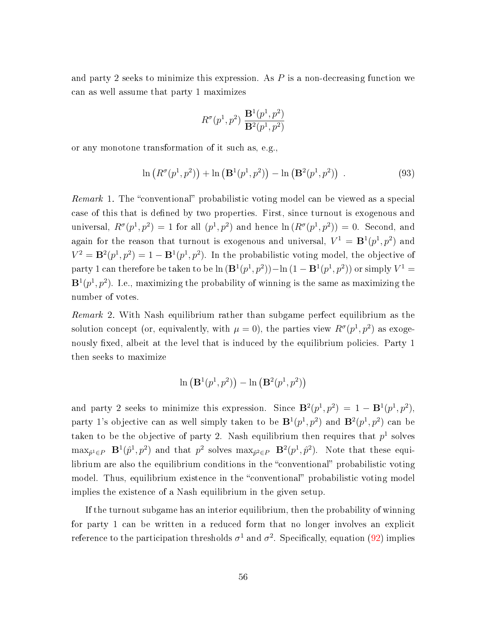and party 2 seeks to minimize this expression. As  $P$  is a non-decreasing function we can as well assume that party 1 maximizes

$$
R^{\sigma}(p^1, p^2) \; \frac{\mathbf{B}^1(p^1, p^2)}{\mathbf{B}^2(p^1, p^2)}
$$

or any monotone transformation of it such as, e.g.,

$$
\ln (R^{\sigma}(p^{1}, p^{2})) + \ln (\mathbf{B}^{1}(p^{1}, p^{2})) - \ln (\mathbf{B}^{2}(p^{1}, p^{2})) . \qquad (93)
$$

*Remark* 1. The "conventional" probabilistic voting model can be viewed as a special case of this that is defined by two properties. First, since turnout is exogenous and universal,  $R^{\sigma}(p^{1},p^{2}) = 1$  for all  $(p^{1},p^{2})$  and hence  $\ln(R^{\sigma}(p^{1},p^{2})) = 0$ . Second, and again for the reason that turnout is exogenous and universal,  $V^1 = \mathbf{B}^1(p^1, p^2)$  and  $V^2 = \mathbf{B}^2(p^1, p^2) = 1 - \mathbf{B}^1(p^1, p^2)$ . In the probabilistic voting model, the objective of party 1 can therefore be taken to be  $\ln (\mathbf{B}^1(p^1, p^2)) - \ln (1 - \mathbf{B}^1(p^1, p^2))$  or simply  $V^1 =$  ${\bf B}^1(p^1,p^2)$ . I.e., maximizing the probability of winning is the same as maximizing the number of votes.

Remark 2. With Nash equilibrium rather than subgame perfect equilibrium as the solution concept (or, equivalently, with  $\mu = 0$ ), the parties view  $R^{\sigma}(p^{1}, p^{2})$  as exogenously fixed, albeit at the level that is induced by the equilibrium policies. Party 1 then seeks to maximize

$$
\ln\left(\mathbf{B}^1(p^1,p^2)\right) - \ln\left(\mathbf{B}^2(p^1,p^2)\right)
$$

and party 2 seeks to minimize this expression. Since  $\mathbf{B}^2(p^1, p^2) = 1 - \mathbf{B}^1(p^1, p^2)$ , party 1's objective can as well simply taken to be  $\mathbf{B}^1(p^1, p^2)$  and  $\mathbf{B}^2(p^1, p^2)$  can be taken to be the objective of party 2. Nash equilibrium then requires that  $p<sup>1</sup>$  solves  $\max_{\hat{p}^1 \in P}$   $\mathbf{B}^1(\hat{p}^1, p^2)$  and that  $p^2$  solves  $\max_{\hat{p}^2 \in P}$   $\mathbf{B}^2(p^1, \hat{p}^2)$ . Note that these equilibrium are also the equilibrium conditions in the "conventional" probabilistic voting model. Thus, equilibrium existence in the "conventional" probabilistic voting model implies the existence of a Nash equilibrium in the given setup.

If the turnout subgame has an interior equilibrium, then the probability of winning for party 1 can be written in a reduced form that no longer involves an explicit reference to the participation thresholds  $\sigma^1$  and  $\sigma^2$ . Specifically, equation [\(92\)](#page-54-2) implies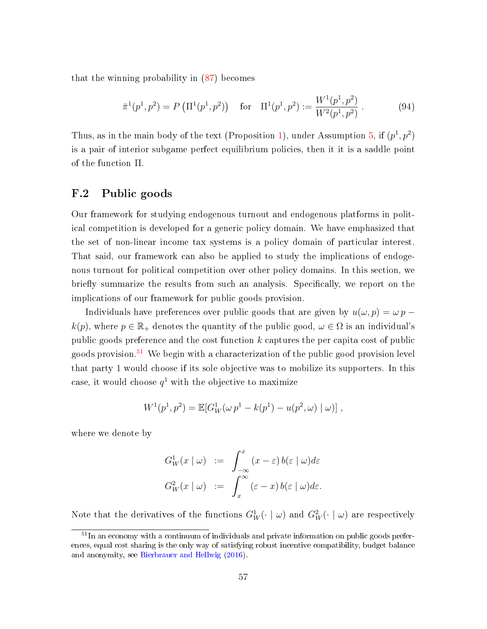that the winning probability in [\(87\)](#page-54-3) becomes

$$
\bar{\pi}^1(p^1, p^2) = P\left(\Pi^1(p^1, p^2)\right) \quad \text{for} \quad \Pi^1(p^1, p^2) := \frac{W^1(p^1, p^2)}{W^2(p^1, p^2)}\,. \tag{94}
$$

Thus, as in the main body of the text (Proposition [1\)](#page--1-14), under Assumption [5,](#page-53-0) if  $(p<sup>1</sup>, p<sup>2</sup>)$ is a pair of interior subgame perfect equilibrium policies, then it it is a saddle point of the function Π.

# F.2 Public goods

Our framework for studying endogenous turnout and endogenous platforms in political competition is developed for a generic policy domain. We have emphasized that the set of non-linear income tax systems is a policy domain of particular interest. That said, our framework can also be applied to study the implications of endogenous turnout for political competition over other policy domains. In this section, we briefly summarize the results from such an analysis. Specifically, we report on the implications of our framework for public goods provision.

Individuals have preferences over public goods that are given by  $u(\omega, p) = \omega p$  $k(p)$ , where  $p \in \mathbb{R}_+$  denotes the quantity of the public good,  $\omega \in \Omega$  is an individual's public goods preference and the cost function  $k$  captures the per capita cost of public goods provision.<sup>[51](#page--1-2)</sup> We begin with a characterization of the public good provision level that party 1 would choose if its sole objective was to mobilize its supporters. In this case, it would choose  $q^1$  with the objective to maximize

$$
W^{1}(p^{1}, p^{2}) = \mathbb{E}[G_{W}^{1}(\omega p^{1} - k(p^{1}) - u(p^{2}, \omega) | \omega)],
$$

where we denote by

$$
G_W^1(x \mid \omega) := \int_{-\infty}^x (x - \varepsilon) b(\varepsilon \mid \omega) d\varepsilon
$$
  

$$
G_W^2(x \mid \omega) := \int_x^\infty (\varepsilon - x) b(\varepsilon \mid \omega) d\varepsilon.
$$

Note that the derivatives of the functions  $G_W^1(\cdot \mid \omega)$  and  $G_W^2(\cdot \mid \omega)$  are respectively

 $51$ In an economy with a continuum of individuals and private information on public goods preferences, equal cost sharing is the only way of satisfying robust incentive compatibility, budget balance and anonymity, see [Bierbrauer and Hellwig](#page--1-15) [\(2016\)](#page--1-15).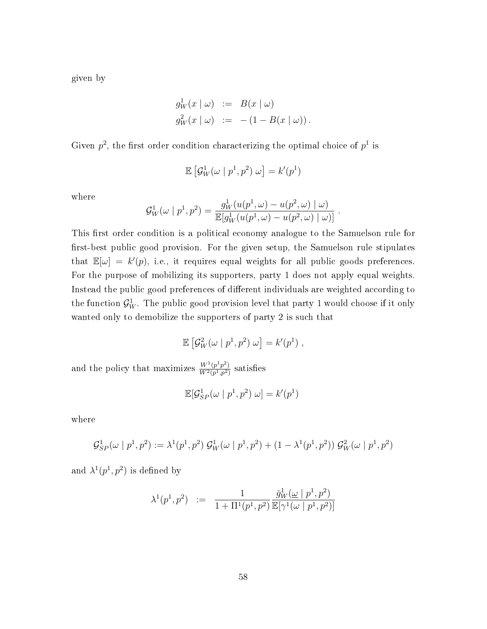given by

$$
g_W^1(x \mid \omega) := B(x \mid \omega)
$$
  

$$
g_W^2(x \mid \omega) := -(1 - B(x \mid \omega)).
$$

Given  $p^2$ , the first order condition characterizing the optimal choice of  $p^1$  is

$$
\mathbb{E}\left[\mathcal{G}_W^1(\omega \mid p^1, p^2) \omega\right] = k'(p^1)
$$

where

$$
\mathcal{G}_{W}^{1}(\omega \mid p^{1}, p^{2}) = \frac{g_{W}^{1}(u(p^{1}, \omega) - u(p^{2}, \omega) \mid \omega)}{\mathbb{E}[g_{W}^{1}(u(p^{1}, \omega) - u(p^{2}, \omega) \mid \omega)]}.
$$

This first order condition is a political economy analogue to the Samuelson rule for first-best public good provision. For the given setup, the Samuelson rule stipulates that  $\mathbb{E}[\omega] = k'(p)$ , i.e., it requires equal weights for all public goods preferences. For the purpose of mobilizing its supporters, party 1 does not apply equal weights. Instead the public good preferences of different individuals are weighted according to the function  $\mathcal{G}_{W}^1$ . The public good provision level that party 1 would choose if it only wanted only to demobilize the supporters of party 2 is such that

$$
\mathbb{E}\left[\mathcal{G}_W^2(\omega \mid p^1, p^2) \omega\right] = k'(p^1) ,
$$

and the policy that maximizes  $\frac{W^1(p^1 p^2)}{W^2(p^1 p^2)}$  $\frac{W^{1}(p^{1},p^{2})}{W^{2}(p^{1},p^{2})}$  satisfies

$$
\mathbb{E}[\mathcal{G}_{SP}^1(\omega \mid p^1, p^2) \omega] = k'(p^1)
$$

where

$$
\mathcal{G}_{SP}^1(\omega \mid p^1, p^2) := \lambda^1(p^1, p^2) \mathcal{G}_W^1(\omega \mid p^1, p^2) + (1 - \lambda^1(p^1, p^2)) \mathcal{G}_W^2(\omega \mid p^1, p^2)
$$

and  $\lambda^1(p^1, p^2)$  is defined by

$$
\lambda^{1}(p^{1}, p^{2}) \ := \ \frac{1}{1 + \Pi^{1}(p^{1}, p^{2})} \frac{\bar{g}_{W}^{1}(\underline{\omega} \mid p^{1}, p^{2})}{\mathbb{E}[\gamma^{1}(\omega \mid p^{1}, p^{2})]}
$$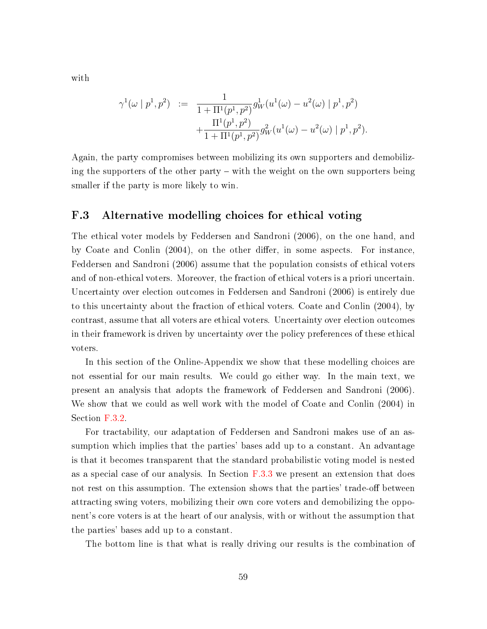with

$$
\gamma^1(\omega \mid p^1, p^2) := \frac{1}{1 + \Pi^1(p^1, p^2)} g_W^1(u^1(\omega) - u^2(\omega) \mid p^1, p^2) + \frac{\Pi^1(p^1, p^2)}{1 + \Pi^1(p^1, p^2)} g_W^2(u^1(\omega) - u^2(\omega) \mid p^1, p^2).
$$

Again, the party compromises between mobilizing its own supporters and demobilizing the supporters of the other party – with the weight on the own supporters being smaller if the party is more likely to win.

# F.3 Alternative modelling choices for ethical voting

The ethical voter models by Feddersen and Sandroni (2006), on the one hand, and by Coate and Conlin (2004), on the other differ, in some aspects. For instance, Feddersen and Sandroni (2006) assume that the population consists of ethical voters and of non-ethical voters. Moreover, the fraction of ethical voters is a priori uncertain. Uncertainty over election outcomes in Feddersen and Sandroni (2006) is entirely due to this uncertainty about the fraction of ethical voters. Coate and Conlin (2004), by contrast, assume that all voters are ethical voters. Uncertainty over election outcomes in their framework is driven by uncertainty over the policy preferences of these ethical voters.

In this section of the Online-Appendix we show that these modelling choices are not essential for our main results. We could go either way. In the main text, we present an analysis that adopts the framework of Feddersen and Sandroni (2006). We show that we could as well work with the model of Coate and Conlin (2004) in Section [F.3.2.](#page-62-0)

For tractability, our adaptation of Feddersen and Sandroni makes use of an assumption which implies that the parties' bases add up to a constant. An advantage is that it becomes transparent that the standard probabilistic voting model is nested as a special case of our analysis. In Section  $F.3.3$  we present an extension that does not rest on this assumption. The extension shows that the parties' trade-off between attracting swing voters, mobilizing their own core voters and demobilizing the opponent's core voters is at the heart of our analysis, with or without the assumption that the parties' bases add up to a constant.

The bottom line is that what is really driving our results is the combination of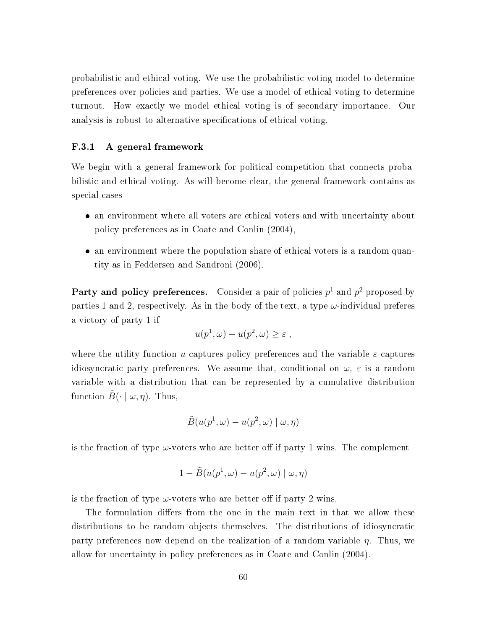probabilistic and ethical voting. We use the probabilistic voting model to determine preferences over policies and parties. We use a model of ethical voting to determine turnout. How exactly we model ethical voting is of secondary importance. Our analysis is robust to alternative specifications of ethical voting.

#### F.3.1 A general framework

We begin with a general framework for political competition that connects probabilistic and ethical voting. As will become clear, the general framework contains as special cases

- an environment where all voters are ethical voters and with uncertainty about policy preferences as in Coate and Conlin (2004),
- an environment where the population share of ethical voters is a random quantity as in Feddersen and Sandroni (2006).

Party and policy preferences. Consider a pair of policies  $p^1$  and  $p^2$  proposed by parties 1 and 2, respectively. As in the body of the text, a type  $\omega$ -individual preferes a victory of party 1 if

$$
u(p^1,\omega) - u(p^2,\omega) \ge \varepsilon ,
$$

where the utility function u captures policy preferences and the variable  $\varepsilon$  captures idiosyncratic party preferences. We assume that, conditional on  $\omega$ ,  $\varepsilon$  is a random variable with a distribution that can be represented by a cumulative distribution function  $\tilde{B}(\cdot | \omega, \eta)$ . Thus,

$$
\tilde{B}(u(p^1,\omega)-u(p^2,\omega)\mid \omega,\eta)
$$

is the fraction of type  $\omega$ -voters who are better off if party 1 wins. The complement

$$
1 - \tilde{B}(u(p^1, \omega) - u(p^2, \omega) \mid \omega, \eta)
$$

is the fraction of type  $\omega$ -voters who are better off if party 2 wins.

The formulation differs from the one in the main text in that we allow these distributions to be random objects themselves. The distributions of idiosyncratic party preferences now depend on the realization of a random variable  $\eta$ . Thus, we allow for uncertainty in policy preferences as in Coate and Conlin (2004).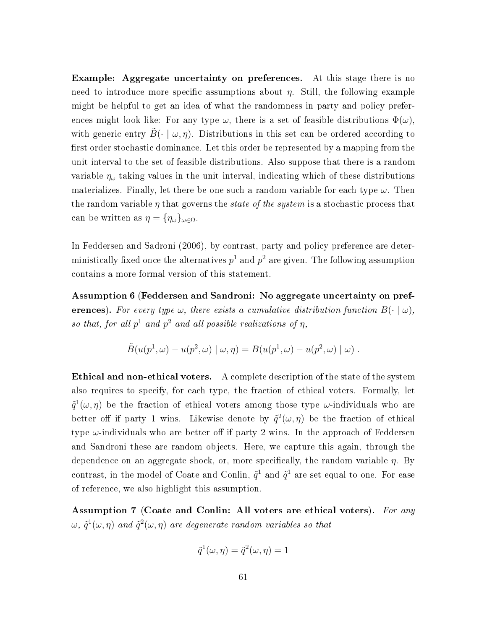Example: Aggregate uncertainty on preferences. At this stage there is no need to introduce more specific assumptions about  $\eta$ . Still, the following example might be helpful to get an idea of what the randomness in party and policy preferences might look like: For any type  $\omega$ , there is a set of feasible distributions  $\Phi(\omega)$ , with generic entry  $B(\cdot | \omega, \eta)$ . Distributions in this set can be ordered according to first order stochastic dominance. Let this order be represented by a mapping from the unit interval to the set of feasible distributions. Also suppose that there is a random variable  $\eta_{\omega}$  taking values in the unit interval, indicating which of these distributions materializes. Finally, let there be one such a random variable for each type  $\omega$ . Then the random variable  $\eta$  that governs the *state of the system* is a stochastic process that can be written as  $\eta = {\eta_\omega}_{\omega \in \Omega}$ .

In Feddersen and Sadroni (2006), by contrast, party and policy preference are deterministically fixed once the alternatives  $p^1$  and  $p^2$  are given. The following assumption contains a more formal version of this statement.

<span id="page-60-1"></span>Assumption 6 (Feddersen and Sandroni: No aggregate uncertainty on preferences). For every type  $\omega$ , there exists a cumulative distribution function  $B(\cdot | \omega)$ , so that, for all  $p^1$  and  $p^2$  and all possible realizations of  $\eta$ ,

$$
\tilde{B}(u(p^1,\omega) - u(p^2,\omega) \mid \omega,\eta) = B(u(p^1,\omega) - u(p^2,\omega) \mid \omega) .
$$

Ethical and non-ethical voters. A complete description of the state of the system also requires to specify, for each type, the fraction of ethical voters. Formally, let  $\tilde{q}^{1}(\omega,\eta)$  be the fraction of ethical voters among those type  $\omega$ -individuals who are better off if party 1 wins. Likewise denote by  $\tilde{q}^2(\omega, \eta)$  be the fraction of ethical type  $\omega$ -individuals who are better off if party 2 wins. In the approach of Feddersen and Sandroni these are random objects. Here, we capture this again, through the dependence on an aggregate shock, or, more specifically, the random variable  $\eta$ . By contrast, in the model of Coate and Conlin,  $\tilde{q}^1$  and  $\tilde{q}^1$  are set equal to one. For ease of reference, we also highlight this assumption.

<span id="page-60-0"></span>Assumption 7 (Coate and Conlin: All voters are ethical voters). For any  $\omega, \, \tilde{q}^1(\omega, \eta)$  and  $\tilde{q}^2(\omega, \eta)$  are degenerate random variables so that

$$
\tilde{q}^{1}(\omega, \eta) = \tilde{q}^{2}(\omega, \eta) = 1
$$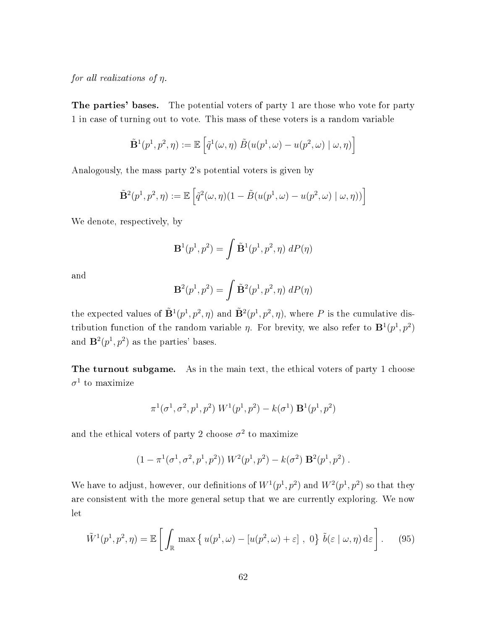for all realizations of  $\eta$ .

The parties' bases. The potential voters of party 1 are those who vote for party 1 in case of turning out to vote. This mass of these voters is a random variable

$$
\tilde{\mathbf{B}}^1(p^1, p^2, \eta) := \mathbb{E}\left[\tilde{q}^1(\omega, \eta) \; \tilde{B}(u(p^1, \omega) - u(p^2, \omega) \mid \omega, \eta)\right]
$$

Analogously, the mass party 2's potential voters is given by

$$
\tilde{\mathbf{B}}^2(p^1, p^2, \eta) := \mathbb{E}\left[\tilde{q}^2(\omega, \eta)(1 - \tilde{B}(u(p^1, \omega) - u(p^2, \omega) | \omega, \eta))\right]
$$

We denote, respectively, by

$$
\mathbf{B}^1(p^1, p^2) = \int \tilde{\mathbf{B}}^1(p^1, p^2, \eta) \ dP(\eta)
$$

and

$$
\mathbf{B}^2(p^1, p^2) = \int \tilde{\mathbf{B}}^2(p^1, p^2, \eta) \, dP(\eta)
$$

the expected values of  $\tilde{\mathbf{B}}^1(p^1, p^2, \eta)$  and  $\tilde{\mathbf{B}}^2(p^1, p^2, \eta)$ , where P is the cumulative distribution function of the random variable  $\eta$ . For brevity, we also refer to  $\mathbf{B}^1(p^1, p^2)$ and  $\mathbf{B}^2(p^1, p^2)$  as the parties' bases.

The turnout subgame. As in the main text, the ethical voters of party 1 choose  $\sigma^1$  to maximize

$$
\pi^1(\sigma^1, \sigma^2, p^1, p^2) W^1(p^1, p^2) - k(\sigma^1) \mathbf{B}^1(p^1, p^2)
$$

and the ethical voters of party 2 choose  $\sigma^2$  to maximize

$$
(1 - \pi^1(\sigma^1, \sigma^2, p^1, p^2)) W^2(p^1, p^2) - k(\sigma^2) \mathbf{B}^2(p^1, p^2) .
$$

We have to adjust, however, our definitions of  $W^1(p^1, p^2)$  and  $W^2(p^1, p^2)$  so that they are consistent with the more general setup that we are currently exploring. We now let

$$
\tilde{W}^{1}(p^{1}, p^{2}, \eta) = \mathbb{E}\left[\int_{\mathbb{R}} \max\left\{u(p^{1}, \omega) - \left[u(p^{2}, \omega) + \varepsilon\right], 0\right\} \tilde{b}(\varepsilon \mid \omega, \eta) d\varepsilon\right].
$$
 (95)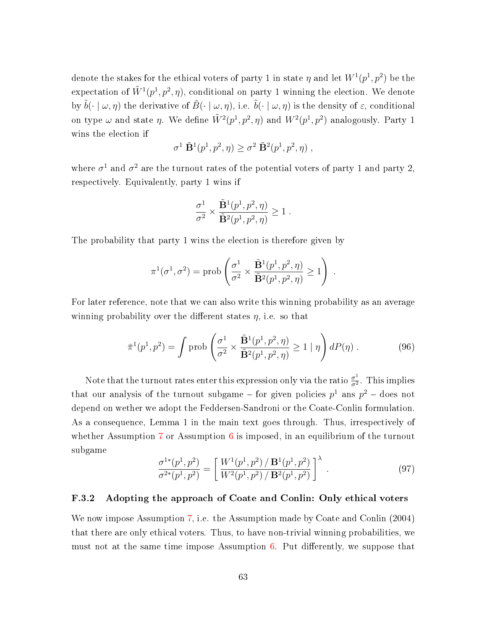denote the stakes for the ethical voters of party 1 in state  $\eta$  and let  $W^1(p^1,p^2)$  be the expectation of  $\tilde{W}^1(p^1, p^2, \eta)$ , conditional on party 1 winning the election. We denote by  $\tilde{b}(\cdot | \omega, \eta)$  the derivative of  $\tilde{B}(\cdot | \omega, \eta)$ , i.e.  $\tilde{b}(\cdot | \omega, \eta)$  is the density of  $\varepsilon$ , conditional on type  $\omega$  and state  $\eta$ . We define  $\tilde{W}^2(p^1, p^2, \eta)$  and  $W^2(p^1, p^2)$  analogously. Party 1 wins the election if

$$
\sigma^1 \; \tilde{\mathbf{B}}^1(p^1, p^2, \eta) \geq \sigma^2 \; \tilde{\mathbf{B}}^2(p^1, p^2, \eta) \;,
$$

where  $\sigma^1$  and  $\sigma^2$  are the turnout rates of the potential voters of party 1 and party 2, respectively. Equivalently, party 1 wins if

$$
\frac{\sigma^1}{\sigma^2} \times \frac{\tilde{\mathbf{B}}^1(p^1, p^2, \eta)}{\tilde{\mathbf{B}}^2(p^1, p^2, \eta)} \ge 1.
$$

The probability that party 1 wins the election is therefore given by

$$
\pi^1(\sigma^1, \sigma^2) = \text{prob}\left(\frac{\sigma^1}{\sigma^2} \times \frac{\tilde{\mathbf{B}}^1(p^1, p^2, \eta)}{\tilde{\mathbf{B}}^2(p^1, p^2, \eta)} \ge 1\right) .
$$

For later reference, note that we can also write this winning probability as an average winning probability over the different states  $\eta$ , i.e. so that

<span id="page-62-1"></span>
$$
\bar{\pi}^1(p^1, p^2) = \int \text{prob}\left(\frac{\sigma^1}{\sigma^2} \times \frac{\tilde{\mathbf{B}}^1(p^1, p^2, \eta)}{\tilde{\mathbf{B}}^2(p^1, p^2, \eta)} \ge 1 \mid \eta\right) dP(\eta) \,. \tag{96}
$$

Note that the turnout rates enter this expression only via the ratio  $\frac{\sigma^1}{\sigma^2}$  $\frac{\sigma^2}{\sigma^2}$ . This implies that our analysis of the turnout subgame – for given policies  $p^1$  ans  $p^2$  – does not depend on wether we adopt the Feddersen-Sandroni or the Coate-Conlin formulation. As a consequence, Lemma 1 in the main text goes through. Thus, irrespectively of whether Assumption [7](#page-60-0) or Assumption  $6$  is imposed, in an equilibrium of the turnout subgame

<span id="page-62-2"></span>
$$
\frac{\sigma^{1*}(p^1, p^2)}{\sigma^{2*}(p^1, p^2)} = \left[ \frac{W^1(p^1, p^2) / \mathbf{B}^1(p^1, p^2)}{W^2(p^1, p^2) / \mathbf{B}^2(p^1, p^2)} \right]^\lambda.
$$
\n(97)

#### <span id="page-62-0"></span>F.3.2 Adopting the approach of Coate and Conlin: Only ethical voters

We now impose Assumption [7,](#page-60-0) i.e. the Assumption made by Coate and Conlin (2004) that there are only ethical voters. Thus, to have non-trivial winning probabilities, we must not at the same time impose Assumption  $6$ . Put differently, we suppose that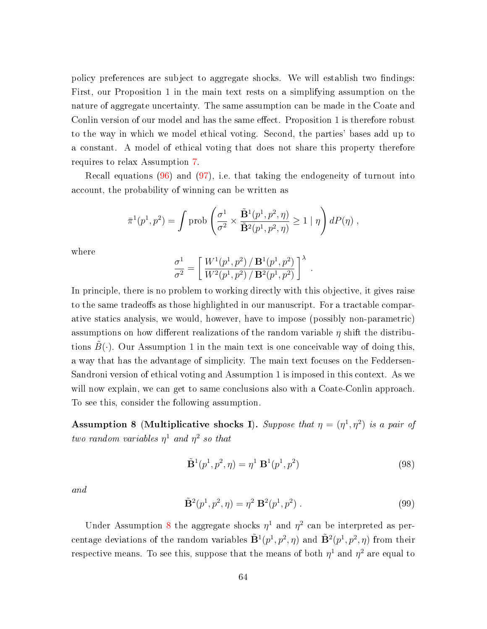policy preferences are subject to aggregate shocks. We will establish two findings: First, our Proposition 1 in the main text rests on a simplifying assumption on the nature of aggregate uncertainty. The same assumption can be made in the Coate and Conlin version of our model and has the same effect. Proposition 1 is therefore robust to the way in which we model ethical voting. Second, the parties' bases add up to a constant. A model of ethical voting that does not share this property therefore requires to relax Assumption [7.](#page-60-0)

Recall equations  $(96)$  and  $(97)$ , i.e. that taking the endogeneity of turnout into account, the probability of winning can be written as

$$
\bar{\pi}^1(p^1, p^2) = \int \text{prob}\left(\frac{\sigma^1}{\sigma^2} \times \frac{\tilde{\mathbf{B}}^1(p^1, p^2, \eta)}{\tilde{\mathbf{B}}^2(p^1, p^2, \eta)} \ge 1 \mid \eta\right) dP(\eta) ,
$$

where

$$
\frac{\sigma^1}{\sigma^2} = \left[ \frac{W^1(p^1, p^2) / \mathbf{B}^1(p^1, p^2)}{W^2(p^1, p^2) / \mathbf{B}^2(p^1, p^2)} \right]^{\lambda}
$$

In principle, there is no problem to working directly with this objective, it gives raise to the same tradeoffs as those highlighted in our manuscript. For a tractable comparative statics analysis, we would, however, have to impose (possibly non-parametric) assumptions on how different realizations of the random variable  $\eta$  shift the distributions  $B(\cdot)$ . Our Assumption 1 in the main text is one conceivable way of doing this, a way that has the advantage of simplicity. The main text focuses on the Feddersen-Sandroni version of ethical voting and Assumption 1 is imposed in this context. As we will now explain, we can get to same conclusions also with a Coate-Conlin approach. To see this, consider the following assumption.

<span id="page-63-0"></span>Assumption 8 (Multiplicative shocks I). Suppose that  $\eta = (\eta^1, \eta^2)$  is a pair of two random variables  $\eta^1$  and  $\eta^2$  so that

<span id="page-63-1"></span>
$$
\tilde{\mathbf{B}}^1(p^1, p^2, \eta) = \eta^1 \mathbf{B}^1(p^1, p^2)
$$
\n(98)

.

and

<span id="page-63-2"></span>
$$
\tilde{\mathbf{B}}^2(p^1, p^2, \eta) = \eta^2 \ \mathbf{B}^2(p^1, p^2) \ . \tag{99}
$$

Under Assumption [8](#page-63-0) the aggregate shocks  $\eta^1$  and  $\eta^2$  can be interpreted as percentage deviations of the random variables  $\tilde{\mathbf{B}}^1(p^1, p^2, \eta)$  and  $\tilde{\mathbf{B}}^2(p^1, p^2, \eta)$  from their respective means. To see this, suppose that the means of both  $\eta^1$  and  $\eta^2$  are equal to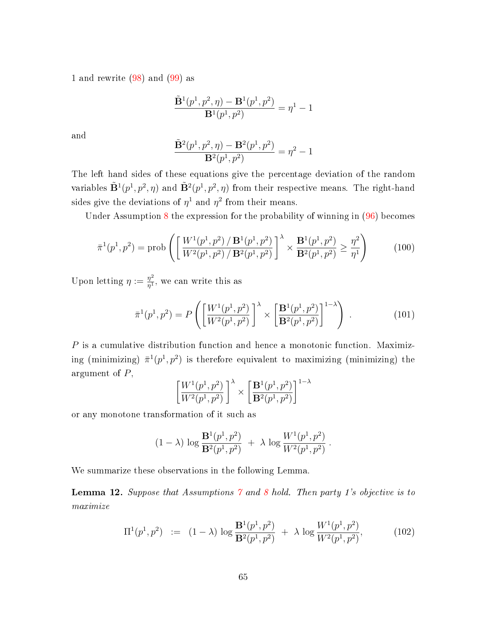1 and rewrite [\(98\)](#page-63-1) and [\(99\)](#page-63-2) as

$$
\frac{\tilde{\mathbf{B}}^1(p^1, p^2, \eta) - \mathbf{B}^1(p^1, p^2)}{\mathbf{B}^1(p^1, p^2)} = \eta^1 - 1
$$

and

$$
\frac{\tilde{\mathbf{B}}^2(p^1, p^2, \eta) - \mathbf{B}^2(p^1, p^2)}{\mathbf{B}^2(p^1, p^2)} = \eta^2 - 1
$$

The left hand sides of these equations give the percentage deviation of the random variables  $\tilde{\mathbf{B}}^1(p^1, p^2, \eta)$  and  $\tilde{\mathbf{B}}^2(p^1, p^2, \eta)$  from their respective means. The right-hand sides give the deviations of  $\eta^1$  and  $\eta^2$  from their means.

Under Assumption [8](#page-63-0) the expression for the probability of winning in [\(96\)](#page-62-1) becomes

$$
\bar{\pi}^{1}(p^{1}, p^{2}) = \text{prob}\left(\left[\frac{W^{1}(p^{1}, p^{2}) / \mathbf{B}^{1}(p^{1}, p^{2})}{W^{2}(p^{1}, p^{2}) / \mathbf{B}^{2}(p^{1}, p^{2})}\right]^{\lambda} \times \frac{\mathbf{B}^{1}(p^{1}, p^{2})}{\mathbf{B}^{2}(p^{1}, p^{2})} \geq \frac{\eta^{2}}{\eta^{1}}\right)
$$
(100)

Upon letting  $\eta := \frac{\eta^2}{n^1}$  $\frac{\eta^2}{\eta^1}$ , we can write this as

$$
\bar{\pi}^{1}(p^{1}, p^{2}) = P\left(\left[\frac{W^{1}(p^{1}, p^{2})}{W^{2}(p^{1}, p^{2})}\right]^{\lambda} \times \left[\frac{\mathbf{B}^{1}(p^{1}, p^{2})}{\mathbf{B}^{2}(p^{1}, p^{2})}\right]^{1-\lambda}\right) . \tag{101}
$$

 $P$  is a cumulative distribution function and hence a monotonic function. Maximizing (minimizing)  $\bar{\pi}^1(p^1,p^2)$  is therefore equivalent to maximizing (minimizing) the argument of P,

$$
\left[\frac{W^{1}(p^{1}, p^{2})}{W^{2}(p^{1}, p^{2})}\right]^{\lambda} \times \left[\frac{\mathbf{B}^{1}(p^{1}, p^{2})}{\mathbf{B}^{2}(p^{1}, p^{2})}\right]^{1-\lambda}
$$

or any monotone transformation of it such as

$$
(1 - \lambda) \log \frac{\mathbf{B}^1(p^1, p^2)}{\mathbf{B}^2(p^1, p^2)} + \lambda \log \frac{W^1(p^1, p^2)}{W^2(p^1, p^2)}.
$$

We summarize these observations in the following Lemma.

<span id="page-64-0"></span>**Lemma 12.** Suppose that Assumptions  $\gamma$  and  $\delta$  hold. Then party 1's objective is to maximize

$$
\Pi^{1}(p^{1}, p^{2}) := (1 - \lambda) \log \frac{\mathbf{B}^{1}(p^{1}, p^{2})}{\mathbf{B}^{2}(p^{1}, p^{2})} + \lambda \log \frac{W^{1}(p^{1}, p^{2})}{W^{2}(p^{1}, p^{2})},
$$
(102)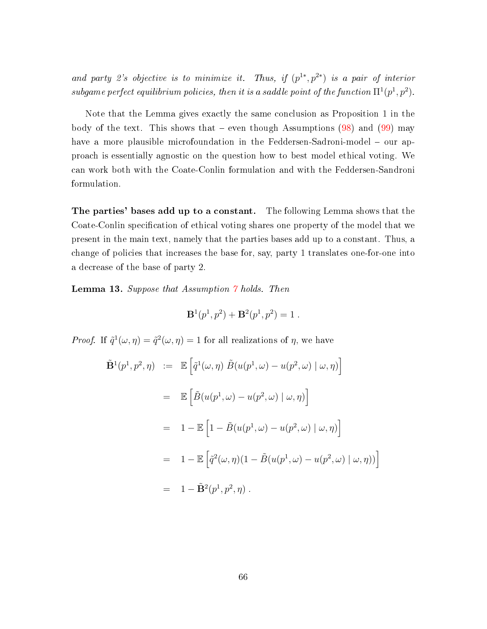and party 2's objective is to minimize it. Thus, if  $(p^{1*}, p^{2*})$  is a pair of interior subgame perfect equilibrium policies, then it is a saddle point of the function  $\Pi^1(p^1, p^2)$ .

Note that the Lemma gives exactly the same conclusion as Proposition 1 in the body of the text. This shows that  $-$  even though Assumptions  $(98)$  and  $(99)$  may have a more plausible microfoundation in the Feddersen-Sadroni-model  $-$  our approach is essentially agnostic on the question how to best model ethical voting. We can work both with the Coate-Conlin formulation and with the Feddersen-Sandroni formulation.

The parties' bases add up to a constant. The following Lemma shows that the Coate-Conlin specification of ethical voting shares one property of the model that we present in the main text, namely that the parties bases add up to a constant. Thus, a change of policies that increases the base for, say, party 1 translates one-for-one into a decrease of the base of party 2.

<span id="page-65-0"></span>**Lemma 13.** Suppose that Assumption  $\gamma$  holds. Then

$$
\mathbf{B}^{1}(p^{1}, p^{2}) + \mathbf{B}^{2}(p^{1}, p^{2}) = 1.
$$

*Proof.* If  $\tilde{q}^{1}(\omega, \eta) = \tilde{q}^{2}(\omega, \eta) = 1$  for all realizations of  $\eta$ , we have

$$
\tilde{\mathbf{B}}^1(p^1, p^2, \eta) := \mathbb{E} \left[ \tilde{q}^1(\omega, \eta) \tilde{B}(u(p^1, \omega) - u(p^2, \omega) | \omega, \eta) \right]
$$
\n
$$
= \mathbb{E} \left[ \tilde{B}(u(p^1, \omega) - u(p^2, \omega) | \omega, \eta) \right]
$$
\n
$$
= 1 - \mathbb{E} \left[ 1 - \tilde{B}(u(p^1, \omega) - u(p^2, \omega) | \omega, \eta) \right]
$$
\n
$$
= 1 - \mathbb{E} \left[ \tilde{q}^2(\omega, \eta) (1 - \tilde{B}(u(p^1, \omega) - u(p^2, \omega) | \omega, \eta) ) \right]
$$
\n
$$
= 1 - \tilde{\mathbf{B}}^2(p^1, p^2, \eta).
$$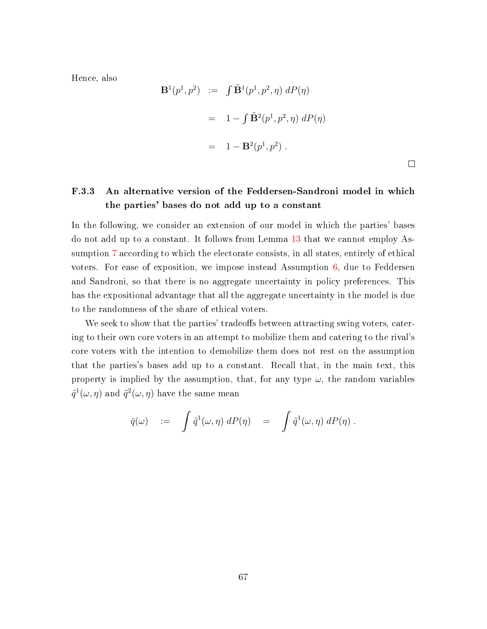Hence, also

$$
\mathbf{B}^1(p^1, p^2) := \int \tilde{\mathbf{B}}^1(p^1, p^2, \eta) dP(\eta)
$$
  
=  $1 - \int \tilde{\mathbf{B}}^2(p^1, p^2, \eta) dP(\eta)$   
=  $1 - \mathbf{B}^2(p^1, p^2)$ .

# <span id="page-66-0"></span>F.3.3 An alternative version of the Feddersen-Sandroni model in which the parties' bases do not add up to a constant

In the following, we consider an extension of our model in which the parties' bases do not add up to a constant. It follows from Lemma [13](#page-65-0) that we cannot employ Assumption [7](#page-60-0) according to which the electorate consists, in all states, entirely of ethical voters. For ease of exposition, we impose instead Assumption [6,](#page-60-1) due to Feddersen and Sandroni, so that there is no aggregate uncertainty in policy preferences. This has the expositional advantage that all the aggregate uncertainty in the model is due to the randomness of the share of ethical voters.

We seek to show that the parties' tradeoffs between attracting swing voters, catering to their own core voters in an attempt to mobilize them and catering to the rival's core voters with the intention to demobilize them does not rest on the assumption that the parties's bases add up to a constant. Recall that, in the main text, this property is implied by the assumption, that, for any type  $\omega$ , the random variables  $\tilde{q}^1(\omega,\eta)$  and  $\tilde{q}^2(\omega,\eta)$  have the same mean

$$
\bar{q}(\omega) \quad := \quad \int \tilde{q}^1(\omega,\eta) \; dP(\eta) \quad = \quad \int \tilde{q}^1(\omega,\eta) \; dP(\eta) \; .
$$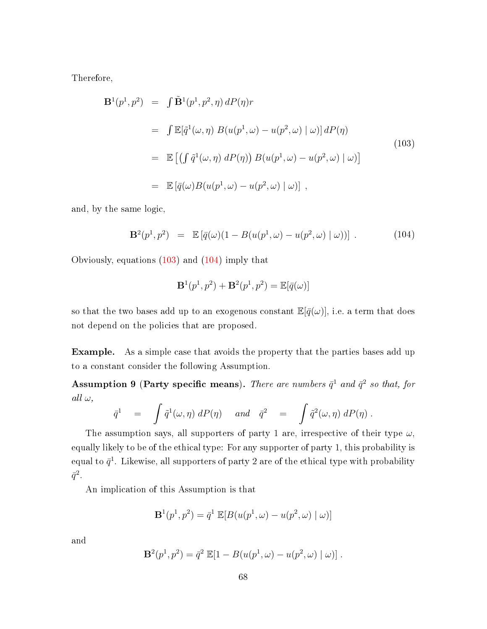Therefore,

<span id="page-67-0"></span>
$$
\mathbf{B}^{1}(p^{1},p^{2}) = \int \tilde{\mathbf{B}}^{1}(p^{1},p^{2},\eta) dP(\eta)r
$$
  
\n
$$
= \int \mathbb{E}[\tilde{q}^{1}(\omega,\eta) B(u(p^{1},\omega) - u(p^{2},\omega) | \omega)] dP(\eta)
$$
  
\n
$$
= \mathbb{E} [(\int \tilde{q}^{1}(\omega,\eta) dP(\eta)) B(u(p^{1},\omega) - u(p^{2},\omega) | \omega)]
$$
  
\n
$$
= \mathbb{E} [\bar{q}(\omega) B(u(p^{1},\omega) - u(p^{2},\omega) | \omega)],
$$
\n(103)

and, by the same logic,

<span id="page-67-1"></span>
$$
\mathbf{B}^{2}(p^{1}, p^{2}) = \mathbb{E}\left[\bar{q}(\omega)(1 - B(u(p^{1}, \omega) - u(p^{2}, \omega) | \omega))\right]. \tag{104}
$$

Obviously, equations [\(103\)](#page-67-0) and [\(104\)](#page-67-1) imply that

$$
\mathbf{B}^1(p^1,p^2)+\mathbf{B}^2(p^1,p^2)=\mathbb{E}[\bar{q}(\omega)]
$$

so that the two bases add up to an exogenous constant  $\mathbb{E}[\bar{q}(\omega)]$ , i.e. a term that does not depend on the policies that are proposed.

Example. As a simple case that avoids the property that the parties bases add up to a constant consider the following Assumption.

<span id="page-67-2"></span>Assumption 9 (Party specific means). There are numbers  $\bar{q}^1$  and  $\bar{q}^2$  so that, for all  $\omega$ ,

$$
\bar{q}^1 = \int \tilde{q}^1(\omega, \eta) dP(\eta) \quad and \quad \bar{q}^2 = \int \tilde{q}^2(\omega, \eta) dP(\eta) .
$$

The assumption says, all supporters of party 1 are, irrespective of their type  $\omega$ , equally likely to be of the ethical type: For any supporter of party 1, this probability is equal to  $\bar{q}^1$ . Likewise, all supporters of party 2 are of the ethical type with probability  $\bar q^2$  .

An implication of this Assumption is that

$$
\mathbf{B}^1(p^1, p^2) = \bar{q}^1 \mathbb{E}[B(u(p^1, \omega) - u(p^2, \omega) | \omega)]
$$

and

$$
\mathbf{B}^{2}(p^{1}, p^{2}) = \bar{q}^{2} \mathbb{E}[1 - B(u(p^{1}, \omega) - u(p^{2}, \omega) | \omega)].
$$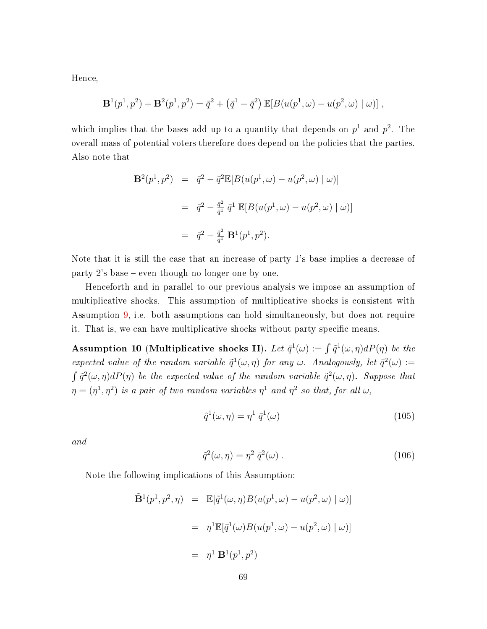Hence,

$$
\mathbf{B}^{1}(p^{1}, p^{2}) + \mathbf{B}^{2}(p^{1}, p^{2}) = \bar{q}^{2} + (\bar{q}^{1} - \bar{q}^{2}) \mathbb{E}[B(u(p^{1}, \omega) - u(p^{2}, \omega) | \omega)],
$$

which implies that the bases add up to a quantity that depends on  $p<sup>1</sup>$  and  $p<sup>2</sup>$ . The overall mass of potential voters therefore does depend on the policies that the parties. Also note that

$$
\mathbf{B}^{2}(p^{1}, p^{2}) = \bar{q}^{2} - \bar{q}^{2} \mathbb{E}[B(u(p^{1}, \omega) - u(p^{2}, \omega) | \omega)]
$$
  

$$
= \bar{q}^{2} - \frac{\bar{q}^{2}}{\bar{q}^{1}} \bar{q}^{1} \mathbb{E}[B(u(p^{1}, \omega) - u(p^{2}, \omega) | \omega)]
$$
  

$$
= \bar{q}^{2} - \frac{\bar{q}^{2}}{\bar{q}^{1}} \mathbf{B}^{1}(p^{1}, p^{2}).
$$

Note that it is still the case that an increase of party 1's base implies a decrease of party  $2$ 's base  $-$  even though no longer one-by-one.

Henceforth and in parallel to our previous analysis we impose an assumption of multiplicative shocks. This assumption of multiplicative shocks is consistent with Assumption [9,](#page-67-2) i.e. both assumptions can hold simultaneously, but does not require it. That is, we can have multiplicative shocks without party specific means.

<span id="page-68-0"></span>Assumption 10 (Multiplicative shocks II). Let  $\bar{q}^1(\omega) := \int \tilde{q}^1(\omega, \eta) dP(\eta)$  be the expected value of the random variable  $\tilde{q}^{1}(\omega, \eta)$  for any  $\omega$ . Analogously, let  $\bar{q}^{2}(\omega) :=$  $\int \tilde{q}^2(\omega,\eta) dP(\eta)$  be the expected value of the random variable  $\tilde{q}^2(\omega,\eta)$ . Suppose that  $\eta=(\eta^1,\eta^2)$  is a pair of two random variables  $\eta^1$  and  $\eta^2$  so that, for all  $\omega$ ,

$$
\tilde{q}^{1}(\omega,\eta) = \eta^{1} \bar{q}^{1}(\omega)
$$
\n(105)

and

$$
\tilde{q}^2(\omega,\eta) = \eta^2 \,\bar{q}^2(\omega) \,. \tag{106}
$$

Note the following implications of this Assumption:

$$
\tilde{\mathbf{B}}^1(p^1, p^2, \eta) = \mathbb{E}[\tilde{q}^1(\omega, \eta) B(u(p^1, \omega) - u(p^2, \omega) | \omega)]
$$
  

$$
= \eta^1 \mathbb{E}[\bar{q}^1(\omega) B(u(p^1, \omega) - u(p^2, \omega) | \omega)]
$$
  

$$
= \eta^1 \mathbf{B}^1(p^1, p^2)
$$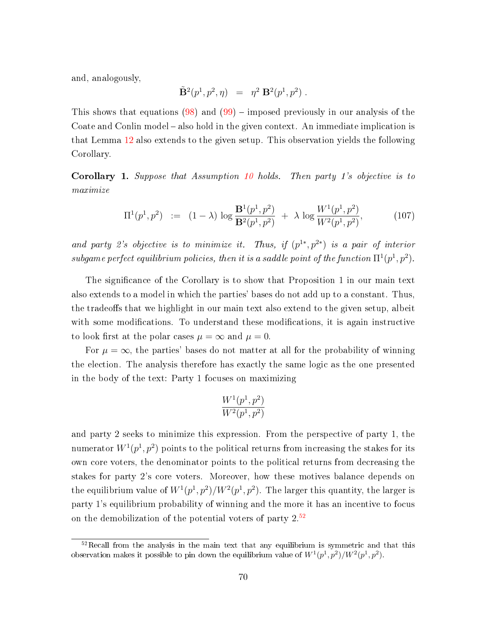and, analogously,

$$
\tilde {\bf B}^2(p^1,p^2,\eta) \ \ = \ \ \eta^2 \; {\bf B}^2(p^1,p^2) \; .
$$

This shows that equations  $(98)$  and  $(99)$  – imposed previously in our analysis of the Coate and Conlin model – also hold in the given context. An immediate implication is that Lemma [12](#page-64-0) also extends to the given setup. This observation yields the following Corollary.

Corollary 1. Suppose that Assumption [10](#page-68-0) holds. Then party 1's objective is to maximize

$$
\Pi^{1}(p^{1}, p^{2}) := (1 - \lambda) \log \frac{\mathbf{B}^{1}(p^{1}, p^{2})}{\mathbf{B}^{2}(p^{1}, p^{2})} + \lambda \log \frac{W^{1}(p^{1}, p^{2})}{W^{2}(p^{1}, p^{2})},
$$
\n(107)

and party 2's objective is to minimize it. Thus, if  $(p^{1*}, p^{2*})$  is a pair of interior subgame perfect equilibrium policies, then it is a saddle point of the function  $\Pi^1(p^1, p^2)$ .

The significance of the Corollary is to show that Proposition 1 in our main text also extends to a model in which the parties' bases do not add up to a constant. Thus, the tradeoffs that we highlight in our main text also extend to the given setup, albeit with some modifications. To understand these modifications, it is again instructive to look first at the polar cases  $\mu = \infty$  and  $\mu = 0$ .

For  $\mu = \infty$ , the parties' bases do not matter at all for the probability of winning the election. The analysis therefore has exactly the same logic as the one presented in the body of the text: Party 1 focuses on maximizing

$$
\frac{W^1(p^1, p^2)}{W^2(p^1, p^2)}
$$

and party 2 seeks to minimize this expression. From the perspective of party 1, the numerator  $W^1(p^1,p^2)$  points to the political returns from increasing the stakes for its own core voters, the denominator points to the political returns from decreasing the stakes for party 2's core voters. Moreover, how these motives balance depends on the equilibrium value of  $W^1(p^1, p^2)/W^2(p^1, p^2)$ . The larger this quantity, the larger is party 1's equilibrium probability of winning and the more it has an incentive to focus on the demobilization of the potential voters of party  $2^{52}$  $2^{52}$  $2^{52}$ 

 $52$ Recall from the analysis in the main text that any equilibrium is symmetric and that this observation makes it possible to pin down the equilibrium value of  $W^1(p^1, p^2)/W^2(p^1, p^2)$ .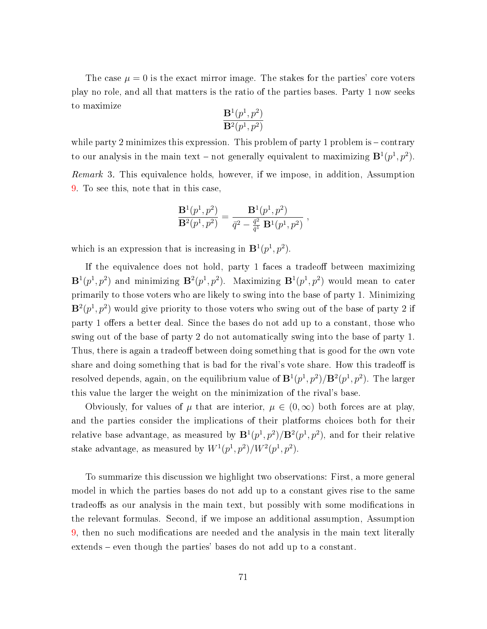The case  $\mu = 0$  is the exact mirror image. The stakes for the parties' core voters play no role, and all that matters is the ratio of the parties bases. Party 1 now seeks to maximize

$$
\frac{\mathbf{B}^1(p^1,p^2)}{\mathbf{B}^2(p^1,p^2)}
$$

while party 2 minimizes this expression. This problem of party 1 problem is  $-\text{contrary}$ to our analysis in the main text – not generally equivalent to maximizing  $\mathbf{B}^1(p^1, p^2)$ . Remark 3. This equivalence holds, however, if we impose, in addition, Assumption [9.](#page-67-2) To see this, note that in this case,

$$
\frac{\mathbf{B}^1(p^1,p^2)}{\mathbf{B}^2(p^1,p^2)} = \frac{\mathbf{B}^1(p^1,p^2)}{\bar{q}^2 - \frac{\bar{q}^2}{\bar{q}^1}\,\mathbf{B}^1(p^1,p^2)}\;,
$$

which is an expression that is increasing in  $\mathbf{B}^1(p^1, p^2)$ .

If the equivalence does not hold, party 1 faces a tradeoff between maximizing  ${\bf B}^1(p^1,p^2)$  and minimizing  ${\bf B}^2(p^1,p^2)$ . Maximizing  ${\bf B}^1(p^1,p^2)$  would mean to cater primarily to those voters who are likely to swing into the base of party 1. Minimizing  $\mathbf{B}^2(p^1, p^2)$  would give priority to those voters who swing out of the base of party 2 if party 1 offers a better deal. Since the bases do not add up to a constant, those who swing out of the base of party 2 do not automatically swing into the base of party 1. Thus, there is again a tradeoff between doing something that is good for the own vote share and doing something that is bad for the rival's vote share. How this tradeoff is resolved depends, again, on the equilibrium value of  ${\bf B}^1(p^1,p^2)/{\bf B}^2(p^1,p^2).$  The larger this value the larger the weight on the minimization of the rival's base.

Obviously, for values of  $\mu$  that are interior,  $\mu \in (0,\infty)$  both forces are at play. and the parties consider the implications of their platforms choices both for their relative base advantage, as measured by  $\mathbf{B}^1(p^1, p^2)/\mathbf{B}^2(p^1, p^2)$ , and for their relative stake advantage, as measured by  $W^1(p^1, p^2)/W^2(p^1, p^2)$ .

To summarize this discussion we highlight two observations: First, a more general model in which the parties bases do not add up to a constant gives rise to the same tradeoffs as our analysis in the main text, but possibly with some modifications in the relevant formulas. Second, if we impose an additional assumption, Assumption [9,](#page-67-2) then no such modications are needed and the analysis in the main text literally extends – even though the parties' bases do not add up to a constant.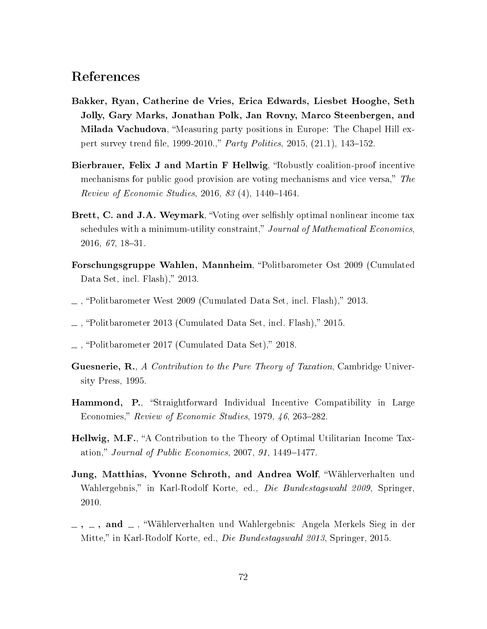# References

- Bakker, Ryan, Catherine de Vries, Erica Edwards, Liesbet Hooghe, Seth Jolly, Gary Marks, Jonathan Polk, Jan Rovny, Marco Steenbergen, and **Milada Vachudova**, "Measuring party positions in Europe: The Chapel Hill expert survey trend file, 1999-2010.," Party Politics, 2015,  $(21.1)$ , 143-152.
- Bierbrauer, Felix J and Martin F Hellwig, "Robustly coalition-proof incentive mechanisms for public good provision are voting mechanisms and vice versa," The  $Review of Economic Studies, 2016, 83(4), 1440-1464.$
- Brett, C. and J.A. Weymark, "Voting over selfishly optimal nonlinear income tax schedules with a minimum-utility constraint," Journal of Mathematical Economics, 2016, 67, 18-31.
- Forschungsgruppe Wahlen, Mannheim, "Politbarometer Ost 2009 (Cumulated Data Set, incl. Flash)," 2013.
- $\mu$ , "Politbarometer West 2009 (Cumulated Data Set, incl. Flash)," 2013.
- $\mu$ , "Politbarometer 2013 (Cumulated Data Set, incl. Flash)," 2015.
- $\mu$ , "Politbarometer 2017 (Cumulated Data Set)," 2018.
- Guesnerie, R., A Contribution to the Pure Theory of Taxation, Cambridge University Press, 1995.
- **Hammond, P.**, "Straightforward Individual Incentive Compatibility in Large Economies," Review of Economic Studies, 1979, 46, 263–282.
- Hellwig, M.F., "A Contribution to the Theory of Optimal Utilitarian Income Taxation," Journal of Public Economics, 2007, 91, 1449–1477.
- Jung, Matthias, Yvonne Schroth, and Andrea Wolf, Wählerverhalten und Wahlergebnis," in Karl-Rodolf Korte, ed., *Die Bundestagswahl 2009*, Springer, 2010.
- $-$ ,  $-$ , and  $-$ , "Wählerverhalten und Wahlergebnis: Angela Merkels Sieg in der Mitte," in Karl-Rodolf Korte, ed., *Die Bundestagswahl 2013*, Springer, 2015.